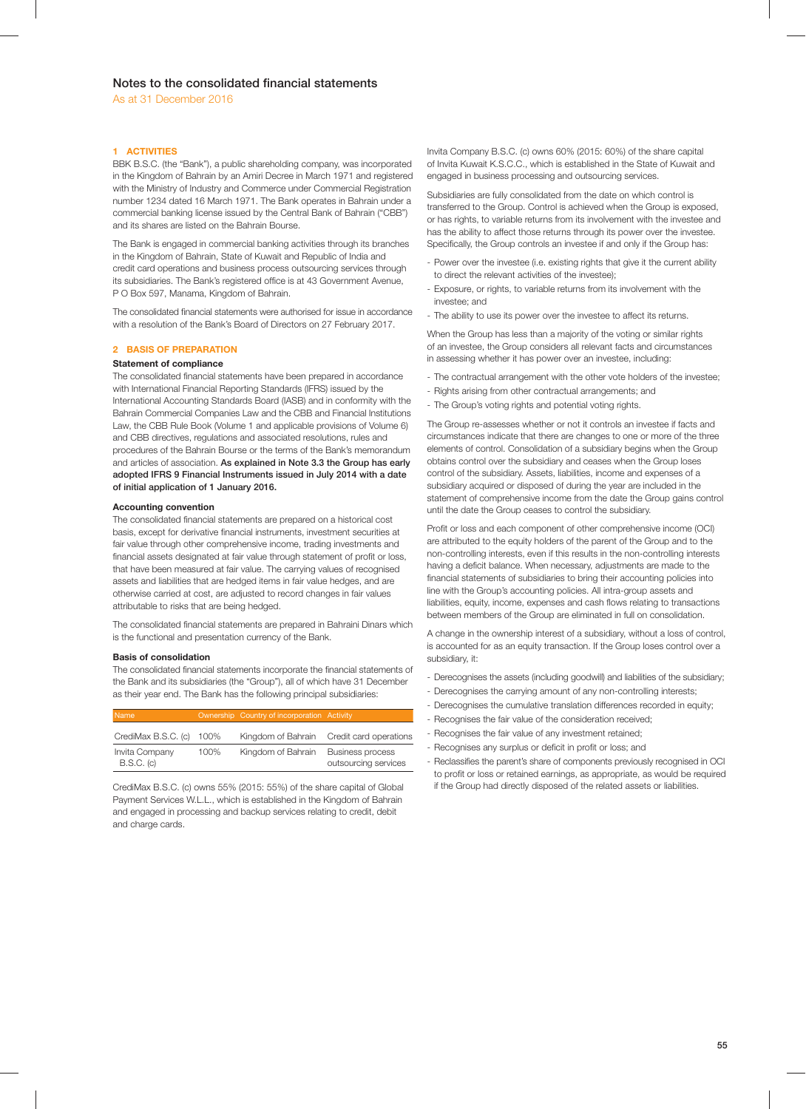## **1 ACTIVITIES**

BBK B.S.C. (the "Bank"), a public shareholding company, was incorporated in the Kingdom of Bahrain by an Amiri Decree in March 1971 and registered with the Ministry of Industry and Commerce under Commercial Registration number 1234 dated 16 March 1971. The Bank operates in Bahrain under a commercial banking license issued by the Central Bank of Bahrain ("CBB") and its shares are listed on the Bahrain Bourse.

The Bank is engaged in commercial banking activities through its branches in the Kingdom of Bahrain, State of Kuwait and Republic of India and credit card operations and business process outsourcing services through its subsidiaries. The Bank's registered office is at 43 Government Avenue, P O Box 597, Manama, Kingdom of Bahrain.

The consolidated financial statements were authorised for issue in accordance with a resolution of the Bank's Board of Directors on 27 February 2017.

## **2 BASIS OF PREPARATION**

## **Statement of compliance**

The consolidated financial statements have been prepared in accordance with International Financial Reporting Standards (IFRS) issued by the International Accounting Standards Board (IASB) and in conformity with the Bahrain Commercial Companies Law and the CBB and Financial Institutions Law, the CBB Rule Book (Volume 1 and applicable provisions of Volume 6) and CBB directives, regulations and associated resolutions, rules and procedures of the Bahrain Bourse or the terms of the Bank's memorandum and articles of association. **As explained in Note 3.3 the Group has early adopted IFRS 9 Financial Instruments issued in July 2014 with a date of initial application of 1 January 2016.**

## **Accounting convention**

The consolidated financial statements are prepared on a historical cost basis, except for derivative financial instruments, investment securities at fair value through other comprehensive income, trading investments and financial assets designated at fair value through statement of profit or loss, that have been measured at fair value. The carrying values of recognised assets and liabilities that are hedged items in fair value hedges, and are otherwise carried at cost, are adjusted to record changes in fair values attributable to risks that are being hedged.

The consolidated financial statements are prepared in Bahraini Dinars which is the functional and presentation currency of the Bank.

## **Basis of consolidation**

The consolidated financial statements incorporate the financial statements of the Bank and its subsidiaries (the "Group"), all of which have 31 December as their year end. The Bank has the following principal subsidiaries:

| Name                           |      | Ownership Country of incorporation Activity |                                                 |
|--------------------------------|------|---------------------------------------------|-------------------------------------------------|
| CrediMax B.S.C. (c) 100%       |      |                                             | Kingdom of Bahrain Credit card operations       |
| Invita Company<br>$B.S.C.$ (c) | 100% | Kingdom of Bahrain                          | <b>Business process</b><br>outsourcing services |

CrediMax B.S.C. (c) owns 55% (2015: 55%) of the share capital of Global Payment Services W.L.L., which is established in the Kingdom of Bahrain and engaged in processing and backup services relating to credit, debit and charge cards.

Invita Company B.S.C. (c) owns 60% (2015: 60%) of the share capital of Invita Kuwait K.S.C.C., which is established in the State of Kuwait and engaged in business processing and outsourcing services.

Subsidiaries are fully consolidated from the date on which control is transferred to the Group. Control is achieved when the Group is exposed, or has rights, to variable returns from its involvement with the investee and has the ability to affect those returns through its power over the investee. Specifically, the Group controls an investee if and only if the Group has:

- Power over the investee (i.e. existing rights that give it the current ability to direct the relevant activities of the investee);
- Exposure, or rights, to variable returns from its involvement with the investee; and
- The ability to use its power over the investee to affect its returns.

When the Group has less than a majority of the voting or similar rights of an investee, the Group considers all relevant facts and circumstances in assessing whether it has power over an investee, including:

- The contractual arrangement with the other vote holders of the investee;
- Rights arising from other contractual arrangements; and
- The Group's voting rights and potential voting rights.

The Group re-assesses whether or not it controls an investee if facts and circumstances indicate that there are changes to one or more of the three elements of control. Consolidation of a subsidiary begins when the Group obtains control over the subsidiary and ceases when the Group loses control of the subsidiary. Assets, liabilities, income and expenses of a subsidiary acquired or disposed of during the year are included in the statement of comprehensive income from the date the Group gains control until the date the Group ceases to control the subsidiary.

Profit or loss and each component of other comprehensive income (OCI) are attributed to the equity holders of the parent of the Group and to the non-controlling interests, even if this results in the non-controlling interests having a deficit balance. When necessary, adjustments are made to the financial statements of subsidiaries to bring their accounting policies into line with the Group's accounting policies. All intra-group assets and liabilities, equity, income, expenses and cash flows relating to transactions between members of the Group are eliminated in full on consolidation.

A change in the ownership interest of a subsidiary, without a loss of control, is accounted for as an equity transaction. If the Group loses control over a subsidiary, it:

- Derecognises the assets (including goodwill) and liabilities of the subsidiary;
- Derecognises the carrying amount of any non-controlling interests;
- Derecognises the cumulative translation differences recorded in equity;
- Recognises the fair value of the consideration received;
- Recognises the fair value of any investment retained;
- Recognises any surplus or deficit in profit or loss; and
- Reclassifies the parent's share of components previously recognised in OCI to profit or loss or retained earnings, as appropriate, as would be required if the Group had directly disposed of the related assets or liabilities.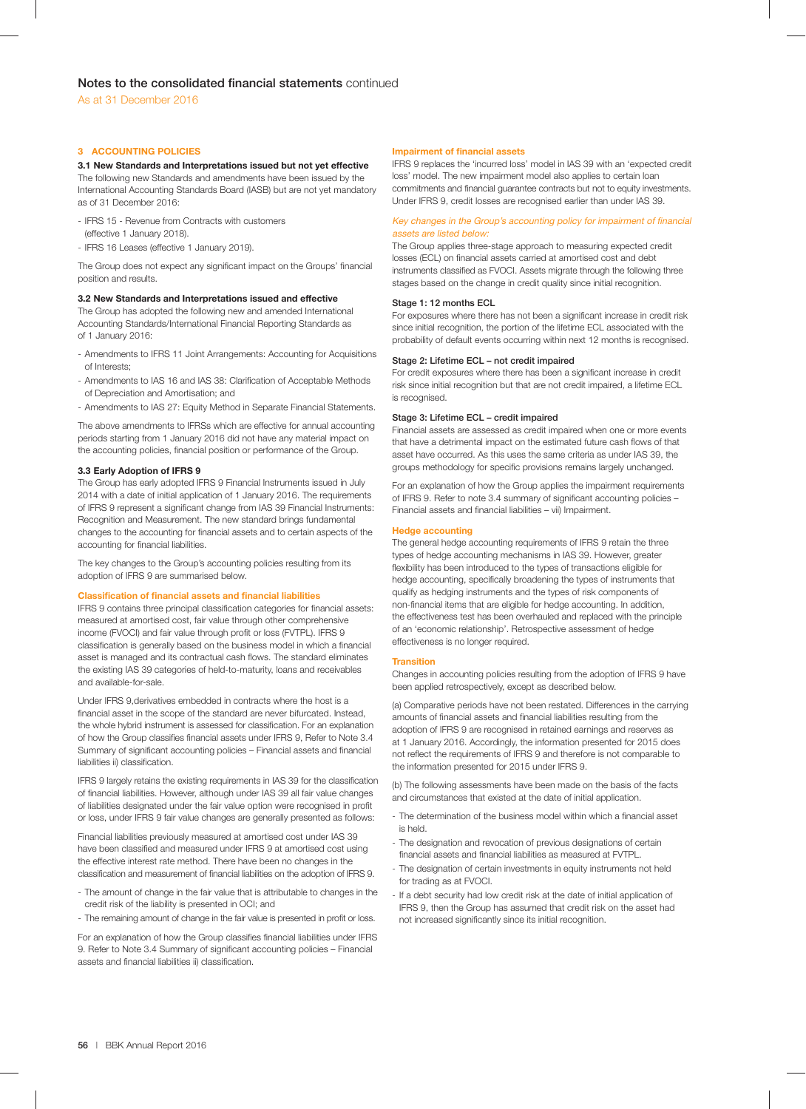## **3 ACCOUNTING POLICIES**

## **3.1 New Standards and Interpretations issued but not yet effective**

The following new Standards and amendments have been issued by the International Accounting Standards Board (IASB) but are not yet mandatory as of 31 December 2016:

- IFRS 15 Revenue from Contracts with customers
- (effective 1 January 2018).
- IFRS 16 Leases (effective 1 January 2019).

The Group does not expect any significant impact on the Groups' financial position and results.

## **3.2 New Standards and Interpretations issued and effective**

The Group has adopted the following new and amended International Accounting Standards/International Financial Reporting Standards as of 1 January 2016:

- Amendments to IFRS 11 Joint Arrangements: Accounting for Acquisitions of Interests;
- Amendments to IAS 16 and IAS 38: Clarification of Acceptable Methods of Depreciation and Amortisation; and
- Amendments to IAS 27: Equity Method in Separate Financial Statements.

The above amendments to IFRSs which are effective for annual accounting periods starting from 1 January 2016 did not have any material impact on the accounting policies, financial position or performance of the Group.

## **3.3 Early Adoption of IFRS 9**

The Group has early adopted IFRS 9 Financial Instruments issued in July 2014 with a date of initial application of 1 January 2016. The requirements of IFRS 9 represent a significant change from IAS 39 Financial Instruments: Recognition and Measurement. The new standard brings fundamental changes to the accounting for financial assets and to certain aspects of the accounting for financial liabilities.

The key changes to the Group's accounting policies resulting from its adoption of IFRS 9 are summarised below.

## **Classification of financial assets and financial liabilities**

IFRS 9 contains three principal classification categories for financial assets: measured at amortised cost, fair value through other comprehensive income (FVOCI) and fair value through profit or loss (FVTPL). IFRS 9 classification is generally based on the business model in which a financial asset is managed and its contractual cash flows. The standard eliminates the existing IAS 39 categories of held-to-maturity, loans and receivables and available-for-sale.

Under IFRS 9,derivatives embedded in contracts where the host is a financial asset in the scope of the standard are never bifurcated. Instead, the whole hybrid instrument is assessed for classification. For an explanation of how the Group classifies financial assets under IFRS 9, Refer to Note 3.4 Summary of significant accounting policies - Financial assets and financial liabilities ii) classification.

IFRS 9 largely retains the existing requirements in IAS 39 for the classification of financial liabilities. However, although under IAS 39 all fair value changes of liabilities designated under the fair value option were recognised in profit or loss, under IFRS 9 fair value changes are generally presented as follows:

Financial liabilities previously measured at amortised cost under IAS 39 have been classified and measured under IFRS 9 at amortised cost using the effective interest rate method. There have been no changes in the classification and measurement of financial liabilities on the adoption of IFRS 9.

- The amount of change in the fair value that is attributable to changes in the credit risk of the liability is presented in OCI; and
- The remaining amount of change in the fair value is presented in profit or loss.

For an explanation of how the Group classifies financial liabilities under IFRS 9. Refer to Note 3.4 Summary of significant accounting policies - Financial assets and financial liabilities ii) classification.

### **Impairment of financial assets**

IFRS 9 replaces the 'incurred loss' model in IAS 39 with an 'expected credit loss' model. The new impairment model also applies to certain loan commitments and financial guarantee contracts but not to equity investments. Under IFRS 9, credit losses are recognised earlier than under IAS 39.

## Key changes in the Group's accounting policy for impairment of financial assets are listed below:

The Group applies three-stage approach to measuring expected credit losses (ECL) on financial assets carried at amortised cost and debt instruments classified as FVOCI. Assets migrate through the following three stages based on the change in credit quality since initial recognition.

### **Stage 1: 12 months ECL**

For exposures where there has not been a significant increase in credit risk since initial recognition, the portion of the lifetime ECL associated with the probability of default events occurring within next 12 months is recognised.

## **Stage 2: Lifetime ECL – not credit impaired**

For credit exposures where there has been a significant increase in credit risk since initial recognition but that are not credit impaired, a lifetime ECL is recognised.

## **Stage 3: Lifetime ECL – credit impaired**

Financial assets are assessed as credit impaired when one or more events that have a detrimental impact on the estimated future cash flows of that asset have occurred. As this uses the same criteria as under IAS 39, the groups methodology for specific provisions remains largely unchanged.

For an explanation of how the Group applies the impairment requirements of IFRS 9. Refer to note 3.4 summary of significant accounting policies -Financial assets and financial liabilities – vii) Impairment.

## **Hedge accounting**

The general hedge accounting requirements of IFRS 9 retain the three types of hedge accounting mechanisms in IAS 39. However, greater flexibility has been introduced to the types of transactions eligible for hedge accounting, specifically broadening the types of instruments that qualify as hedging instruments and the types of risk components of non-financial items that are eligible for hedge accounting. In addition, the effectiveness test has been overhauled and replaced with the principle of an 'economic relationship'. Retrospective assessment of hedge effectiveness is no longer required.

### **Transition**

Changes in accounting policies resulting from the adoption of IFRS 9 have been applied retrospectively, except as described below.

(a) Comparative periods have not been restated. Differences in the carrying amounts of financial assets and financial liabilities resulting from the adoption of IFRS 9 are recognised in retained earnings and reserves as at 1 January 2016. Accordingly, the information presented for 2015 does not reflect the requirements of IFRS 9 and therefore is not comparable to the information presented for 2015 under IFRS 9.

(b) The following assessments have been made on the basis of the facts and circumstances that existed at the date of initial application.

- The determination of the business model within which a financial asset is held.
- The designation and revocation of previous designations of certain financial assets and financial liabilities as measured at FVTPL.
- The designation of certain investments in equity instruments not held for trading as at FVOCI.
- If a debt security had low credit risk at the date of initial application of IFRS 9, then the Group has assumed that credit risk on the asset had not increased significantly since its initial recognition.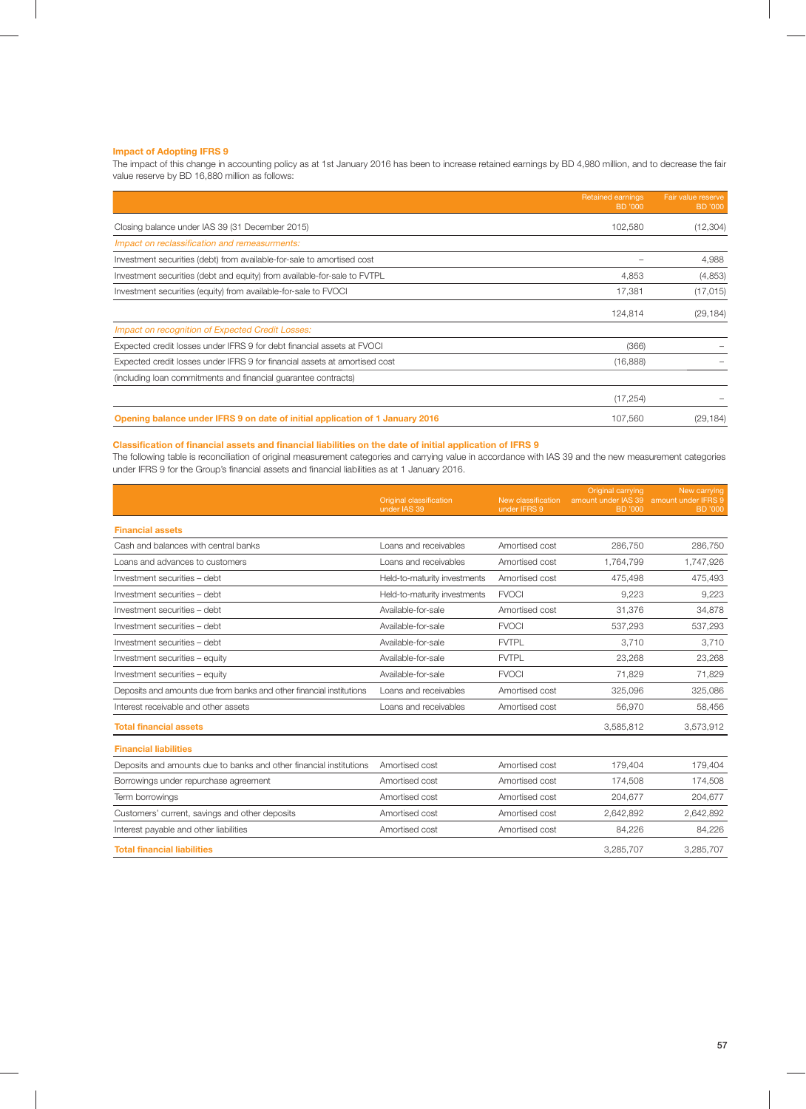## **Impact of Adopting IFRS 9**

The impact of this change in accounting policy as at 1st January 2016 has been to increase retained earnings by BD 4,980 million, and to decrease the fair value reserve by BD 16,880 million as follows:

|                                                                               | <b>Retained earnings</b><br>BD '000 | Fair value reserve<br>BD '000 |
|-------------------------------------------------------------------------------|-------------------------------------|-------------------------------|
| Closing balance under IAS 39 (31 December 2015)                               | 102,580                             | (12, 304)                     |
| Impact on reclassification and remeasurments:                                 |                                     |                               |
| Investment securities (debt) from available-for-sale to amortised cost        |                                     | 4,988                         |
| Investment securities (debt and equity) from available-for-sale to FVTPL      | 4,853                               | (4,853)                       |
| Investment securities (equity) from available-for-sale to FVOCI               | 17,381                              | (17, 015)                     |
|                                                                               | 124,814                             | (29, 184)                     |
| Impact on recognition of Expected Credit Losses:                              |                                     |                               |
| Expected credit losses under IFRS 9 for debt financial assets at FVOCI        | (366)                               |                               |
| Expected credit losses under IFRS 9 for financial assets at amortised cost    | (16, 888)                           |                               |
| (including loan commitments and financial quarantee contracts)                |                                     |                               |
|                                                                               | (17, 254)                           |                               |
| Opening balance under IFRS 9 on date of initial application of 1 January 2016 | 107,560                             | (29, 184)                     |

## **Classification of financial assets and financial liabilities on the date of initial application of IFRS 9**

The following table is reconciliation of original measurement categories and carrying value in accordance with IAS 39 and the new measurement categories under IFRS 9 for the Group's financial assets and financial liabilities as at 1 January 2016.

|                                                                      | <b>Original classification</b><br>under IAS 39 | New classification<br>under IFRS 9 | Original carrying<br>amount under IAS 39 amount under IFRS 9<br>BD '000 | New carrying<br><b>BD</b> '000 |
|----------------------------------------------------------------------|------------------------------------------------|------------------------------------|-------------------------------------------------------------------------|--------------------------------|
| <b>Financial assets</b>                                              |                                                |                                    |                                                                         |                                |
| Cash and balances with central banks                                 | Loans and receivables                          | Amortised cost                     | 286,750                                                                 | 286,750                        |
| Loans and advances to customers                                      | Loans and receivables                          | Amortised cost                     | 1,764,799                                                               | 1,747,926                      |
| Investment securities - debt                                         | Held-to-maturity investments                   | Amortised cost                     | 475.498                                                                 | 475,493                        |
| Investment securities - debt                                         | Held-to-maturity investments                   | <b>FVOCI</b>                       | 9.223                                                                   | 9,223                          |
| Investment securities - debt                                         | Available-for-sale                             | Amortised cost                     | 31,376                                                                  | 34,878                         |
| Investment securities - debt                                         | Available-for-sale                             | <b>FVOCI</b>                       | 537,293                                                                 | 537,293                        |
| Investment securities - debt                                         | Available-for-sale                             | <b>FVTPL</b>                       | 3,710                                                                   | 3,710                          |
| Investment securities - equity                                       | Available-for-sale                             | <b>FVTPL</b>                       | 23,268                                                                  | 23,268                         |
| Investment securities - equity                                       | Available-for-sale                             | <b>FVOCI</b>                       | 71.829                                                                  | 71.829                         |
| Deposits and amounts due from banks and other financial institutions | Loans and receivables                          | Amortised cost                     | 325,096                                                                 | 325,086                        |
| Interest receivable and other assets                                 | Loans and receivables                          | Amortised cost                     | 56,970                                                                  | 58,456                         |
| <b>Total financial assets</b>                                        |                                                |                                    | 3,585,812                                                               | 3,573,912                      |
| <b>Financial liabilities</b>                                         |                                                |                                    |                                                                         |                                |
| Deposits and amounts due to banks and other financial institutions   | Amortised cost                                 | Amortised cost                     | 179,404                                                                 | 179,404                        |
| Borrowings under repurchase agreement                                | Amortised cost                                 | Amortised cost                     | 174,508                                                                 | 174,508                        |
| Term borrowings                                                      | Amortised cost                                 | Amortised cost                     | 204,677                                                                 | 204,677                        |
| Customers' current, savings and other deposits                       | Amortised cost                                 | Amortised cost                     | 2,642,892                                                               | 2,642,892                      |
| Interest payable and other liabilities                               | Amortised cost                                 | Amortised cost                     | 84.226                                                                  | 84.226                         |
| <b>Total financial liabilities</b>                                   |                                                |                                    | 3,285,707                                                               | 3,285,707                      |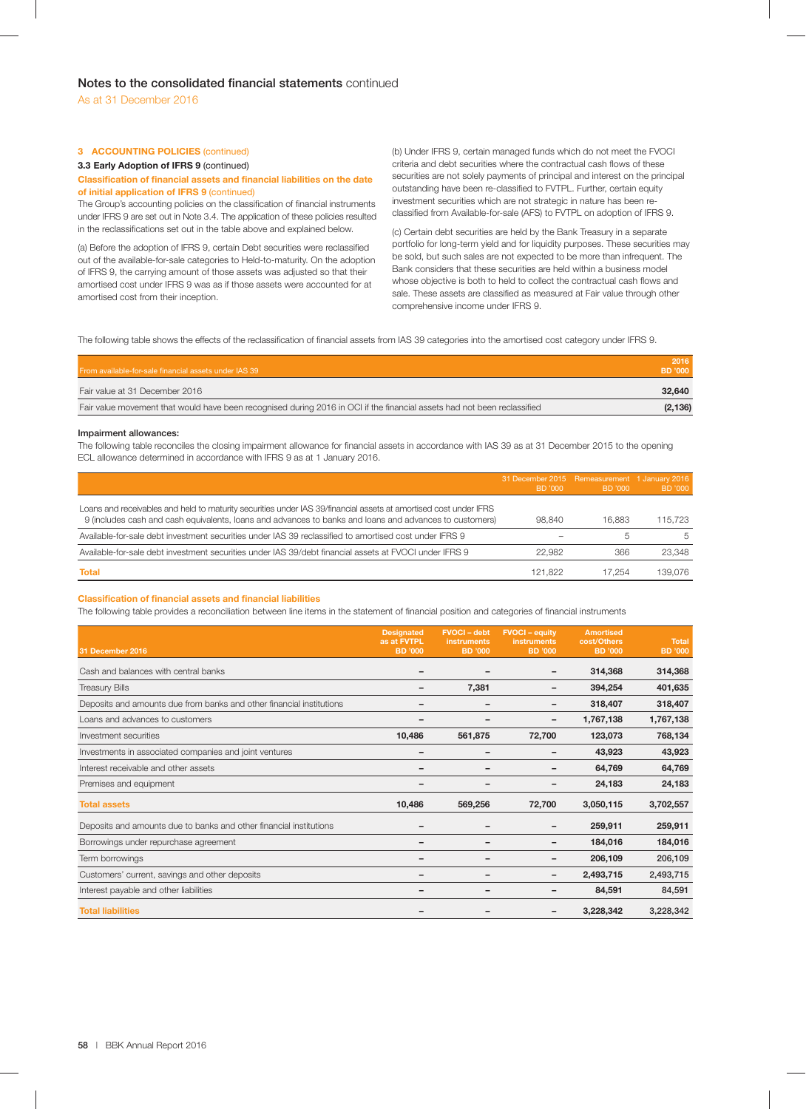## **3 ACCOUNTING POLICIES** (continued)

### **3.3 Early Adoption of IFRS 9** (continued)

### **Classification of financial assets and financial liabilities on the date of initial application of IFRS 9** (continued)

The Group's accounting policies on the classification of financial instruments under IFRS 9 are set out in Note 3.4. The application of these policies resulted in the reclassifications set out in the table above and explained below.

(a) Before the adoption of IFRS 9, certain Debt securities were reclassified out of the available-for-sale categories to Held-to-maturity. On the adoption of IFRS 9, the carrying amount of those assets was adjusted so that their amortised cost under IFRS 9 was as if those assets were accounted for at amortised cost from their inception.

(b) Under IFRS 9, certain managed funds which do not meet the FVOCI criteria and debt securities where the contractual cash flows of these securities are not solely payments of principal and interest on the principal outstanding have been re-classified to FVTPL. Further, certain equity investment securities which are not strategic in nature has been reclassified from Available-for-sale (AFS) to FVTPL on adoption of IFRS 9.

(c) Certain debt securities are held by the Bank Treasury in a separate portfolio for long-term yield and for liquidity purposes. These securities may be sold, but such sales are not expected to be more than infrequent. The Bank considers that these securities are held within a business model whose objective is both to held to collect the contractual cash flows and sale. These assets are classified as measured at Fair value through other comprehensive income under IFRS 9.

The following table shows the effects of the reclassification of financial assets from IAS 39 categories into the amortised cost category under IFRS 9.

| From available-for-sale financial assets under IAS 39                                                                    | 2016<br>BD '000 |
|--------------------------------------------------------------------------------------------------------------------------|-----------------|
| Fair value at 31 December 2016                                                                                           | 32,640          |
| Fair value movement that would have been recognised during 2016 in OCI if the financial assets had not been reclassified | (2, 136)        |

### **Impairment allowances:**

The following table reconciles the closing impairment allowance for financial assets in accordance with IAS 39 as at 31 December 2015 to the opening ECL allowance determined in accordance with IFRS 9 as at 1 January 2016.

|                                                                                                                                                                                                                             | 31 December 2015 Remeasurement 1 January 2016<br>BD '000 | BD '000      | BD '000 |
|-----------------------------------------------------------------------------------------------------------------------------------------------------------------------------------------------------------------------------|----------------------------------------------------------|--------------|---------|
| Loans and receivables and held to maturity securities under IAS 39/financial assets at amortised cost under IFRS<br>9 (includes cash and cash equivalents, loans and advances to banks and loans and advances to customers) | 98.840                                                   | 16.883       | 115.723 |
| Available-for-sale debt investment securities under IAS 39 reclassified to amortised cost under IFRS 9                                                                                                                      |                                                          | <sub>5</sub> | 5       |
| Available-for-sale debt investment securities under IAS 39/debt financial assets at FVOCI under IFRS 9                                                                                                                      | 22.982                                                   | 366          | 23.348  |
| <b>Total</b>                                                                                                                                                                                                                | 121.822                                                  | 17 254       | 139.076 |

## **Classification of financial assets and financial liabilities**

The following table provides a reconciliation between line items in the statement of financial position and categories of financial instruments

| 31 December 2016                                                     | <b>Designated</b><br>as at FVTPL<br><b>BD</b> '000 | <b>FVOCI-debt</b><br><b>instruments</b><br><b>BD</b> '000 | <b>FVOCI</b> - equity<br><b>instruments</b><br><b>BD</b> '000 | <b>Amortised</b><br>cost/Others<br><b>BD</b> '000 | <b>Total</b><br><b>BD</b> '000 |
|----------------------------------------------------------------------|----------------------------------------------------|-----------------------------------------------------------|---------------------------------------------------------------|---------------------------------------------------|--------------------------------|
| Cash and balances with central banks                                 |                                                    |                                                           | -                                                             | 314,368                                           | 314,368                        |
| <b>Treasury Bills</b>                                                |                                                    | 7,381                                                     |                                                               | 394,254                                           | 401,635                        |
| Deposits and amounts due from banks and other financial institutions |                                                    |                                                           |                                                               | 318,407                                           | 318,407                        |
| Loans and advances to customers                                      |                                                    |                                                           |                                                               | 1,767,138                                         | 1,767,138                      |
| Investment securities                                                | 10,486                                             | 561,875                                                   | 72,700                                                        | 123,073                                           | 768,134                        |
| Investments in associated companies and joint ventures               |                                                    |                                                           |                                                               | 43,923                                            | 43,923                         |
| Interest receivable and other assets                                 |                                                    |                                                           |                                                               | 64,769                                            | 64,769                         |
| Premises and equipment                                               | $\overline{\phantom{0}}$                           |                                                           |                                                               | 24,183                                            | 24,183                         |
| <b>Total assets</b>                                                  | 10,486                                             | 569,256                                                   | 72,700                                                        | 3,050,115                                         | 3,702,557                      |
| Deposits and amounts due to banks and other financial institutions   |                                                    |                                                           |                                                               | 259,911                                           | 259,911                        |
| Borrowings under repurchase agreement                                |                                                    |                                                           |                                                               | 184,016                                           | 184,016                        |
| Term borrowings                                                      |                                                    |                                                           |                                                               | 206,109                                           | 206,109                        |
| Customers' current, savings and other deposits                       |                                                    |                                                           |                                                               | 2,493,715                                         | 2,493,715                      |
| Interest payable and other liabilities                               |                                                    |                                                           |                                                               | 84,591                                            | 84,591                         |
| <b>Total liabilities</b>                                             |                                                    |                                                           |                                                               | 3,228,342                                         | 3,228,342                      |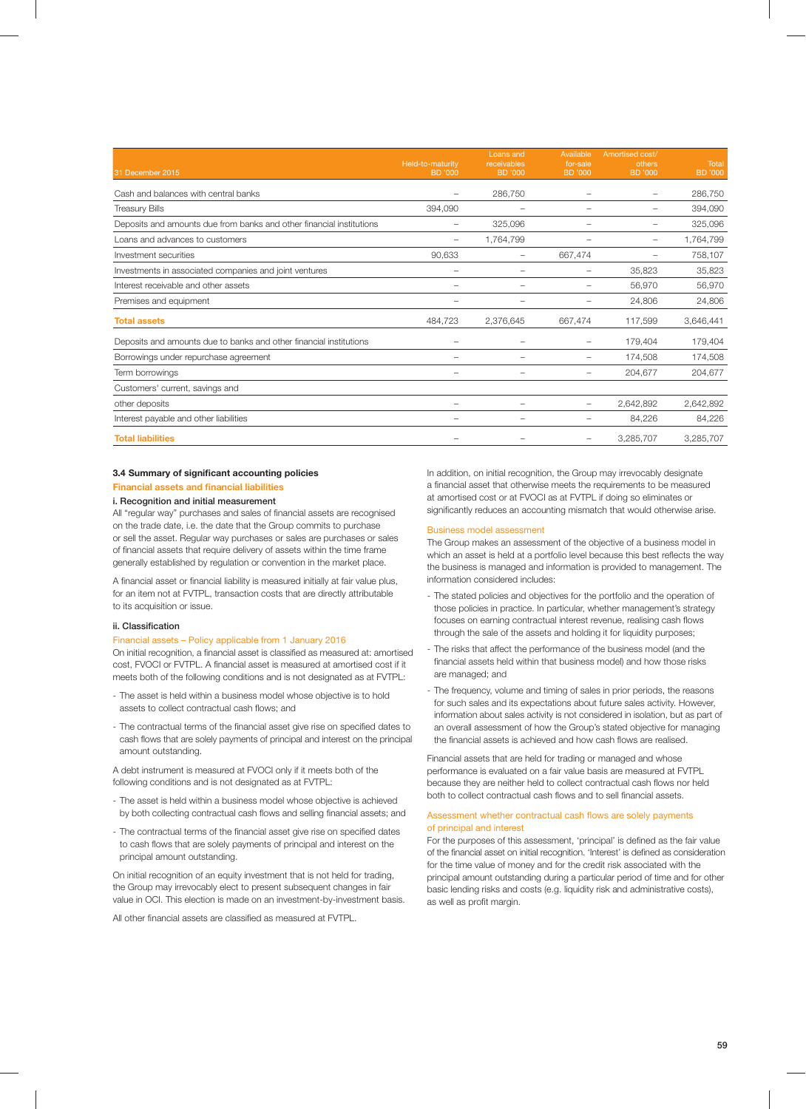| 31 December 2015                                                     | Held-to-maturity<br><b>BD</b> '000 | Loans and<br>receivables<br><b>BD</b> '000 | Available<br>for-sale<br><b>BD</b> '000 | Amortised cost/<br>others<br>BD '000 | Total<br><b>BD</b> '000 |
|----------------------------------------------------------------------|------------------------------------|--------------------------------------------|-----------------------------------------|--------------------------------------|-------------------------|
| Cash and balances with central banks                                 | -                                  | 286,750                                    |                                         | -                                    | 286,750                 |
| <b>Treasury Bills</b>                                                | 394,090                            |                                            |                                         | -                                    | 394,090                 |
| Deposits and amounts due from banks and other financial institutions | -                                  | 325,096                                    |                                         | -                                    | 325,096                 |
| Loans and advances to customers                                      | -                                  | 1,764,799                                  |                                         | $\qquad \qquad -$                    | 1,764,799               |
| Investment securities                                                | 90,633                             | -                                          | 667,474                                 | -                                    | 758,107                 |
| Investments in associated companies and joint ventures               |                                    |                                            |                                         | 35,823                               | 35,823                  |
| Interest receivable and other assets                                 |                                    |                                            |                                         | 56,970                               | 56,970                  |
| Premises and equipment                                               |                                    |                                            |                                         | 24,806                               | 24,806                  |
| <b>Total assets</b>                                                  | 484,723                            | 2,376,645                                  | 667,474                                 | 117,599                              | 3,646,441               |
| Deposits and amounts due to banks and other financial institutions   |                                    |                                            |                                         | 179,404                              | 179,404                 |
| Borrowings under repurchase agreement                                |                                    |                                            |                                         | 174,508                              | 174,508                 |
| Term borrowings                                                      |                                    |                                            |                                         | 204,677                              | 204,677                 |
| Customers' current, savings and                                      |                                    |                                            |                                         |                                      |                         |
| other deposits                                                       |                                    |                                            |                                         | 2,642,892                            | 2,642,892               |
| Interest payable and other liabilities                               | -                                  |                                            |                                         | 84,226                               | 84,226                  |
| <b>Total liabilities</b>                                             |                                    |                                            |                                         | 3,285,707                            | 3,285,707               |

## **3.4 Summary of significant accounting policies Financial assets and financial liabilities**

# **i. Recognition and initial measurement**

All "regular way" purchases and sales of financial assets are recognised on the trade date, i.e. the date that the Group commits to purchase or sell the asset. Regular way purchases or sales are purchases or sales of financial assets that require delivery of assets within the time frame generally established by regulation or convention in the market place.

A financial asset or financial liability is measured initially at fair value plus, for an item not at FVTPL, transaction costs that are directly attributable to its acquisition or issue.

## **ii.** Classification

### Financial assets – Policy applicable from 1 January 2016

On initial recognition, a financial asset is classified as measured at: amortised cost, FVOCI or FVTPL. A financial asset is measured at amortised cost if it meets both of the following conditions and is not designated as at FVTPL:

- The asset is held within a business model whose objective is to hold assets to collect contractual cash flows: and
- The contractual terms of the financial asset give rise on specified dates to cash flows that are solely payments of principal and interest on the principal amount outstanding.

A debt instrument is measured at FVOCI only if it meets both of the following conditions and is not designated as at FVTPL:

- The asset is held within a business model whose objective is achieved by both collecting contractual cash flows and selling financial assets; and
- The contractual terms of the financial asset give rise on specified dates to cash flows that are solely payments of principal and interest on the principal amount outstanding.

On initial recognition of an equity investment that is not held for trading, the Group may irrevocably elect to present subsequent changes in fair value in OCI. This election is made on an investment-by-investment basis.

All other financial assets are classified as measured at FVTPL.

In addition, on initial recognition, the Group may irrevocably designate a financial asset that otherwise meets the requirements to be measured at amortised cost or at FVOCI as at FVTPL if doing so eliminates or significantly reduces an accounting mismatch that would otherwise arise.

## Business model assessment

The Group makes an assessment of the objective of a business model in which an asset is held at a portfolio level because this best reflects the way the business is managed and information is provided to management. The information considered includes:

- The stated policies and objectives for the portfolio and the operation of those policies in practice. In particular, whether management's strategy focuses on earning contractual interest revenue, realising cash flows through the sale of the assets and holding it for liquidity purposes;
- The risks that affect the performance of the business model (and the financial assets held within that business model) and how those risks are managed; and
- The frequency, volume and timing of sales in prior periods, the reasons for such sales and its expectations about future sales activity. However, information about sales activity is not considered in isolation, but as part of an overall assessment of how the Group's stated objective for managing the financial assets is achieved and how cash flows are realised.

Financial assets that are held for trading or managed and whose performance is evaluated on a fair value basis are measured at FVTPL because they are neither held to collect contractual cash flows nor held both to collect contractual cash flows and to sell financial assets.

## Assessment whether contractual cash flows are solely payments of principal and interest

For the purposes of this assessment, 'principal' is defined as the fair value of the financial asset on initial recognition. 'Interest' is defined as consideration for the time value of money and for the credit risk associated with the principal amount outstanding during a particular period of time and for other basic lending risks and costs (e.g. liquidity risk and administrative costs), as well as profit margin.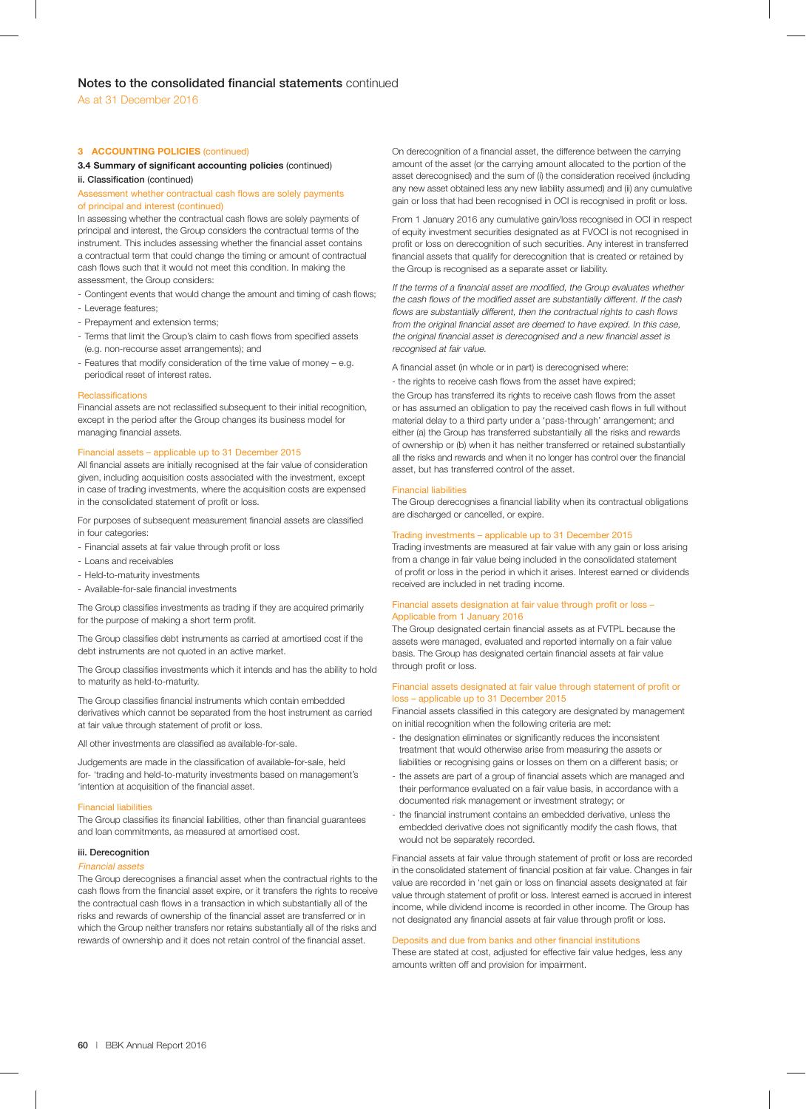## **3 ACCOUNTING POLICIES** (continued)

# **3.4 Summary of significant accounting policies (continued)**

# **ii. Classification** (continued)

## Assessment whether contractual cash flows are solely payments of principal and interest (continued)

In assessing whether the contractual cash flows are solely payments of principal and interest, the Group considers the contractual terms of the instrument. This includes assessing whether the financial asset contains a contractual term that could change the timing or amount of contractual cash flows such that it would not meet this condition. In making the assessment, the Group considers:

- Contingent events that would change the amount and timing of cash flows;
- Leverage features;
- Prepayment and extension terms;
- Terms that limit the Group's claim to cash flows from specified assets (e.g. non-recourse asset arrangements); and
- Features that modify consideration of the time value of money e.g. periodical reset of interest rates.

#### Reclassifications

Financial assets are not reclassified subsequent to their initial recognition, except in the period after the Group changes its business model for managing financial assets.

## Financial assets – applicable up to 31 December 2015

All financial assets are initially recognised at the fair value of consideration given, including acquisition costs associated with the investment, except in case of trading investments, where the acquisition costs are expensed in the consolidated statement of profit or loss.

For purposes of subsequent measurement financial assets are classified in four categories

- Financial assets at fair value through profit or loss
- Loans and receivables
- Held-to-maturity investments
- Available-for-sale financial investments

The Group classifies investments as trading if they are acquired primarily for the purpose of making a short term profit.

The Group classifies debt instruments as carried at amortised cost if the debt instruments are not quoted in an active market.

The Group classifies investments which it intends and has the ability to hold to maturity as held-to-maturity.

The Group classifies financial instruments which contain embedded derivatives which cannot be separated from the host instrument as carried at fair value through statement of profit or loss.

All other investments are classified as available-for-sale.

Judgements are made in the classification of available-for-sale, held for- 'trading and held-to-maturity investments based on management's 'intention at acquisition of the financial asset.

### Financial liabilities

The Group classifies its financial liabilities, other than financial guarantees and loan commitments, as measured at amortised cost.

### **iii. Derecognition**

#### Financial assets

The Group derecognises a financial asset when the contractual rights to the cash flows from the financial asset expire, or it transfers the rights to receive the contractual cash flows in a transaction in which substantially all of the risks and rewards of ownership of the financial asset are transferred or in which the Group neither transfers nor retains substantially all of the risks and rewards of ownership and it does not retain control of the financial asset.

On derecognition of a financial asset, the difference between the carrying amount of the asset (or the carrying amount allocated to the portion of the asset derecognised) and the sum of (i) the consideration received (including any new asset obtained less any new liability assumed) and (ii) any cumulative gain or loss that had been recognised in OCI is recognised in profit or loss.

From 1 January 2016 any cumulative gain/loss recognised in OCI in respect of equity investment securities designated as at FVOCI is not recognised in profit or loss on derecognition of such securities. Any interest in transferred financial assets that qualify for derecognition that is created or retained by the Group is recognised as a separate asset or liability.

If the terms of a financial asset are modified, the Group evaluates whether the cash flows of the modified asset are substantially different. If the cash flows are substantially different, then the contractual rights to cash flows from the original financial asset are deemed to have expired. In this case, the original financial asset is derecognised and a new financial asset is recognised at fair value.

A financial asset (in whole or in part) is derecognised where:

- the rights to receive cash flows from the asset have expired; the Group has transferred its rights to receive cash flows from the asset or has assumed an obligation to pay the received cash flows in full without material delay to a third party under a 'pass-through' arrangement; and either (a) the Group has transferred substantially all the risks and rewards of ownership or (b) when it has neither transferred or retained substantially all the risks and rewards and when it no longer has control over the financial asset, but has transferred control of the asset.

## Financial liabilities

The Group derecognises a financial liability when its contractual obligations are discharged or cancelled, or expire.

## Trading investments – applicable up to 31 December 2015

Trading investments are measured at fair value with any gain or loss arising from a change in fair value being included in the consolidated statement of profit or loss in the period in which it arises. Interest earned or dividends received are included in net trading income.

## Financial assets designation at fair value through profit or loss -Applicable from 1 January 2016

The Group designated certain financial assets as at FVTPL because the assets were managed, evaluated and reported internally on a fair value basis. The Group has designated certain financial assets at fair value through profit or loss.

## Financial assets designated at fair value through statement of profit or loss – applicable up to 31 December 2015

Financial assets classified in this category are designated by management on initial recognition when the following criteria are met:

- the designation eliminates or significantly reduces the inconsistent treatment that would otherwise arise from measuring the assets or liabilities or recognising gains or losses on them on a different basis; or
- the assets are part of a group of financial assets which are managed and their performance evaluated on a fair value basis, in accordance with a documented risk management or investment strategy; or
- the financial instrument contains an embedded derivative, unless the embedded derivative does not significantly modify the cash flows, that would not be separately recorded.

Financial assets at fair value through statement of profit or loss are recorded in the consolidated statement of financial position at fair value. Changes in fair value are recorded in 'net gain or loss on financial assets designated at fair value through statement of profit or loss. Interest earned is accrued in interest income, while dividend income is recorded in other income. The Group has not designated any financial assets at fair value through profit or loss.

## Deposits and due from banks and other financial institutions

These are stated at cost, adjusted for effective fair value hedges, less any amounts written off and provision for impairment.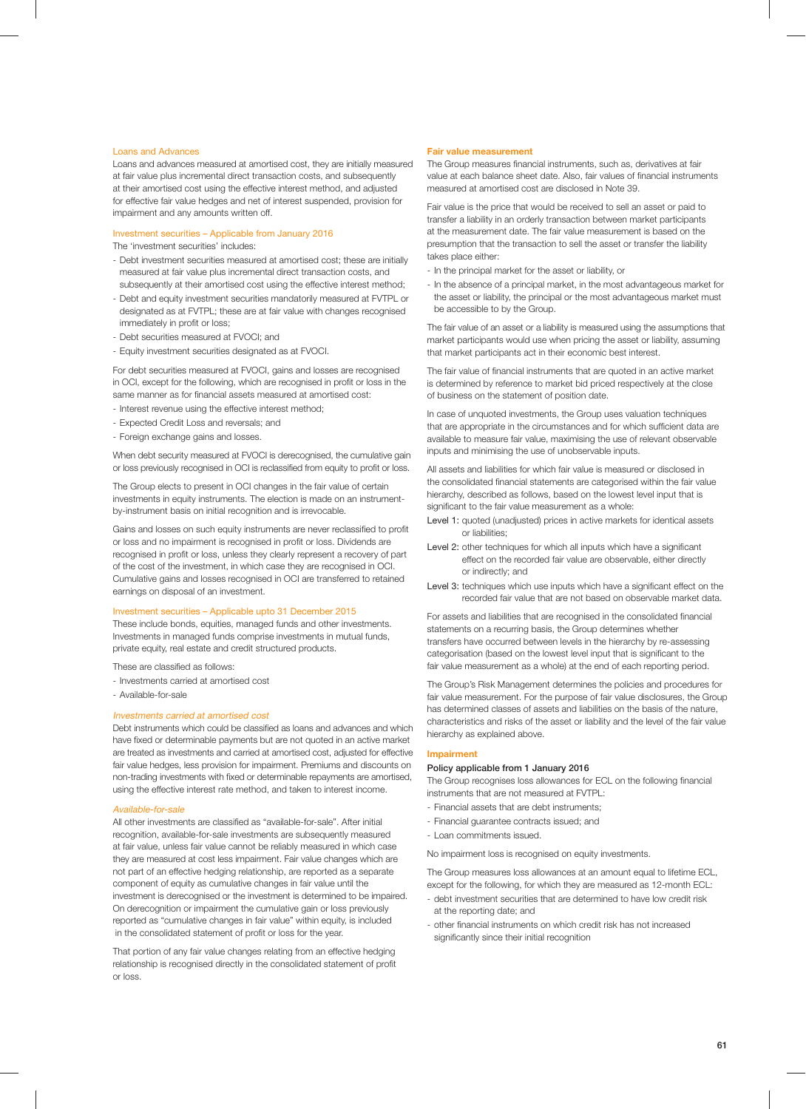## Loans and Advances

Loans and advances measured at amortised cost, they are initially measured at fair value plus incremental direct transaction costs, and subsequently at their amortised cost using the effective interest method, and adjusted for effective fair value hedges and net of interest suspended, provision for impairment and any amounts written off.

Investment securities – Applicable from January 2016 The 'investment securities' includes:

- Debt investment securities measured at amortised cost; these are initially measured at fair value plus incremental direct transaction costs, and subsequently at their amortised cost using the effective interest method;
- Debt and equity investment securities mandatorily measured at FVTPL or designated as at FVTPL; these are at fair value with changes recognised immediately in profit or loss;
- Debt securities measured at FVOCI; and
- Equity investment securities designated as at FVOCI.

For debt securities measured at FVOCI, gains and losses are recognised in OCI, except for the following, which are recognised in profit or loss in the same manner as for financial assets measured at amortised cost:

- Interest revenue using the effective interest method;
- Expected Credit Loss and reversals; and
- Foreign exchange gains and losses.

When debt security measured at FVOCI is derecognised, the cumulative gain or loss previously recognised in OCI is reclassified from equity to profit or loss.

The Group elects to present in OCI changes in the fair value of certain investments in equity instruments. The election is made on an instrumentby-instrument basis on initial recognition and is irrevocable.

Gains and losses on such equity instruments are never reclassified to profit or loss and no impairment is recognised in profit or loss. Dividends are recognised in profit or loss, unless they clearly represent a recovery of part of the cost of the investment, in which case they are recognised in OCI. Cumulative gains and losses recognised in OCI are transferred to retained earnings on disposal of an investment.

#### Investment securities – Applicable upto 31 December 2015

These include bonds, equities, managed funds and other investments. Investments in managed funds comprise investments in mutual funds, private equity, real estate and credit structured products.

These are classified as follows:

- Investments carried at amortised cost
- Available-for-sale

## Investments carried at amortised cost

Debt instruments which could be classified as loans and advances and which have fixed or determinable payments but are not quoted in an active market are treated as investments and carried at amortised cost, adjusted for effective fair value hedges, less provision for impairment. Premiums and discounts on non-trading investments with fixed or determinable repayments are amortised, using the effective interest rate method, and taken to interest income.

### Available-for-sale

All other investments are classified as "available-for-sale". After initial recognition, available-for-sale investments are subsequently measured at fair value, unless fair value cannot be reliably measured in which case they are measured at cost less impairment. Fair value changes which are not part of an effective hedging relationship, are reported as a separate component of equity as cumulative changes in fair value until the investment is derecognised or the investment is determined to be impaired. On derecognition or impairment the cumulative gain or loss previously reported as "cumulative changes in fair value" within equity, is included in the consolidated statement of profit or loss for the year.

That portion of any fair value changes relating from an effective hedging relationship is recognised directly in the consolidated statement of profit or loss.

#### **Fair value measurement**

The Group measures financial instruments, such as, derivatives at fair value at each balance sheet date. Also, fair values of financial instruments measured at amortised cost are disclosed in Note 39.

Fair value is the price that would be received to sell an asset or paid to transfer a liability in an orderly transaction between market participants at the measurement date. The fair value measurement is based on the presumption that the transaction to sell the asset or transfer the liability takes place either:

- In the principal market for the asset or liability, or
- In the absence of a principal market, in the most advantageous market for the asset or liability, the principal or the most advantageous market must be accessible to by the Group.

The fair value of an asset or a liability is measured using the assumptions that market participants would use when pricing the asset or liability, assuming that market participants act in their economic best interest.

The fair value of financial instruments that are quoted in an active market is determined by reference to market bid priced respectively at the close of business on the statement of position date.

In case of unquoted investments, the Group uses valuation techniques that are appropriate in the circumstances and for which sufficient data are available to measure fair value, maximising the use of relevant observable inputs and minimising the use of unobservable inputs.

All assets and liabilities for which fair value is measured or disclosed in the consolidated financial statements are categorised within the fair value hierarchy, described as follows, based on the lowest level input that is significant to the fair value measurement as a whole:

- Level 1: quoted (unadjusted) prices in active markets for identical assets or liabilities;
- Level 2: other techniques for which all inputs which have a significant effect on the recorded fair value are observable, either directly or indirectly; and
- Level 3: techniques which use inputs which have a significant effect on the recorded fair value that are not based on observable market data.

For assets and liabilities that are recognised in the consolidated financial statements on a recurring basis, the Group determines whether transfers have occurred between levels in the hierarchy by re-assessing categorisation (based on the lowest level input that is significant to the fair value measurement as a whole) at the end of each reporting period.

The Group's Risk Management determines the policies and procedures for fair value measurement. For the purpose of fair value disclosures, the Group has determined classes of assets and liabilities on the basis of the nature, characteristics and risks of the asset or liability and the level of the fair value hierarchy as explained above.

## **Impairment**

## **Policy applicable from 1 January 2016**

The Group recognises loss allowances for ECL on the following financial instruments that are not measured at FVTPL:

- Financial assets that are debt instruments;
- Financial guarantee contracts issued; and
- Loan commitments issued.

No impairment loss is recognised on equity investments.

The Group measures loss allowances at an amount equal to lifetime ECL, except for the following, for which they are measured as 12-month ECL:

- debt investment securities that are determined to have low credit risk at the reporting date; and
- other financial instruments on which credit risk has not increased significantly since their initial recognition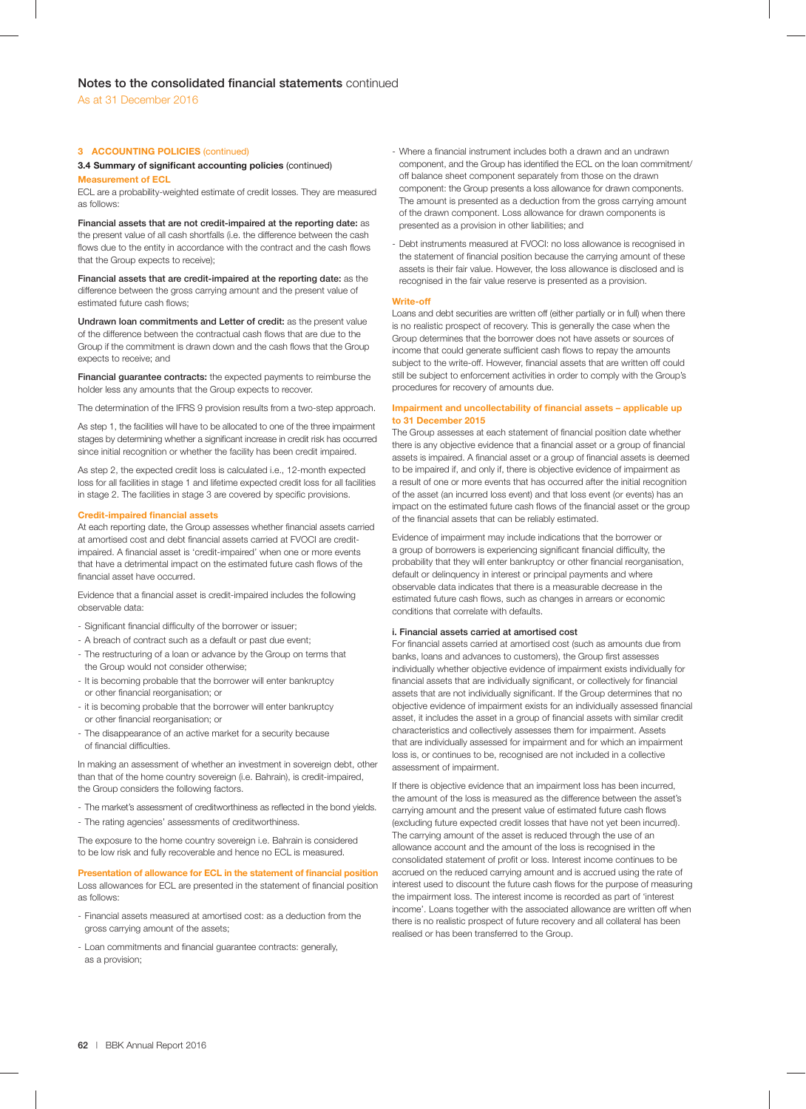## **3 ACCOUNTING POLICIES** (continued)

## **3.4 Summary of significant accounting policies (continued)**

## **Measurement of ECL**

ECL are a probability-weighted estimate of credit losses. They are measured as follows:

**Financial assets that are not credit-impaired at the reporting date:** as the present value of all cash shortfalls (i.e. the difference between the cash flows due to the entity in accordance with the contract and the cash flows that the Group expects to receive);

**Financial assets that are credit-impaired at the reporting date:** as the difference between the gross carrying amount and the present value of estimated future cash flows;

**Undrawn loan commitments and Letter of credit:** as the present value of the difference between the contractual cash flows that are due to the Group if the commitment is drawn down and the cash flows that the Group expects to receive; and

**Financial guarantee contracts:** the expected payments to reimburse the holder less any amounts that the Group expects to recover.

The determination of the IFRS 9 provision results from a two-step approach.

As step 1, the facilities will have to be allocated to one of the three impairment stages by determining whether a significant increase in credit risk has occurred since initial recognition or whether the facility has been credit impaired.

As step 2, the expected credit loss is calculated i.e., 12-month expected loss for all facilities in stage 1 and lifetime expected credit loss for all facilities in stage 2. The facilities in stage 3 are covered by specific provisions.

## **Credit-impaired financial assets**

At each reporting date, the Group assesses whether financial assets carried at amortised cost and debt financial assets carried at FVOCI are creditimpaired. A financial asset is 'credit-impaired' when one or more events that have a detrimental impact on the estimated future cash flows of the financial asset have occurred.

Evidence that a financial asset is credit-impaired includes the following observable data:

- Significant financial difficulty of the borrower or issuer;
- A breach of contract such as a default or past due event;
- The restructuring of a loan or advance by the Group on terms that the Group would not consider otherwise;
- It is becoming probable that the borrower will enter bankruptcy or other financial reorganisation; or
- it is becoming probable that the borrower will enter bankruptcy or other financial reorganisation; or
- The disappearance of an active market for a security because of financial difficulties.

In making an assessment of whether an investment in sovereign debt, other than that of the home country sovereign (i.e. Bahrain), is credit-impaired, the Group considers the following factors.

- The market's assessment of creditworthiness as reflected in the bond yields.
- The rating agencies' assessments of creditworthiness.

The exposure to the home country sovereign i.e. Bahrain is considered to be low risk and fully recoverable and hence no ECL is measured.

### **Presentation of allowance for ECL in the statement of financial position**

Loss allowances for ECL are presented in the statement of financial position as follows:

- Financial assets measured at amortised cost: as a deduction from the gross carrying amount of the assets;
- Loan commitments and financial guarantee contracts: generally, as a provision;
- Where a financial instrument includes both a drawn and an undrawn component, and the Group has identified the ECL on the loan commitment/ off balance sheet component separately from those on the drawn component: the Group presents a loss allowance for drawn components. The amount is presented as a deduction from the gross carrying amount of the drawn component. Loss allowance for drawn components is presented as a provision in other liabilities; and
- Debt instruments measured at FVOCI: no loss allowance is recognised in the statement of financial position because the carrying amount of these assets is their fair value. However, the loss allowance is disclosed and is recognised in the fair value reserve is presented as a provision.

### **Write-off**

Loans and debt securities are written off (either partially or in full) when there is no realistic prospect of recovery. This is generally the case when the Group determines that the borrower does not have assets or sources of income that could generate sufficient cash flows to repay the amounts subject to the write-off. However, financial assets that are written off could still be subject to enforcement activities in order to comply with the Group's procedures for recovery of amounts due.

## **Impairment and uncollectability of financial assets - applicable up to 31 December 2015**

The Group assesses at each statement of financial position date whether there is any objective evidence that a financial asset or a group of financial assets is impaired. A financial asset or a group of financial assets is deemed to be impaired if, and only if, there is objective evidence of impairment as a result of one or more events that has occurred after the initial recognition of the asset (an incurred loss event) and that loss event (or events) has an impact on the estimated future cash flows of the financial asset or the group of the financial assets that can be reliably estimated.

Evidence of impairment may include indications that the borrower or a group of borrowers is experiencing significant financial difficulty, the probability that they will enter bankruptcy or other financial reorganisation, default or delinquency in interest or principal payments and where observable data indicates that there is a measurable decrease in the estimated future cash flows, such as changes in arrears or economic conditions that correlate with defaults.

## **i. Financial assets carried at amortised cost**

For financial assets carried at amortised cost (such as amounts due from banks, loans and advances to customers), the Group first assesses individually whether objective evidence of impairment exists individually for financial assets that are individually significant, or collectively for financial assets that are not individually significant. If the Group determines that no objective evidence of impairment exists for an individually assessed financial asset, it includes the asset in a group of financial assets with similar credit characteristics and collectively assesses them for impairment. Assets that are individually assessed for impairment and for which an impairment loss is, or continues to be, recognised are not included in a collective assessment of impairment.

If there is objective evidence that an impairment loss has been incurred, the amount of the loss is measured as the difference between the asset's carrying amount and the present value of estimated future cash flows (excluding future expected credit losses that have not yet been incurred). The carrying amount of the asset is reduced through the use of an allowance account and the amount of the loss is recognised in the consolidated statement of profit or loss. Interest income continues to be accrued on the reduced carrying amount and is accrued using the rate of interest used to discount the future cash flows for the purpose of measuring the impairment loss. The interest income is recorded as part of 'interest income'. Loans together with the associated allowance are written off when there is no realistic prospect of future recovery and all collateral has been realised or has been transferred to the Group.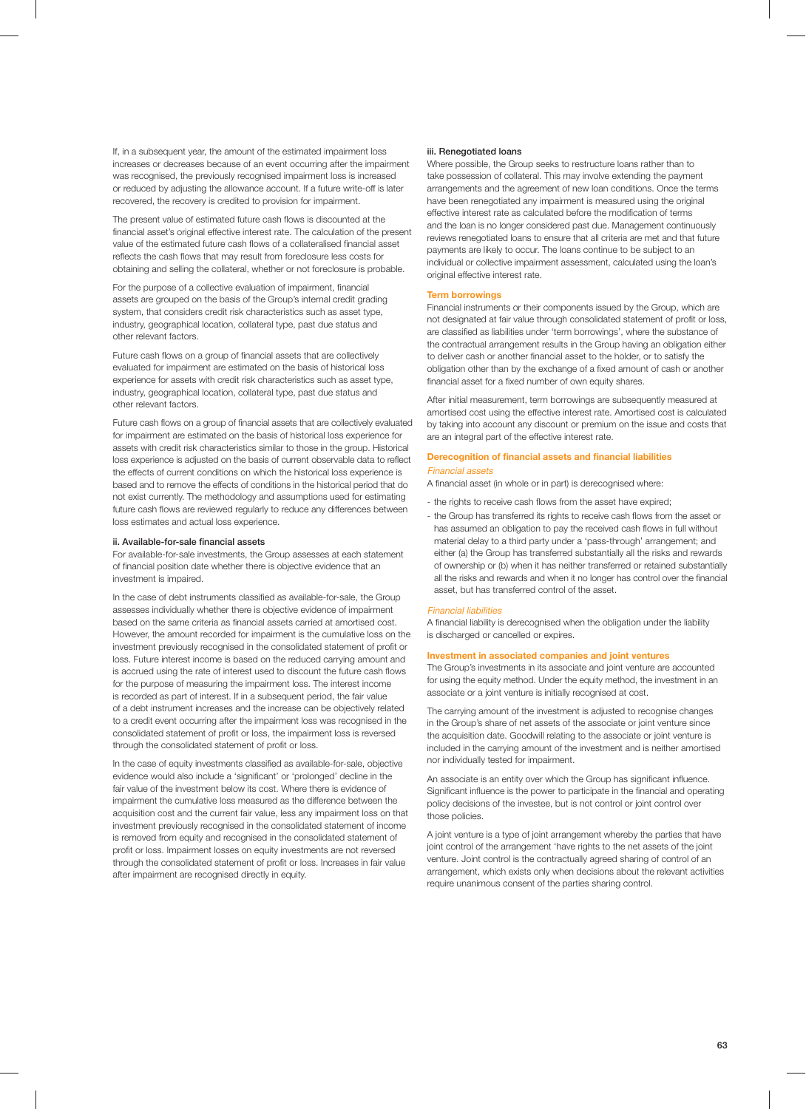If, in a subsequent year, the amount of the estimated impairment loss increases or decreases because of an event occurring after the impairment was recognised, the previously recognised impairment loss is increased or reduced by adjusting the allowance account. If a future write-off is later recovered, the recovery is credited to provision for impairment.

The present value of estimated future cash flows is discounted at the financial asset's original effective interest rate. The calculation of the present value of the estimated future cash flows of a collateralised financial asset reflects the cash flows that may result from foreclosure less costs for obtaining and selling the collateral, whether or not foreclosure is probable.

For the purpose of a collective evaluation of impairment, financial assets are grouped on the basis of the Group's internal credit grading system, that considers credit risk characteristics such as asset type, industry, geographical location, collateral type, past due status and other relevant factors.

Future cash flows on a group of financial assets that are collectively evaluated for impairment are estimated on the basis of historical loss experience for assets with credit risk characteristics such as asset type, industry, geographical location, collateral type, past due status and other relevant factors.

Future cash flows on a group of financial assets that are collectively evaluated for impairment are estimated on the basis of historical loss experience for assets with credit risk characteristics similar to those in the group. Historical loss experience is adjusted on the basis of current observable data to reflect the effects of current conditions on which the historical loss experience is based and to remove the effects of conditions in the historical period that do not exist currently. The methodology and assumptions used for estimating future cash flows are reviewed regularly to reduce any differences between loss estimates and actual loss experience.

#### **ii.** Available-for-sale financial assets

For available-for-sale investments, the Group assesses at each statement of financial position date whether there is objective evidence that an investment is impaired.

In the case of debt instruments classified as available-for-sale, the Group assesses individually whether there is objective evidence of impairment based on the same criteria as financial assets carried at amortised cost. However, the amount recorded for impairment is the cumulative loss on the investment previously recognised in the consolidated statement of profit or loss. Future interest income is based on the reduced carrying amount and is accrued using the rate of interest used to discount the future cash flows for the purpose of measuring the impairment loss. The interest income is recorded as part of interest. If in a subsequent period, the fair value of a debt instrument increases and the increase can be objectively related to a credit event occurring after the impairment loss was recognised in the consolidated statement of profit or loss, the impairment loss is reversed through the consolidated statement of profit or loss.

In the case of equity investments classified as available-for-sale, objective evidence would also include a 'significant' or 'prolonged' decline in the fair value of the investment below its cost. Where there is evidence of impairment the cumulative loss measured as the difference between the acquisition cost and the current fair value, less any impairment loss on that investment previously recognised in the consolidated statement of income is removed from equity and recognised in the consolidated statement of profit or loss. Impairment losses on equity investments are not reversed through the consolidated statement of profit or loss. Increases in fair value after impairment are recognised directly in equity.

### **iii. Renegotiated loans**

Where possible, the Group seeks to restructure loans rather than to take possession of collateral. This may involve extending the payment arrangements and the agreement of new loan conditions. Once the terms have been renegotiated any impairment is measured using the original effective interest rate as calculated before the modification of terms and the loan is no longer considered past due. Management continuously reviews renegotiated loans to ensure that all criteria are met and that future payments are likely to occur. The loans continue to be subject to an individual or collective impairment assessment, calculated using the loan's original effective interest rate.

## **Term borrowings**

Financial instruments or their components issued by the Group, which are not designated at fair value through consolidated statement of profit or loss, are classified as liabilities under 'term borrowings', where the substance of the contractual arrangement results in the Group having an obligation either to deliver cash or another financial asset to the holder, or to satisfy the obligation other than by the exchange of a fixed amount of cash or another financial asset for a fixed number of own equity shares.

After initial measurement, term borrowings are subsequently measured at amortised cost using the effective interest rate. Amortised cost is calculated by taking into account any discount or premium on the issue and costs that are an integral part of the effective interest rate.

## **Derecognition of financial assets and financial liabilities** Financial assets

A financial asset (in whole or in part) is derecognised where:

- the rights to receive cash flows from the asset have expired;
- the Group has transferred its rights to receive cash flows from the asset or has assumed an obligation to pay the received cash flows in full without material delay to a third party under a 'pass-through' arrangement; and either (a) the Group has transferred substantially all the risks and rewards of ownership or (b) when it has neither transferred or retained substantially all the risks and rewards and when it no longer has control over the financial asset, but has transferred control of the asset.

#### Financial liabilities

A financial liability is derecognised when the obligation under the liability is discharged or cancelled or expires.

### **Investment in associated companies and joint ventures**

The Group's investments in its associate and joint venture are accounted for using the equity method. Under the equity method, the investment in an associate or a joint venture is initially recognised at cost.

The carrying amount of the investment is adjusted to recognise changes in the Group's share of net assets of the associate or joint venture since the acquisition date. Goodwill relating to the associate or joint venture is included in the carrying amount of the investment and is neither amortised nor individually tested for impairment.

An associate is an entity over which the Group has significant influence. Significant influence is the power to participate in the financial and operating policy decisions of the investee, but is not control or joint control over those policies.

A joint venture is a type of joint arrangement whereby the parties that have joint control of the arrangement 'have rights to the net assets of the joint venture. Joint control is the contractually agreed sharing of control of an arrangement, which exists only when decisions about the relevant activities require unanimous consent of the parties sharing control.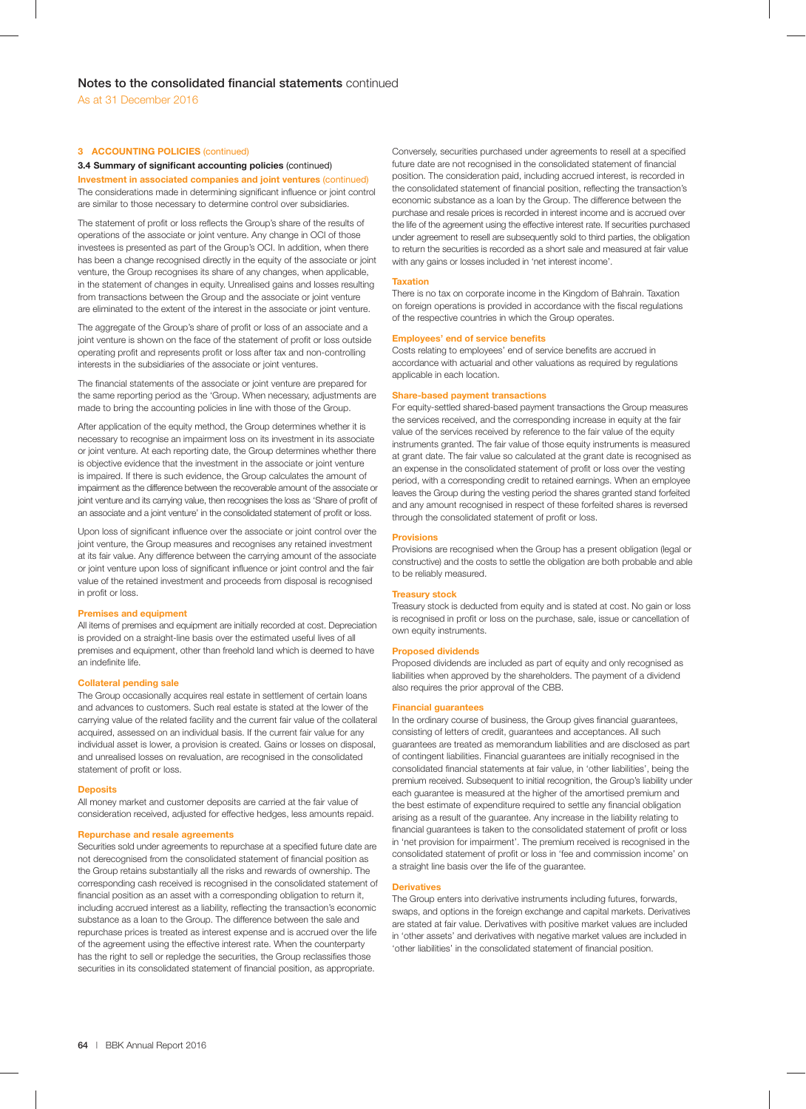## **3 ACCOUNTING POLICIES** (continued)

## **3.4 Summary of significant accounting policies (continued)**

**Investment in associated companies and joint ventures** (continued) The considerations made in determining significant influence or joint control are similar to those necessary to determine control over subsidiaries.

The statement of profit or loss reflects the Group's share of the results of operations of the associate or joint venture. Any change in OCI of those investees is presented as part of the Group's OCI. In addition, when there has been a change recognised directly in the equity of the associate or joint venture, the Group recognises its share of any changes, when applicable, in the statement of changes in equity. Unrealised gains and losses resulting from transactions between the Group and the associate or joint venture are eliminated to the extent of the interest in the associate or joint venture.

The aggregate of the Group's share of profit or loss of an associate and a joint venture is shown on the face of the statement of profit or loss outside operating profit and represents profit or loss after tax and non-controlling interests in the subsidiaries of the associate or joint ventures.

The financial statements of the associate or joint venture are prepared for the same reporting period as the 'Group. When necessary, adjustments are made to bring the accounting policies in line with those of the Group.

After application of the equity method, the Group determines whether it is necessary to recognise an impairment loss on its investment in its associate or joint venture. At each reporting date, the Group determines whether there is objective evidence that the investment in the associate or joint venture is impaired. If there is such evidence, the Group calculates the amount of impairment as the difference between the recoverable amount of the associate or joint venture and its carrying value, then recognises the loss as 'Share of profit of an associate and a joint venture' in the consolidated statement of profit or loss.

Upon loss of significant influence over the associate or joint control over the joint venture, the Group measures and recognises any retained investment at its fair value. Any difference between the carrying amount of the associate or joint venture upon loss of significant influence or joint control and the fair value of the retained investment and proceeds from disposal is recognised in profit or loss.

## **Premises and equipment**

All items of premises and equipment are initially recorded at cost. Depreciation is provided on a straight-line basis over the estimated useful lives of all premises and equipment, other than freehold land which is deemed to have an indefinite life.

## **Collateral pending sale**

The Group occasionally acquires real estate in settlement of certain loans and advances to customers. Such real estate is stated at the lower of the carrying value of the related facility and the current fair value of the collateral acquired, assessed on an individual basis. If the current fair value for any individual asset is lower, a provision is created. Gains or losses on disposal, and unrealised losses on revaluation, are recognised in the consolidated statement of profit or loss.

## **Deposits**

All money market and customer deposits are carried at the fair value of consideration received, adjusted for effective hedges, less amounts repaid.

## **Repurchase and resale agreements**

Securities sold under agreements to repurchase at a specified future date are not derecognised from the consolidated statement of financial position as the Group retains substantially all the risks and rewards of ownership. The corresponding cash received is recognised in the consolidated statement of financial position as an asset with a corresponding obligation to return it, including accrued interest as a liability, reflecting the transaction's economic substance as a loan to the Group. The difference between the sale and repurchase prices is treated as interest expense and is accrued over the life of the agreement using the effective interest rate. When the counterparty has the right to sell or repledge the securities, the Group reclassifies those securities in its consolidated statement of financial position, as appropriate.

Conversely, securities purchased under agreements to resell at a specified future date are not recognised in the consolidated statement of financial position. The consideration paid, including accrued interest, is recorded in the consolidated statement of financial position, reflecting the transaction's economic substance as a loan by the Group. The difference between the purchase and resale prices is recorded in interest income and is accrued over the life of the agreement using the effective interest rate. If securities purchased under agreement to resell are subsequently sold to third parties, the obligation to return the securities is recorded as a short sale and measured at fair value with any gains or losses included in 'net interest income'.

#### **Taxation**

There is no tax on corporate income in the Kingdom of Bahrain. Taxation on foreign operations is provided in accordance with the fiscal regulations of the respective countries in which the Group operates.

#### **Employees' end of service benefits**

Costs relating to employees' end of service benefits are accrued in accordance with actuarial and other valuations as required by regulations applicable in each location.

## **Share-based payment transactions**

For equity-settled shared-based payment transactions the Group measures the services received, and the corresponding increase in equity at the fair value of the services received by reference to the fair value of the equity instruments granted. The fair value of those equity instruments is measured at grant date. The fair value so calculated at the grant date is recognised as an expense in the consolidated statement of profit or loss over the vesting period, with a corresponding credit to retained earnings. When an employee leaves the Group during the vesting period the shares granted stand forfeited and any amount recognised in respect of these forfeited shares is reversed through the consolidated statement of profit or loss.

#### **Provisions**

Provisions are recognised when the Group has a present obligation (legal or constructive) and the costs to settle the obligation are both probable and able to be reliably measured.

#### **Treasury stock**

Treasury stock is deducted from equity and is stated at cost. No gain or loss is recognised in profit or loss on the purchase, sale, issue or cancellation of own equity instruments.

#### **Proposed dividends**

Proposed dividends are included as part of equity and only recognised as liabilities when approved by the shareholders. The payment of a dividend also requires the prior approval of the CBB.

#### **Financial guarantees**

In the ordinary course of business, the Group gives financial guarantees, consisting of letters of credit, guarantees and acceptances. All such guarantees are treated as memorandum liabilities and are disclosed as part of contingent liabilities. Financial guarantees are initially recognised in the consolidated financial statements at fair value, in 'other liabilities', being the premium received. Subsequent to initial recognition, the Group's liability under each guarantee is measured at the higher of the amortised premium and the best estimate of expenditure required to settle any financial obligation arising as a result of the guarantee. Any increase in the liability relating to financial guarantees is taken to the consolidated statement of profit or loss in 'net provision for impairment'. The premium received is recognised in the consolidated statement of profit or loss in 'fee and commission income' on a straight line basis over the life of the guarantee.

### **Derivatives**

The Group enters into derivative instruments including futures, forwards, swaps, and options in the foreign exchange and capital markets. Derivatives are stated at fair value. Derivatives with positive market values are included in 'other assets' and derivatives with negative market values are included in 'other liabilities' in the consolidated statement of financial position.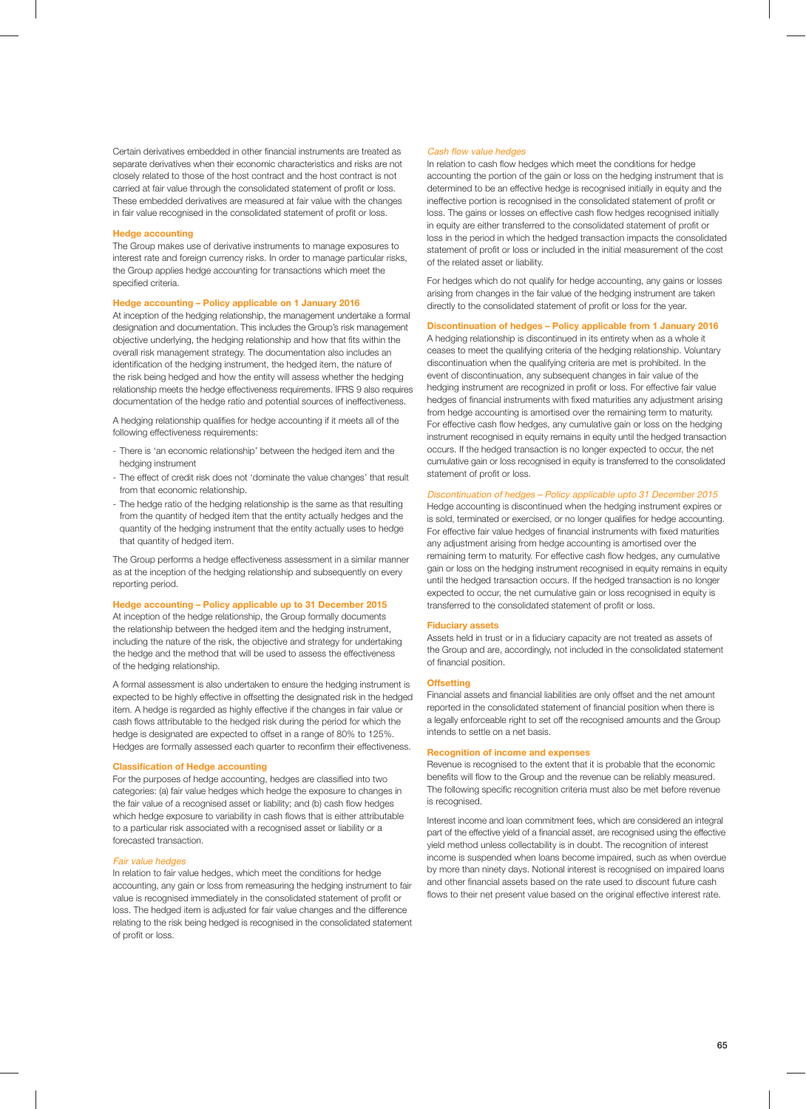Certain derivatives embedded in other financial instruments are treated as separate derivatives when their economic characteristics and risks are not closely related to those of the host contract and the host contract is not carried at fair value through the consolidated statement of profit or loss. These embedded derivatives are measured at fair value with the changes in fair value recognised in the consolidated statement of profit or loss.

## **Hedge accounting**

The Group makes use of derivative instruments to manage exposures to interest rate and foreign currency risks. In order to manage particular risks, the Group applies hedge accounting for transactions which meet the specified criteria.

## **Hedge accounting – Policy applicable on 1 January 2016**

At inception of the hedging relationship, the management undertake a formal designation and documentation. This includes the Group's risk management objective underlying, the hedging relationship and how that fits within the overall risk management strategy. The documentation also includes an identification of the hedging instrument, the hedged item, the nature of the risk being hedged and how the entity will assess whether the hedging relationship meets the hedge effectiveness requirements. IFRS 9 also requires documentation of the hedge ratio and potential sources of ineffectiveness.

A hedging relationship qualifies for hedge accounting if it meets all of the following effectiveness requirements:

- There is 'an economic relationship' between the hedged item and the hedging instrument
- The effect of credit risk does not 'dominate the value changes' that result from that economic relationship.
- The hedge ratio of the hedging relationship is the same as that resulting from the quantity of hedged item that the entity actually hedges and the quantity of the hedging instrument that the entity actually uses to hedge that quantity of hedged item.

The Group performs a hedge effectiveness assessment in a similar manner as at the inception of the hedging relationship and subsequently on every reporting period.

## **Hedge accounting – Policy applicable up to 31 December 2015**

At inception of the hedge relationship, the Group formally documents the relationship between the hedged item and the hedging instrument, including the nature of the risk, the objective and strategy for undertaking the hedge and the method that will be used to assess the effectiveness of the hedging relationship.

A formal assessment is also undertaken to ensure the hedging instrument is expected to be highly effective in offsetting the designated risk in the hedged item. A hedge is regarded as highly effective if the changes in fair value or cash flows attributable to the hedged risk during the period for which the hedge is designated are expected to offset in a range of 80% to 125%. Hedges are formally assessed each quarter to reconfirm their effectiveness.

## **Classification of Hedge accounting**

For the purposes of hedge accounting, hedges are classified into two categories: (a) fair value hedges which hedge the exposure to changes in the fair value of a recognised asset or liability; and (b) cash flow hedges which hedge exposure to variability in cash flows that is either attributable to a particular risk associated with a recognised asset or liability or a forecasted transaction.

#### Fair value hedges

In relation to fair value hedges, which meet the conditions for hedge accounting, any gain or loss from remeasuring the hedging instrument to fair value is recognised immediately in the consolidated statement of profit or loss. The hedged item is adjusted for fair value changes and the difference relating to the risk being hedged is recognised in the consolidated statement of profit or loss.

#### Cash flow value hedges

In relation to cash flow hedges which meet the conditions for hedge accounting the portion of the gain or loss on the hedging instrument that is determined to be an effective hedge is recognised initially in equity and the ineffective portion is recognised in the consolidated statement of profit or loss. The gains or losses on effective cash flow hedges recognised initially in equity are either transferred to the consolidated statement of profit or loss in the period in which the hedged transaction impacts the consolidated statement of profit or loss or included in the initial measurement of the cost of the related asset or liability.

For hedges which do not qualify for hedge accounting, any gains or losses arising from changes in the fair value of the hedging instrument are taken directly to the consolidated statement of profit or loss for the year.

## **Discontinuation of hedges – Policy applicable from 1 January 2016**

A hedging relationship is discontinued in its entirety when as a whole it ceases to meet the qualifying criteria of the hedging relationship. Voluntary discontinuation when the qualifying criteria are met is prohibited. In the event of discontinuation, any subsequent changes in fair value of the hedging instrument are recognized in profit or loss. For effective fair value hedges of financial instruments with fixed maturities any adjustment arising from hedge accounting is amortised over the remaining term to maturity. For effective cash flow hedges, any cumulative gain or loss on the hedging instrument recognised in equity remains in equity until the hedged transaction occurs. If the hedged transaction is no longer expected to occur, the net cumulative gain or loss recognised in equity is transferred to the consolidated statement of profit or loss.

## Discontinuation of hedges – Policy applicable upto 31 December 2015

Hedge accounting is discontinued when the hedging instrument expires or is sold, terminated or exercised, or no longer qualifies for hedge accounting. For effective fair value hedges of financial instruments with fixed maturities any adjustment arising from hedge accounting is amortised over the remaining term to maturity. For effective cash flow hedges, any cumulative gain or loss on the hedging instrument recognised in equity remains in equity until the hedged transaction occurs. If the hedged transaction is no longer expected to occur, the net cumulative gain or loss recognised in equity is transferred to the consolidated statement of profit or loss.

#### **Fiduciary assets**

Assets held in trust or in a fiduciary capacity are not treated as assets of the Group and are, accordingly, not included in the consolidated statement of financial position.

## **Offsetting**

Financial assets and financial liabilities are only offset and the net amount reported in the consolidated statement of financial position when there is a legally enforceable right to set off the recognised amounts and the Group intends to settle on a net basis.

## **Recognition of income and expenses**

Revenue is recognised to the extent that it is probable that the economic benefits will flow to the Group and the revenue can be reliably measured. The following specific recognition criteria must also be met before revenue is recognised.

Interest income and loan commitment fees, which are considered an integral part of the effective yield of a financial asset, are recognised using the effective yield method unless collectability is in doubt. The recognition of interest income is suspended when loans become impaired, such as when overdue by more than ninety days. Notional interest is recognised on impaired loans and other financial assets based on the rate used to discount future cash flows to their net present value based on the original effective interest rate.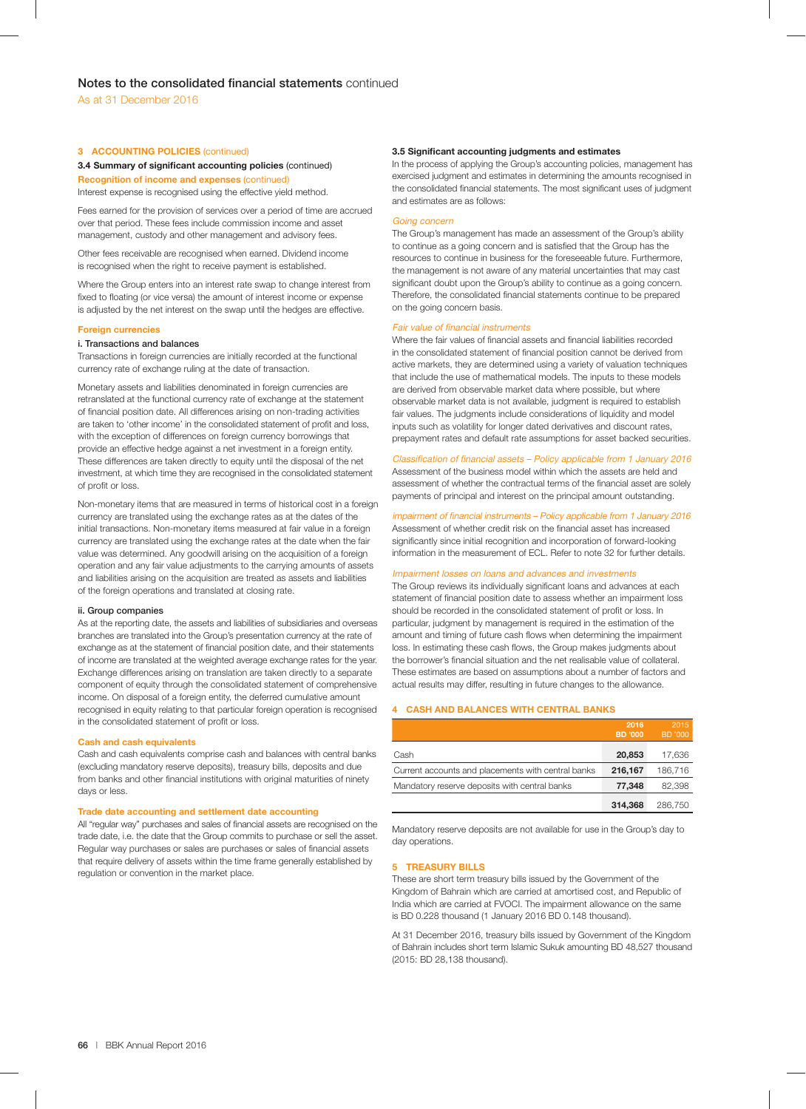## **3 ACCOUNTING POLICIES** (continued)

## **3.4 Summary of significant accounting policies (continued)**

**Recognition of income and expenses** (continued) Interest expense is recognised using the effective yield method.

Fees earned for the provision of services over a period of time are accrued over that period. These fees include commission income and asset management, custody and other management and advisory fees.

Other fees receivable are recognised when earned. Dividend income is recognised when the right to receive payment is established.

Where the Group enters into an interest rate swap to change interest from fixed to floating (or vice versa) the amount of interest income or expense is adjusted by the net interest on the swap until the hedges are effective.

## **Foreign currencies**

## **i. Transactions and balances**

Transactions in foreign currencies are initially recorded at the functional currency rate of exchange ruling at the date of transaction.

Monetary assets and liabilities denominated in foreign currencies are retranslated at the functional currency rate of exchange at the statement of financial position date. All differences arising on non-trading activities are taken to 'other income' in the consolidated statement of profit and loss, with the exception of differences on foreign currency borrowings that provide an effective hedge against a net investment in a foreign entity. These differences are taken directly to equity until the disposal of the net investment, at which time they are recognised in the consolidated statement of profit or loss.

Non-monetary items that are measured in terms of historical cost in a foreign currency are translated using the exchange rates as at the dates of the initial transactions. Non-monetary items measured at fair value in a foreign currency are translated using the exchange rates at the date when the fair value was determined. Any goodwill arising on the acquisition of a foreign operation and any fair value adjustments to the carrying amounts of assets and liabilities arising on the acquisition are treated as assets and liabilities of the foreign operations and translated at closing rate.

#### **ii. Group companies**

As at the reporting date, the assets and liabilities of subsidiaries and overseas branches are translated into the Group's presentation currency at the rate of exchange as at the statement of financial position date, and their statements of income are translated at the weighted average exchange rates for the year. Exchange differences arising on translation are taken directly to a separate component of equity through the consolidated statement of comprehensive income. On disposal of a foreign entity, the deferred cumulative amount recognised in equity relating to that particular foreign operation is recognised in the consolidated statement of profit or loss.

#### **Cash and cash equivalents**

Cash and cash equivalents comprise cash and balances with central banks (excluding mandatory reserve deposits), treasury bills, deposits and due from banks and other financial institutions with original maturities of ninety days or less.

#### **Trade date accounting and settlement date accounting**

All "regular way" purchases and sales of financial assets are recognised on the trade date, i.e. the date that the Group commits to purchase or sell the asset. Regular way purchases or sales are purchases or sales of financial assets that require delivery of assets within the time frame generally established by regulation or convention in the market place.

### **3.5 Significant accounting judgments and estimates**

In the process of applying the Group's accounting policies, management has exercised judgment and estimates in determining the amounts recognised in the consolidated financial statements. The most significant uses of judgment and estimates are as follows:

#### Going concern

The Group's management has made an assessment of the Group's ability to continue as a going concern and is satisfied that the Group has the resources to continue in business for the foreseeable future. Furthermore, the management is not aware of any material uncertainties that may cast significant doubt upon the Group's ability to continue as a going concern. Therefore, the consolidated financial statements continue to be prepared on the going concern basis.

#### Fair value of financial instruments

Where the fair values of financial assets and financial liabilities recorded in the consolidated statement of financial position cannot be derived from active markets, they are determined using a variety of valuation techniques that include the use of mathematical models. The inputs to these models are derived from observable market data where possible, but where observable market data is not available, judgment is required to establish fair values. The judgments include considerations of liquidity and model inputs such as volatility for longer dated derivatives and discount rates, prepayment rates and default rate assumptions for asset backed securities.

### Classification of financial assets - Policy applicable from 1 January 2016

Assessment of the business model within which the assets are held and assessment of whether the contractual terms of the financial asset are solely payments of principal and interest on the principal amount outstanding.

### impairment of financial instruments - Policy applicable from 1 January 2016

Assessment of whether credit risk on the financial asset has increased significantly since initial recognition and incorporation of forward-looking information in the measurement of ECL. Refer to note 32 for further details.

#### Impairment losses on loans and advances and investments

The Group reviews its individually significant loans and advances at each statement of financial position date to assess whether an impairment loss should be recorded in the consolidated statement of profit or loss. In particular, judgment by management is required in the estimation of the amount and timing of future cash flows when determining the impairment loss. In estimating these cash flows, the Group makes judgments about the borrower's financial situation and the net realisable value of collateral. These estimates are based on assumptions about a number of factors and actual results may differ, resulting in future changes to the allowance.

## **4 CASH AND BALANCES WITH CENTRAL BANKS**

|                                                    | 2016<br><b>BD</b> '000 | 2015<br><b>BD</b> '000 |
|----------------------------------------------------|------------------------|------------------------|
| Cash                                               | 20,853                 | 17,636                 |
| Current accounts and placements with central banks | 216.167                | 186.716                |
| Mandatory reserve deposits with central banks      | 77.348                 | 82,398                 |
|                                                    | 314,368                | 286.750                |

Mandatory reserve deposits are not available for use in the Group's day to day operations.

## **5 TREASURY BILLS**

These are short term treasury bills issued by the Government of the Kingdom of Bahrain which are carried at amortised cost, and Republic of India which are carried at FVOCI. The impairment allowance on the same is BD 0.228 thousand (1 January 2016 BD 0.148 thousand).

At 31 December 2016, treasury bills issued by Government of the Kingdom of Bahrain includes short term Islamic Sukuk amounting BD 48,527 thousand (2015: BD 28,138 thousand).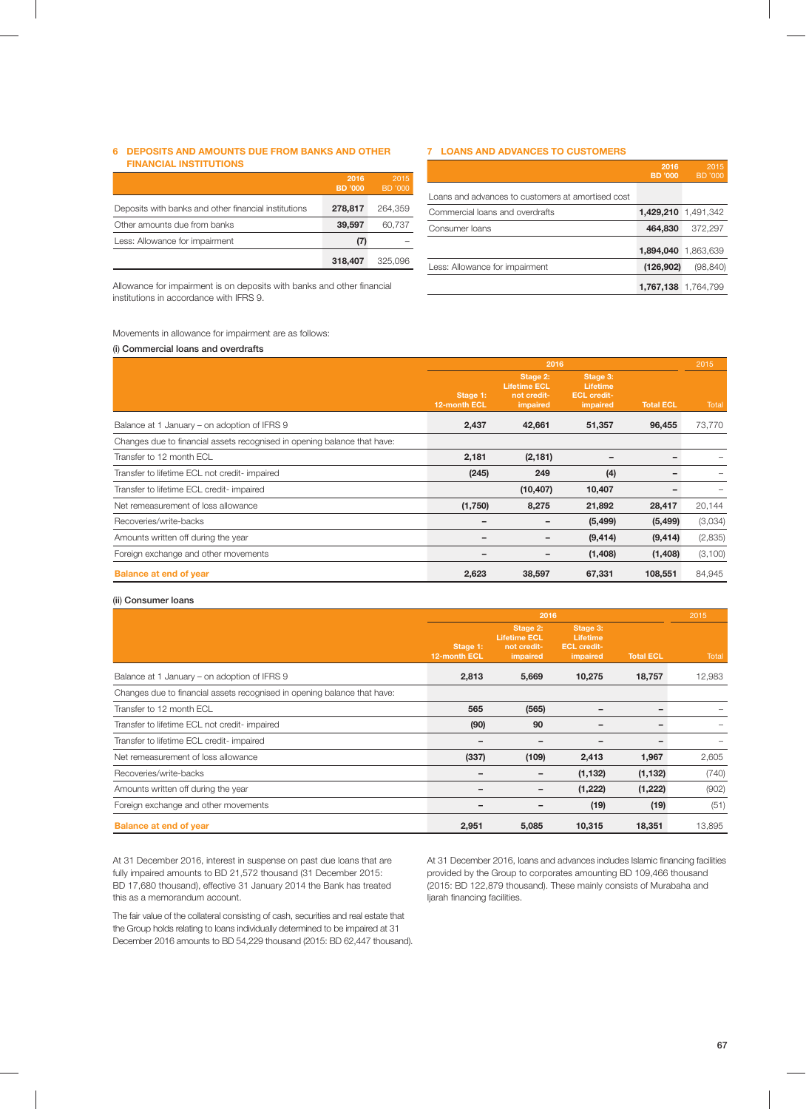## **6 DEPOSITS AND AMOUNTS DUE FROM BANKS AND OTHER FINANCIAL INSTITUTIONS**

|                                                      | 2016<br><b>BD</b> '000 | 2015<br><b>BD</b> '000 |
|------------------------------------------------------|------------------------|------------------------|
| Deposits with banks and other financial institutions | 278,817                | 264.359                |
| Other amounts due from banks                         | 39,597                 | 60.737                 |
| Less: Allowance for impairment                       | (7)                    |                        |
|                                                      | 318,407                | 325.096                |

Allowance for impairment is on deposits with banks and other financial institutions in accordance with IFRS 9.

## **7 LOANS AND ADVANCES TO CUSTOMERS**

|                                                   | 2016<br>BD '000 | 2015<br>BD '000     |
|---------------------------------------------------|-----------------|---------------------|
| Loans and advances to customers at amortised cost |                 |                     |
| Commercial loans and overdrafts                   |                 | 1,429,210 1,491,342 |
| Consumer loans                                    | 464,830         | 372.297             |
|                                                   |                 | 1,894,040 1,863,639 |
| Less: Allowance for impairment                    | (126, 902)      | (98, 840)           |
|                                                   |                 | 1,767,138 1,764,799 |

Movements in allowance for impairment are as follows:

## (**i**) **Commercial loans and overdrafts**

|                                                                          | 2016                     |                                                            |                                                        |                  | 2015    |
|--------------------------------------------------------------------------|--------------------------|------------------------------------------------------------|--------------------------------------------------------|------------------|---------|
|                                                                          | Stage 1:<br>12-month ECL | Stage 2:<br><b>Lifetime ECL</b><br>not credit-<br>impaired | Stage 3:<br>Lifetime<br><b>ECL credit-</b><br>impaired | <b>Total ECL</b> | Total   |
| Balance at 1 January – on adoption of IFRS 9                             | 2,437                    | 42,661                                                     | 51,357                                                 | 96,455           | 73,770  |
| Changes due to financial assets recognised in opening balance that have: |                          |                                                            |                                                        |                  |         |
| Transfer to 12 month ECL                                                 | 2,181                    | (2, 181)                                                   |                                                        | -                |         |
| Transfer to lifetime ECL not credit- impaired                            | (245)                    | 249                                                        | (4)                                                    |                  |         |
| Transfer to lifetime ECL credit- impaired                                |                          | (10, 407)                                                  | 10,407                                                 |                  |         |
| Net remeasurement of loss allowance                                      | (1,750)                  | 8,275                                                      | 21,892                                                 | 28,417           | 20,144  |
| Recoveries/write-backs                                                   |                          |                                                            | (5, 499)                                               | (5, 499)         | (3,034) |
| Amounts written off during the year                                      |                          |                                                            | (9, 414)                                               | (9, 414)         | (2,835) |
| Foreign exchange and other movements                                     |                          |                                                            | (1, 408)                                               | (1,408)          | (3,100) |
| <b>Balance at end of year</b>                                            | 2,623                    | 38,597                                                     | 67,331                                                 | 108,551          | 84,945  |

### (**ii**) **Consumer loans**

|                                                                          | 2016                     |                                                            |                                                        |                  | 2015   |
|--------------------------------------------------------------------------|--------------------------|------------------------------------------------------------|--------------------------------------------------------|------------------|--------|
|                                                                          | Stage 1:<br>12-month ECL | Stage 2:<br><b>Lifetime ECL</b><br>not credit-<br>impaired | Stage 3:<br>Lifetime<br><b>ECL credit-</b><br>impaired | <b>Total ECL</b> | Total  |
| Balance at 1 January – on adoption of IFRS 9                             | 2,813                    | 5,669                                                      | 10,275                                                 | 18,757           | 12,983 |
| Changes due to financial assets recognised in opening balance that have: |                          |                                                            |                                                        |                  |        |
| Transfer to 12 month ECL                                                 | 565                      | (565)                                                      |                                                        |                  |        |
| Transfer to lifetime ECL not credit- impaired                            | (90)                     | 90                                                         |                                                        | -                |        |
| Transfer to lifetime ECL credit- impaired                                |                          |                                                            |                                                        |                  |        |
| Net remeasurement of loss allowance                                      | (337)                    | (109)                                                      | 2,413                                                  | 1,967            | 2,605  |
| Recoveries/write-backs                                                   |                          |                                                            | (1, 132)                                               | (1, 132)         | (740)  |
| Amounts written off during the year                                      |                          |                                                            | (1, 222)                                               | (1,222)          | (902)  |
| Foreign exchange and other movements                                     |                          |                                                            | (19)                                                   | (19)             | (51)   |
| <b>Balance at end of year</b>                                            | 2,951                    | 5,085                                                      | 10.315                                                 | 18.351           | 13,895 |

At 31 December 2016, interest in suspense on past due loans that are fully impaired amounts to BD 21,572 thousand (31 December 2015: BD 17,680 thousand), effective 31 January 2014 the Bank has treated this as a memorandum account.

At 31 December 2016, loans and advances includes Islamic financing facilities provided by the Group to corporates amounting BD 109,466 thousand (2015: BD 122,879 thousand). These mainly consists of Murabaha and ljarah financing facilities.

The fair value of the collateral consisting of cash, securities and real estate that the Group holds relating to loans individually determined to be impaired at 31 December 2016 amounts to BD 54,229 thousand (2015: BD 62,447 thousand).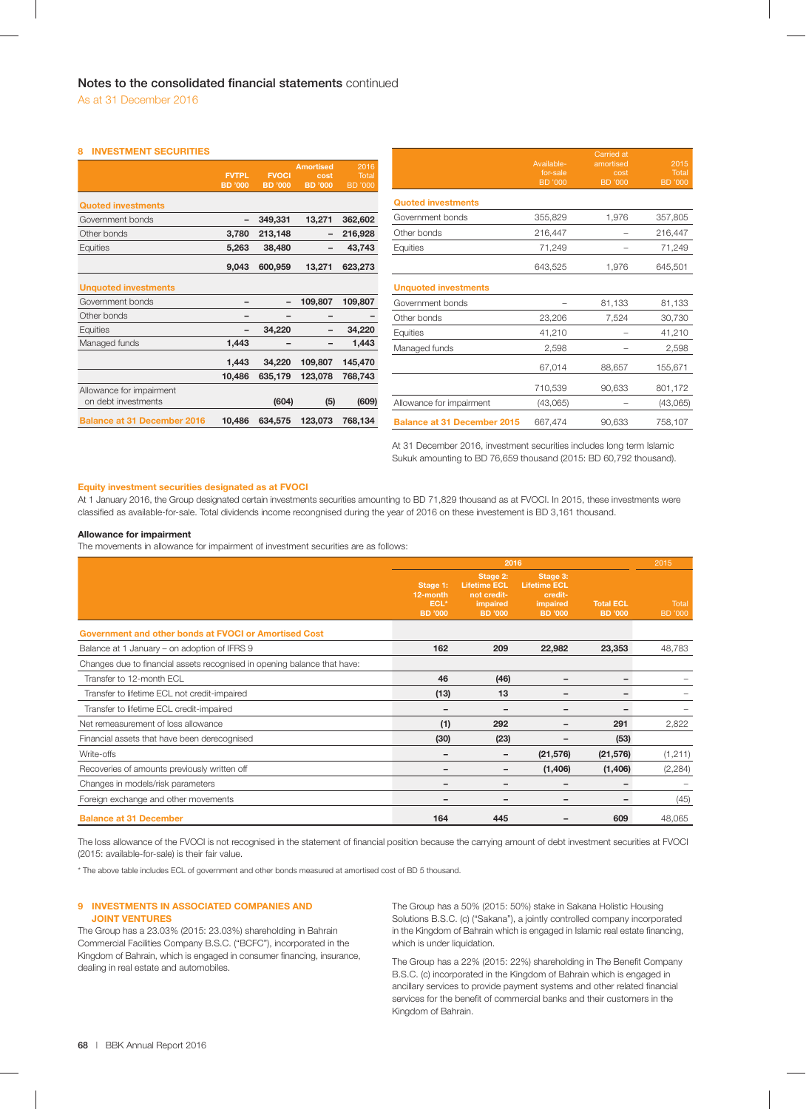## **8 INVESTMENT SECURITIES**

|                                    | <b>FVTPL</b><br><b>BD</b> '000 | <b>FVOCI</b><br><b>BD</b> '000 | <b>Amortised</b><br>cost<br><b>BD</b> '000 | 2016<br>Total<br>BD '000 |                                    | Available-<br>for-sale<br><b>BD</b> '000 | amortised<br>cost<br><b>BD</b> '000 | 2015<br>Total<br><b>BD</b> '000 |
|------------------------------------|--------------------------------|--------------------------------|--------------------------------------------|--------------------------|------------------------------------|------------------------------------------|-------------------------------------|---------------------------------|
| <b>Quoted investments</b>          |                                |                                |                                            |                          | <b>Quoted investments</b>          |                                          |                                     |                                 |
| Government bonds                   | -                              | 349,331                        | 13,271                                     | 362,602                  | Government bonds                   | 355,829                                  | 1,976                               | 357,805                         |
| Other bonds                        | 3,780                          | 213,148                        | -                                          | 216,928                  | Other bonds                        | 216,447                                  | $\qquad \qquad -$                   | 216,447                         |
| Equities                           | 5,263                          | 38,480                         | $\qquad \qquad -$                          | 43,743                   | Equities                           | 71,249                                   |                                     | 71,249                          |
|                                    | 9,043                          | 600,959                        | 13,271                                     | 623,273                  |                                    | 643,525                                  | 1,976                               | 645,501                         |
| <b>Unquoted investments</b>        |                                |                                |                                            |                          | <b>Unquoted investments</b>        |                                          |                                     |                                 |
| Government bonds                   |                                | $\overline{\phantom{a}}$       | 109,807                                    | 109,807                  | Government bonds                   | -                                        | 81,133                              | 81,133                          |
| Other bonds                        |                                |                                |                                            |                          | Other bonds                        | 23,206                                   | 7,524                               | 30,730                          |
| Equities                           |                                | 34,220                         | $\overline{\phantom{a}}$                   | 34,220                   | Equities                           | 41,210                                   |                                     | 41,210                          |
| Managed funds                      | 1,443                          | -                              | $\overline{\phantom{a}}$                   | 1,443                    | Managed funds                      | 2,598                                    |                                     | 2,598                           |
|                                    | 1,443                          | 34,220                         | 109,807                                    | 145,470                  |                                    | 67,014                                   | 88,657                              | 155,671                         |
|                                    | 10,486                         | 635,179                        | 123,078                                    | 768,743                  |                                    |                                          |                                     |                                 |
| Allowance for impairment           |                                |                                |                                            |                          |                                    | 710,539                                  | 90,633                              | 801,172                         |
| on debt investments                |                                | (604)                          | (5)                                        | (609)                    | Allowance for impairment           | (43,065)                                 |                                     | (43,065)                        |
| <b>Balance at 31 December 2016</b> | 10,486                         | 634,575                        | 123,073                                    | 768,134                  | <b>Balance at 31 December 2015</b> | 667,474                                  | 90,633                              | 758,107                         |
|                                    |                                |                                |                                            |                          |                                    |                                          |                                     |                                 |

At 31 December 2016, investment securities includes long term Islamic Sukuk amounting to BD 76,659 thousand (2015: BD 60,792 thousand).

## **Equity investment securities designated as at FVOCI**

At 1 January 2016, the Group designated certain investments securities amounting to BD 71,829 thousand as at FVOCI. In 2015, these investments were classified as available-for-sale. Total dividends income recongnised during the year of 2016 on these investement is BD 3,161 thousand.

## **Allowance for impairment**

The movements in allowance for impairment of investment securities are as follows:

|                                                                          |                                                | 2016                                                                         |                                                                          |                                    | 2015                    |
|--------------------------------------------------------------------------|------------------------------------------------|------------------------------------------------------------------------------|--------------------------------------------------------------------------|------------------------------------|-------------------------|
|                                                                          | Stage 1:<br>12-month<br>ECL*<br><b>BD</b> '000 | Stage 2:<br><b>Lifetime ECL</b><br>not credit-<br>impaired<br><b>BD</b> '000 | Stage 3:<br><b>Lifetime ECL</b><br>credit-<br>impaired<br><b>BD</b> '000 | <b>Total ECL</b><br><b>BD</b> '000 | Total<br><b>BD</b> '000 |
| Government and other bonds at FVOCI or Amortised Cost                    |                                                |                                                                              |                                                                          |                                    |                         |
| Balance at 1 January – on adoption of IFRS 9                             | 162                                            | 209                                                                          | 22,982                                                                   | 23,353                             | 48,783                  |
| Changes due to financial assets recognised in opening balance that have: |                                                |                                                                              |                                                                          |                                    |                         |
| Transfer to 12-month ECL                                                 | 46                                             | (46)                                                                         |                                                                          |                                    |                         |
| Transfer to lifetime ECL not credit-impaired                             | (13)                                           | 13                                                                           | -                                                                        | -                                  |                         |
| Transfer to lifetime ECL credit-impaired                                 |                                                |                                                                              | -                                                                        |                                    |                         |
| Net remeasurement of loss allowance                                      | (1)                                            | 292                                                                          |                                                                          | 291                                | 2,822                   |
| Financial assets that have been derecognised                             | (30)                                           | (23)                                                                         |                                                                          | (53)                               |                         |
| Write-offs                                                               |                                                | -                                                                            | (21, 576)                                                                | (21, 576)                          | (1,211)                 |
| Recoveries of amounts previously written off                             |                                                |                                                                              | (1, 406)                                                                 | (1, 406)                           | (2, 284)                |
| Changes in models/risk parameters                                        |                                                |                                                                              | -                                                                        |                                    |                         |
| Foreign exchange and other movements                                     |                                                |                                                                              | -                                                                        |                                    | (45)                    |
| <b>Balance at 31 December</b>                                            | 164                                            | 445                                                                          |                                                                          | 609                                | 48,065                  |

The loss allowance of the FVOCI is not recognised in the statement of financial position because the carrying amount of debt investment securities at FVOCI (2015: available-for-sale) is their fair value.

\* The above table includes ECL of government and other bonds measured at amortised cost of BD 5 thousand.

## **9 INVESTMENTS IN ASSOCIATED COMPANIES AND JOINT VENTURES**

The Group has a 23.03% (2015: 23.03%) shareholding in Bahrain Commercial Facilities Company B.S.C. ("BCFC"), incorporated in the Kingdom of Bahrain, which is engaged in consumer financing, insurance, dealing in real estate and automobiles.

The Group has a 50% (2015: 50%) stake in Sakana Holistic Housing Solutions B.S.C. (c) ("Sakana"), a jointly controlled company incorporated in the Kingdom of Bahrain which is engaged in Islamic real estate financing, which is under liquidation.

The Group has a 22% (2015: 22%) shareholding in The Benefit Company B.S.C. (c) incorporated in the Kingdom of Bahrain which is engaged in ancillary services to provide payment systems and other related financial services for the benefit of commercial banks and their customers in the Kingdom of Bahrain.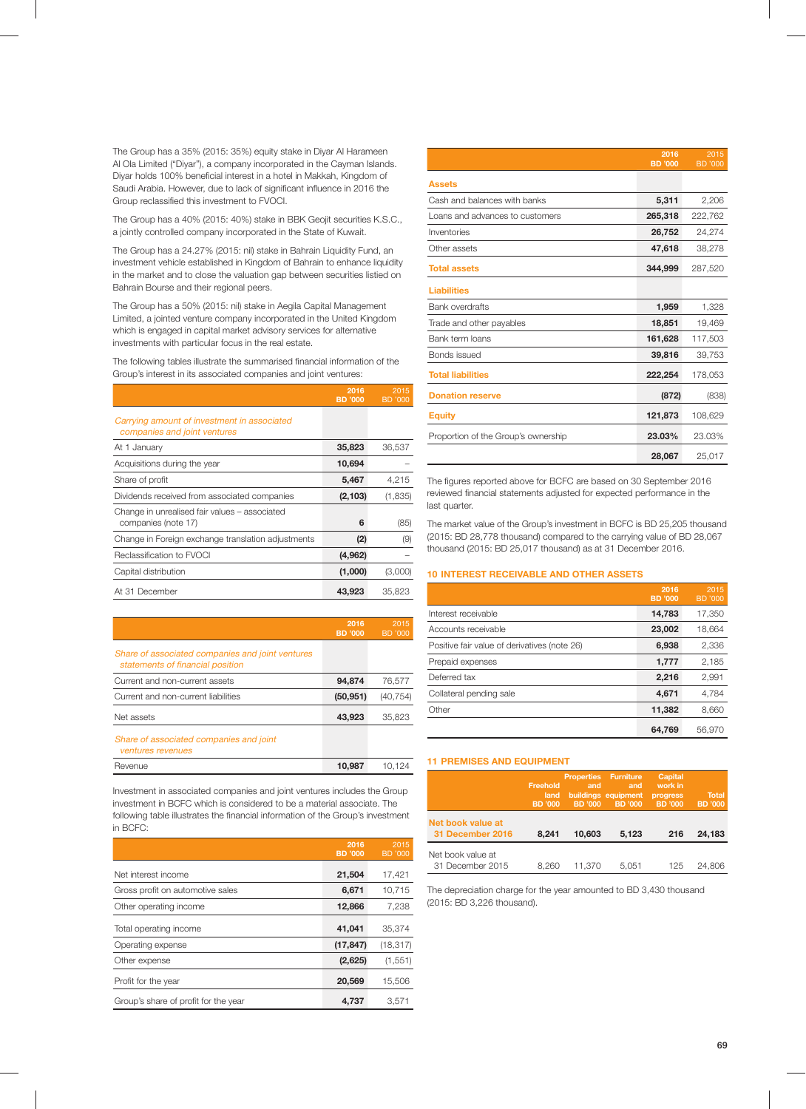The Group has a 35% (2015: 35%) equity stake in Diyar Al Harameen Al Ola Limited ("Diyar"), a company incorporated in the Cayman Islands. Diyar holds 100% beneficial interest in a hotel in Makkah, Kingdom of Saudi Arabia. However, due to lack of significant influence in 2016 the Group reclassified this investment to FVOCI.

The Group has a 40% (2015: 40%) stake in BBK Geojit securities K.S.C., a jointly controlled company incorporated in the State of Kuwait.

The Group has a 24.27% (2015: nil) stake in Bahrain Liquidity Fund, an investment vehicle established in Kingdom of Bahrain to enhance liquidity in the market and to close the valuation gap between securities listied on Bahrain Bourse and their regional peers.

The Group has a 50% (2015: nil) stake in Aegila Capital Management Limited, a jointed venture company incorporated in the United Kingdom which is engaged in capital market advisory services for alternative investments with particular focus in the real estate.

The following tables illustrate the summarised financial information of the Group's interest in its associated companies and joint ventures:

|                                                                             | 2016<br><b>BD</b> '000 | 2015<br>BD '000 |
|-----------------------------------------------------------------------------|------------------------|-----------------|
| Carrying amount of investment in associated<br>companies and joint ventures |                        |                 |
| At 1 January                                                                | 35,823                 | 36,537          |
| Acquisitions during the year                                                | 10,694                 |                 |
| Share of profit                                                             | 5,467                  | 4,215           |
| Dividends received from associated companies                                | (2, 103)               | (1, 835)        |
| Change in unrealised fair values - associated<br>companies (note 17)        | 6                      | (85)            |
| Change in Foreign exchange translation adjustments                          | (2)                    | (9)             |
| Reclassification to FVOCI                                                   | (4,962)                |                 |
| Capital distribution                                                        | (1,000)                | (3,000          |
| At 31 December                                                              | 43.923                 | 35.823          |

|                                                                                      | 2016<br><b>BD</b> '000 | 2015<br>BD '000 |
|--------------------------------------------------------------------------------------|------------------------|-----------------|
| Share of associated companies and joint ventures<br>statements of financial position |                        |                 |
| Current and non-current assets                                                       | 94.874                 | 76,577          |
| Current and non-current liabilities                                                  | (50, 951)              | (40, 754)       |
| Net assets                                                                           | 43,923                 | 35,823          |
| Share of associated companies and joint<br>ventures revenues                         |                        |                 |
| Revenue                                                                              | 10.987                 | 10.124          |

Investment in associated companies and joint ventures includes the Group investment in BCFC which is considered to be a material associate. The following table illustrates the financial information of the Group's investment in BCFC:

|                                      | 2016<br><b>BD</b> '000 | 2015<br><b>BD</b> '000 |
|--------------------------------------|------------------------|------------------------|
| Net interest income                  | 21,504                 | 17,421                 |
| Gross profit on automotive sales     | 6,671                  | 10.715                 |
| Other operating income               | 12,866                 | 7,238                  |
| Total operating income               | 41.041                 | 35.374                 |
| Operating expense                    | (17, 847)              | (18, 317)              |
| Other expense                        | (2,625)                | (1, 551)               |
| Profit for the year                  | 20,569                 | 15,506                 |
| Group's share of profit for the year | 4.737                  | 3.571                  |

|                                     | 2016<br><b>BD</b> '000 | 2015<br><b>BD</b> '000 |
|-------------------------------------|------------------------|------------------------|
| <b>Assets</b>                       |                        |                        |
| Cash and balances with banks        | 5,311                  | 2,206                  |
| Loans and advances to customers     | 265,318                | 222,762                |
| Inventories                         | 26,752                 | 24,274                 |
| Other assets                        | 47,618                 | 38,278                 |
| <b>Total assets</b>                 | 344,999                | 287,520                |
| <b>Liabilities</b>                  |                        |                        |
| <b>Bank overdrafts</b>              | 1,959                  | 1,328                  |
| Trade and other payables            | 18,851                 | 19,469                 |
| Bank term loans                     | 161,628                | 117,503                |
| Bonds issued                        | 39,816                 | 39,753                 |
| <b>Total liabilities</b>            | 222,254                | 178,053                |
| <b>Donation reserve</b>             | (872)                  | (838)                  |
| <b>Equity</b>                       | 121,873                | 108,629                |
| Proportion of the Group's ownership | 23.03%                 | 23.03%                 |
|                                     | 28,067                 | 25,017                 |

The figures reported above for BCFC are based on 30 September 2016 reviewed financial statements adjusted for expected performance in the last quarter.

The market value of the Group's investment in BCFC is BD 25,205 thousand (2015: BD 28,778 thousand) compared to the carrying value of BD 28,067 thousand (2015: BD 25,017 thousand) as at 31 December 2016.

## **10 INTEREST RECEIVABLE AND OTHER ASSETS**

|                                              | 2016<br><b>BD</b> '000 | 2015<br>BD '000 |
|----------------------------------------------|------------------------|-----------------|
| Interest receivable                          | 14,783                 | 17,350          |
| Accounts receivable                          | 23,002                 | 18,664          |
| Positive fair value of derivatives (note 26) | 6,938                  | 2,336           |
| Prepaid expenses                             | 1,777                  | 2,185           |
| Deferred tax                                 | 2.216                  | 2,991           |
| Collateral pending sale                      | 4,671                  | 4,784           |
| Other                                        | 11,382                 | 8,660           |
|                                              | 64.769                 | 56.970          |

## **11 PREMISES AND EQUIPMENT**

|                                       | Freehold<br>land<br><b>BD</b> '000 | <b>Properties Furniture</b><br>and<br><b>BD</b> '000 | and<br>buildings equipment<br><b>BD</b> '000 | <b>Capital</b><br>work in<br>progress<br><b>BD</b> '000 | <b>Total</b><br><b>BD</b> '000 |
|---------------------------------------|------------------------------------|------------------------------------------------------|----------------------------------------------|---------------------------------------------------------|--------------------------------|
| Net book value at<br>31 December 2016 | 8.241                              | 10.603                                               | 5.123                                        | 216                                                     | 24.183                         |
| Net book value at<br>31 December 2015 | 8.260                              | 11.370                                               | 5.051                                        | 125                                                     | 24.806                         |

The depreciation charge for the year amounted to BD 3,430 thousand (2015: BD 3,226 thousand).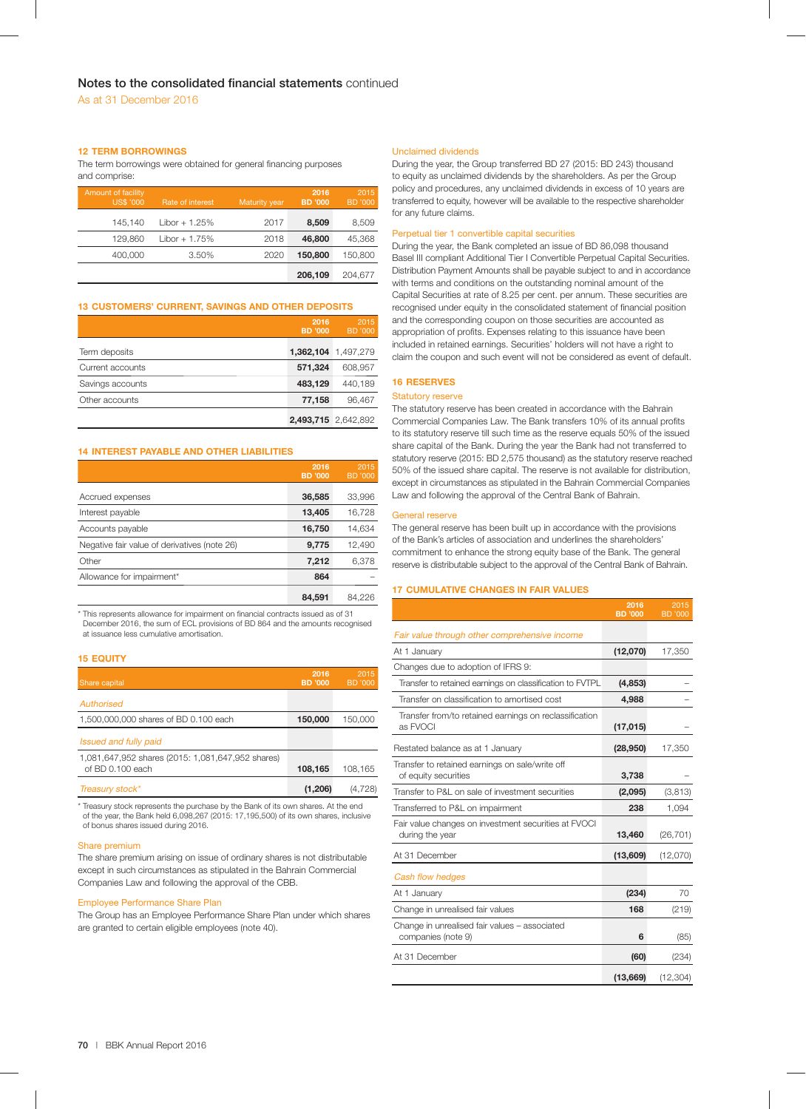## **12 TERM BORROWINGS**

The term borrowings were obtained for general financing purposes and comprise:

| <b>Amount of facility</b><br><b>US\$ '000</b> | Rate of interest | Maturity year | 2016<br><b>BD</b> '000 | 2015<br><b>BD</b> '000 |
|-----------------------------------------------|------------------|---------------|------------------------|------------------------|
| 145.140                                       | $Libor + 1.25%$  | 2017          | 8,509                  | 8,509                  |
| 129.860                                       | $Libor + 1.75%$  | 2018          | 46,800                 | 45,368                 |
| 400,000                                       | 3.50%            | 2020          | 150,800                | 150.800                |
|                                               |                  |               | 206,109                | 204.677                |

## **13 CUSTOMERS' CURRENT, SAVINGS AND OTHER DEPOSITS**

|                  | 2016<br><b>BD</b> '000 | 2015<br><b>BD</b> '000 |
|------------------|------------------------|------------------------|
| Term deposits    |                        | 1,362,104 1,497,279    |
| Current accounts | 571,324                | 608.957                |
| Savings accounts | 483,129                | 440,189                |
| Other accounts   | 77,158                 | 96,467                 |
|                  |                        | 2,493,715 2,642,892    |

## **14 INTEREST PAYABLE AND OTHER LIABILITIES**

|                                              | 2016<br><b>BD</b> '000 | 2015<br><b>BD</b> '000 |
|----------------------------------------------|------------------------|------------------------|
| Accrued expenses                             | 36,585                 | 33,996                 |
| Interest payable                             | 13,405                 | 16,728                 |
| Accounts payable                             | 16,750                 | 14,634                 |
| Negative fair value of derivatives (note 26) | 9,775                  | 12,490                 |
| Other                                        | 7,212                  | 6,378                  |
| Allowance for impairment*                    | 864                    |                        |
|                                              | 84.591                 | 84.226                 |

\* This represents allowance for impairment on financial contracts issued as of 31 December 2016, the sum of ECL provisions of BD 864 and the amounts recognised at issuance less cumulative amortisation.

## **15 EQUITY**

| Share capital                                                         | 2016<br><b>BD</b> '000 | 2015<br>BD '000 |
|-----------------------------------------------------------------------|------------------------|-----------------|
| Authorised                                                            |                        |                 |
| 1,500,000,000 shares of BD 0.100 each                                 | 150,000                | 150,000         |
| Issued and fully paid                                                 |                        |                 |
| 1,081,647,952 shares (2015: 1,081,647,952 shares)<br>of BD 0.100 each | 108,165                | 108,165         |
| Treasury stock*                                                       | (1,206)                | (4.728)         |

\* Treasury stock represents the purchase by the Bank of its own shares. At the end of the year, the Bank held 6,098,267 (2015: 17,195,500) of its own shares, inclusive of bonus shares issued during 2016.

#### Share premium

The share premium arising on issue of ordinary shares is not distributable except in such circumstances as stipulated in the Bahrain Commercial Companies Law and following the approval of the CBB.

## Employee Performance Share Plan

The Group has an Employee Performance Share Plan under which shares are granted to certain eligible employees (note 40).

### Unclaimed dividends

During the year, the Group transferred BD 27 (2015: BD 243) thousand to equity as unclaimed dividends by the shareholders. As per the Group policy and procedures, any unclaimed dividends in excess of 10 years are transferred to equity, however will be available to the respective shareholder for any future claims.

## Perpetual tier 1 convertible capital securities

During the year, the Bank completed an issue of BD 86,098 thousand Basel III compliant Additional Tier I Convertible Perpetual Capital Securities. Distribution Payment Amounts shall be payable subject to and in accordance with terms and conditions on the outstanding nominal amount of the Capital Securities at rate of 8.25 per cent. per annum. These securities are recognised under equity in the consolidated statement of financial position and the corresponding coupon on those securities are accounted as appropriation of profits. Expenses relating to this issuance have been included in retained earnings. Securities' holders will not have a right to claim the coupon and such event will not be considered as event of default.

## **16 RESERVES**

#### Statutory reserve

The statutory reserve has been created in accordance with the Bahrain Commercial Companies Law. The Bank transfers 10% of its annual profits to its statutory reserve till such time as the reserve equals 50% of the issued share capital of the Bank. During the year the Bank had not transferred to statutory reserve (2015: BD 2,575 thousand) as the statutory reserve reached 50% of the issued share capital. The reserve is not available for distribution, except in circumstances as stipulated in the Bahrain Commercial Companies Law and following the approval of the Central Bank of Bahrain.

## General reserve

The general reserve has been built up in accordance with the provisions of the Bank's articles of association and underlines the shareholders' commitment to enhance the strong equity base of the Bank. The general reserve is distributable subject to the approval of the Central Bank of Bahrain.

### **17 CUMULATIVE CHANGES IN FAIR VALUES**

|                                                                         | 2016<br><b>BD</b> '000 | 2015<br><b>BD</b> '000 |
|-------------------------------------------------------------------------|------------------------|------------------------|
| Fair value through other comprehensive income                           |                        |                        |
| At 1 January                                                            | (12,070)               | 17,350                 |
| Changes due to adoption of IFRS 9:                                      |                        |                        |
| Transfer to retained earnings on classification to FVTPL                | (4, 853)               |                        |
| Transfer on classification to amortised cost                            | 4,988                  |                        |
| Transfer from/to retained earnings on reclassification<br>as FVOCI      | (17, 015)              |                        |
| Restated balance as at 1 January                                        | (28, 950)              | 17,350                 |
| Transfer to retained earnings on sale/write off<br>of equity securities | 3,738                  |                        |
| Transfer to P&L on sale of investment securities                        | (2,095)                | (3, 813)               |
| Transferred to P&L on impairment                                        | 238                    | 1,094                  |
| Fair value changes on investment securities at FVOCI<br>during the year | 13,460                 | (26, 701)              |
| At 31 December                                                          | (13,609)               | (12,070)               |
| Cash flow hedges                                                        |                        |                        |
| At 1 January                                                            | (234)                  | 70                     |
| Change in unrealised fair values                                        | 168                    | (219)                  |
| Change in unrealised fair values - associated<br>companies (note 9)     | 6                      | (85)                   |
| At 31 December                                                          | (60)                   | (234)                  |
|                                                                         | (13,669)               | (12, 304)              |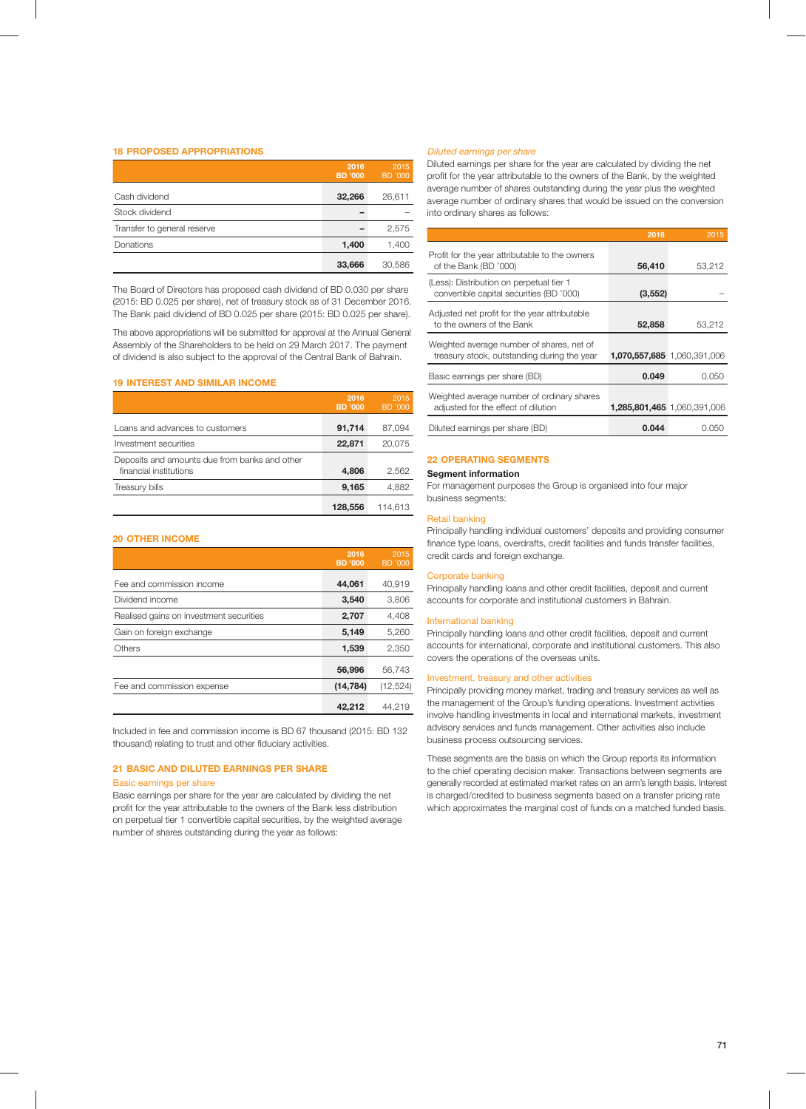## **18 PROPOSED APPROPRIATIONS**

|                             | 2016<br><b>BD</b> '000 | 2015<br><b>BD</b> '000 |
|-----------------------------|------------------------|------------------------|
| Cash dividend               | 32,266                 | 26,611                 |
| Stock dividend              |                        |                        |
| Transfer to general reserve |                        | 2,575                  |
| Donations                   | 1,400                  | 1,400                  |
|                             | 33,666                 | 30,586                 |

The Board of Directors has proposed cash dividend of BD 0.030 per share (2015: BD 0.025 per share), net of treasury stock as of 31 December 2016. The Bank paid dividend of BD 0.025 per share (2015: BD 0.025 per share).

The above appropriations will be submitted for approval at the Annual General Assembly of the Shareholders to be held on 29 March 2017. The payment of dividend is also subject to the approval of the Central Bank of Bahrain.

## **19 INTEREST AND SIMILAR INCOME**

|                                                                         | 2016<br><b>BD</b> '000 | 2015<br><b>BD</b> '000 |
|-------------------------------------------------------------------------|------------------------|------------------------|
| Loans and advances to customers                                         | 91,714                 | 87,094                 |
| Investment securities                                                   | 22,871                 | 20,075                 |
| Deposits and amounts due from banks and other<br>financial institutions | 4,806                  | 2,562                  |
| Treasury bills                                                          | 9,165                  | 4,882                  |
|                                                                         | 128,556                | 114.613                |

## **20 OTHER INCOME**

|                                         | 2016<br><b>BD</b> '000 | 2015<br><b>BD</b> '000 |
|-----------------------------------------|------------------------|------------------------|
| Fee and commission income               | 44,061                 | 40,919                 |
| Dividend income                         | 3,540                  | 3,806                  |
| Realised gains on investment securities | 2,707                  | 4,408                  |
| Gain on foreign exchange                | 5,149                  | 5,260                  |
| Others                                  | 1,539                  | 2,350                  |
|                                         | 56,996                 | 56,743                 |
| Fee and commission expense              | (14, 784)              | (12, 524)              |
|                                         | 42,212                 | 44.219                 |

Included in fee and commission income is BD 67 thousand (2015: BD 132 thousand) relating to trust and other fiduciary activities.

## **21 BASIC AND DILUTED EARNINGS PER SHARE**

#### Basic earnings per share

Basic earnings per share for the year are calculated by dividing the net profit for the year attributable to the owners of the Bank less distribution on perpetual tier 1 convertible capital securities, by the weighted average number of shares outstanding during the year as follows:

## Diluted earnings per share

Diluted earnings per share for the year are calculated by dividing the net profit for the year attributable to the owners of the Bank, by the weighted average number of shares outstanding during the year plus the weighted average number of ordinary shares that would be issued on the conversion into ordinary shares as follows:

|                                                                                          | 2016     | 2015                        |
|------------------------------------------------------------------------------------------|----------|-----------------------------|
| Profit for the year attributable to the owners<br>of the Bank (BD '000)                  | 56,410   | 53,212                      |
| (Less): Distribution on perpetual tier 1<br>convertible capital securities (BD '000)     | (3, 552) |                             |
| Adjusted net profit for the year attributable<br>to the owners of the Bank               | 52,858   | 53,212                      |
| Weighted average number of shares, net of<br>treasury stock, outstanding during the year |          | 1,070,557,685 1,060,391,006 |
| Basic earnings per share (BD)                                                            | 0.049    | 0.050                       |
| Weighted average number of ordinary shares<br>adjusted for the effect of dilution        |          | 1,285,801,465 1,060,391,006 |
| Diluted earnings per share (BD)                                                          | 0.044    | 0.050                       |

## **22 OPERATING SEGMENTS**

## **Segment information**

For management purposes the Group is organised into four major business segments:

## Retail banking

Principally handling individual customers' deposits and providing consumer finance type loans, overdrafts, credit facilities and funds transfer facilities, credit cards and foreign exchange.

## Corporate banking

Principally handling loans and other credit facilities, deposit and current accounts for corporate and institutional customers in Bahrain.

## International banking

Principally handling loans and other credit facilities, deposit and current accounts for international, corporate and institutional customers. This also covers the operations of the overseas units.

## Investment, treasury and other activities

Principally providing money market, trading and treasury services as well as the management of the Group's funding operations. Investment activities involve handling investments in local and international markets, investment advisory services and funds management. Other activities also include business process outsourcing services.

These segments are the basis on which the Group reports its information to the chief operating decision maker. Transactions between segments are generally recorded at estimated market rates on an arm's length basis. Interest is charged/credited to business segments based on a transfer pricing rate which approximates the marginal cost of funds on a matched funded basis.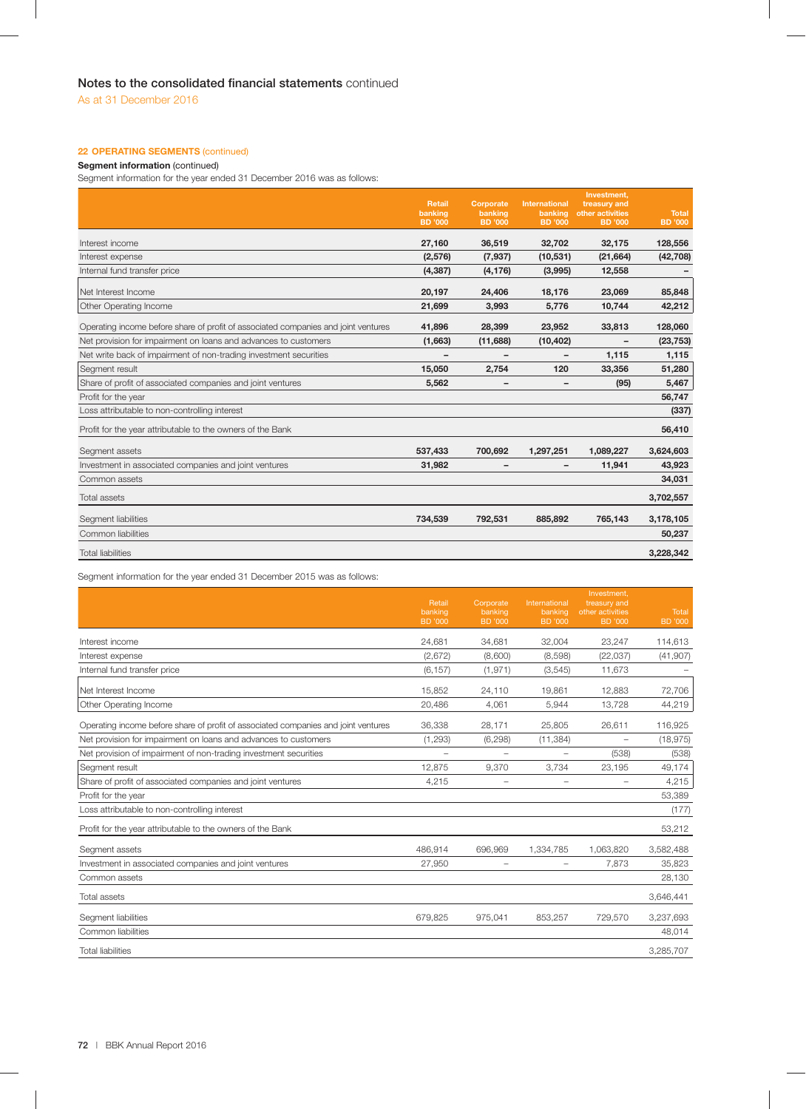## **22 OPERATING SEGMENTS (continued)**

## **Segment information** (continued)

Segment information for the year ended 31 December 2016 was as follows:

|                                                                                    | <b>Retail</b>             | Corporate          | <b>International</b>     | Investment,<br>treasury and        |                                |
|------------------------------------------------------------------------------------|---------------------------|--------------------|--------------------------|------------------------------------|--------------------------------|
|                                                                                    | banking<br><b>BD</b> '000 | banking<br>BD '000 | banking<br>BD '000       | other activities<br><b>BD</b> '000 | <b>Total</b><br><b>BD</b> '000 |
|                                                                                    |                           |                    |                          |                                    |                                |
| Interest income                                                                    | 27,160                    | 36,519             | 32,702                   | 32,175                             | 128,556                        |
| Interest expense                                                                   | (2,576)                   | (7, 937)           | (10, 531)                | (21, 664)                          | (42, 708)                      |
| Internal fund transfer price                                                       | (4, 387)                  | (4, 176)           | (3,995)                  | 12,558                             |                                |
| Net Interest Income                                                                | 20,197                    | 24,406             | 18,176                   | 23,069                             | 85,848                         |
| <b>Other Operating Income</b>                                                      | 21,699                    | 3,993              | 5,776                    | 10,744                             | 42,212                         |
| Operating income before share of profit of associated companies and joint ventures | 41,896                    | 28,399             | 23,952                   | 33,813                             | 128,060                        |
| Net provision for impairment on loans and advances to customers                    | (1,663)                   | (11,688)           | (10, 402)                | $\qquad \qquad$                    | (23, 753)                      |
| Net write back of impairment of non-trading investment securities                  |                           |                    |                          | 1,115                              | 1,115                          |
| Segment result                                                                     | 15,050                    | 2,754              | 120                      | 33,356                             | 51,280                         |
| Share of profit of associated companies and joint ventures                         | 5,562                     |                    | $\overline{\phantom{0}}$ | (95)                               | 5,467                          |
| Profit for the year                                                                |                           |                    |                          |                                    | 56,747                         |
| Loss attributable to non-controlling interest                                      |                           |                    |                          |                                    | (337)                          |
| Profit for the year attributable to the owners of the Bank                         |                           |                    |                          |                                    | 56,410                         |
| Segment assets                                                                     | 537,433                   | 700,692            | 1,297,251                | 1,089,227                          | 3,624,603                      |
| Investment in associated companies and joint ventures                              | 31,982                    |                    | $\qquad \qquad$          | 11,941                             | 43,923                         |
| Common assets                                                                      |                           |                    |                          |                                    | 34,031                         |
| <b>Total assets</b>                                                                |                           |                    |                          |                                    | 3,702,557                      |
| Segment liabilities                                                                | 734,539                   | 792,531            | 885,892                  | 765,143                            | 3,178,105                      |
| Common liabilities                                                                 |                           |                    |                          |                                    | 50,237                         |
| <b>Total liabilities</b>                                                           |                           |                    |                          |                                    | 3,228,342                      |

Segment information for the year ended 31 December 2015 was as follows:

|                                                                                    | Retail<br>banking<br><b>BD</b> '000 | Corporate<br>banking<br><b>BD</b> '000 | International<br>banking<br><b>BD</b> '000 | Investment,<br>treasury and<br>other activities<br><b>BD</b> '000 | Total<br><b>BD</b> '000 |
|------------------------------------------------------------------------------------|-------------------------------------|----------------------------------------|--------------------------------------------|-------------------------------------------------------------------|-------------------------|
| Interest income                                                                    | 24,681                              | 34,681                                 | 32,004                                     | 23,247                                                            | 114,613                 |
| Interest expense                                                                   | (2,672)                             | (8,600)                                | (8,598)                                    | (22, 037)                                                         | (41, 907)               |
| Internal fund transfer price                                                       | (6, 157)                            | (1, 971)                               | (3,545)                                    | 11,673                                                            |                         |
| Net Interest Income                                                                | 15,852                              | 24,110                                 | 19,861                                     | 12,883                                                            | 72,706                  |
| Other Operating Income                                                             | 20,486                              | 4,061                                  | 5,944                                      | 13,728                                                            | 44,219                  |
| Operating income before share of profit of associated companies and joint ventures | 36,338                              | 28,171                                 | 25,805                                     | 26,611                                                            | 116,925                 |
| Net provision for impairment on loans and advances to customers                    | (1, 293)                            | (6, 298)                               | (11, 384)                                  | $\overline{\phantom{0}}$                                          | (18, 975)               |
| Net provision of impairment of non-trading investment securities                   |                                     |                                        |                                            | (538)                                                             | (538)                   |
| Segment result                                                                     | 12.875                              | 9.370                                  | 3.734                                      | 23,195                                                            | 49,174                  |
| Share of profit of associated companies and joint ventures                         | 4,215                               | $\qquad \qquad -$                      | $\overline{\phantom{m}}$                   | $\overline{\phantom{m}}$                                          | 4,215                   |
| Profit for the year                                                                |                                     |                                        |                                            |                                                                   | 53,389                  |
| Loss attributable to non-controlling interest                                      |                                     |                                        |                                            |                                                                   | (177)                   |
| Profit for the year attributable to the owners of the Bank                         |                                     |                                        |                                            |                                                                   | 53,212                  |
| Segment assets                                                                     | 486.914                             | 696,969                                | 1,334,785                                  | 1,063,820                                                         | 3,582,488               |
| Investment in associated companies and joint ventures                              | 27,950                              |                                        | $\qquad \qquad -$                          | 7,873                                                             | 35,823                  |
| Common assets                                                                      |                                     |                                        |                                            |                                                                   | 28,130                  |
| <b>Total assets</b>                                                                |                                     |                                        |                                            |                                                                   | 3,646,441               |
| Segment liabilities                                                                | 679,825                             | 975,041                                | 853,257                                    | 729,570                                                           | 3,237,693               |
| Common liabilities                                                                 |                                     |                                        |                                            |                                                                   | 48,014                  |
| <b>Total liabilities</b>                                                           |                                     |                                        |                                            |                                                                   | 3,285,707               |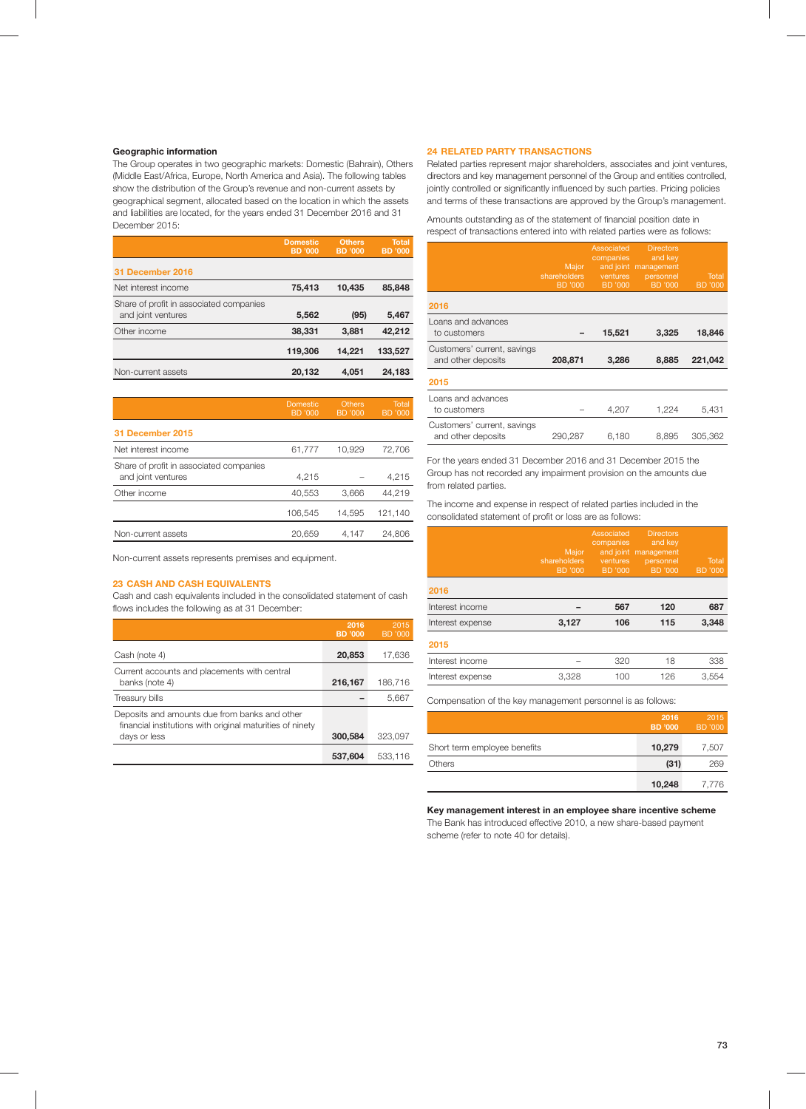## **Geographic information**

The Group operates in two geographic markets: Domestic (Bahrain), Others (Middle East/Africa, Europe, North America and Asia). The following tables show the distribution of the Group's revenue and non-current assets by geographical segment, allocated based on the location in which the assets and liabilities are located, for the years ended 31 December 2016 and 31 December 2015:

|                                                               | <b>Domestic</b><br><b>BD</b> '000 | <b>Others</b><br><b>BD</b> '000 | <b>Total</b><br><b>BD</b> '000 |
|---------------------------------------------------------------|-----------------------------------|---------------------------------|--------------------------------|
| 31 December 2016                                              |                                   |                                 |                                |
| Net interest income                                           | 75,413                            | 10,435                          | 85,848                         |
| Share of profit in associated companies<br>and joint ventures | 5,562                             | (95)                            | 5,467                          |
| Other income                                                  | 38,331                            | 3,881                           | 42,212                         |
|                                                               | 119,306                           | 14.221                          | 133.527                        |
| Non-current assets                                            | 20,132                            | 4,051                           | 24,183                         |

|                                                               | <b>Domestic</b><br>BD '000 | <b>Others</b><br>BD '000 | Total<br><b>BD</b> '000 |
|---------------------------------------------------------------|----------------------------|--------------------------|-------------------------|
| 31 December 2015                                              |                            |                          |                         |
| Net interest income                                           | 61,777                     | 10.929                   | 72,706                  |
| Share of profit in associated companies<br>and joint ventures | 4.215                      |                          | 4,215                   |
| Other income                                                  | 40.553                     | 3.666                    | 44,219                  |
|                                                               | 106.545                    | 14.595                   | 121.140                 |
| Non-current assets                                            | 20.659                     | 4.147                    | 24.806                  |

Non-current assets represents premises and equipment.

## **23 CASH AND CASH EQUIVALENTS**

Cash and cash equivalents included in the consolidated statement of cash flows includes the following as at 31 December:

|                                                                                                                            | 2016<br><b>BD</b> '000 | 2015<br>BD '000 |
|----------------------------------------------------------------------------------------------------------------------------|------------------------|-----------------|
| Cash (note 4)                                                                                                              | 20,853                 | 17,636          |
| Current accounts and placements with central<br>banks (note 4)                                                             | 216,167                | 186.716         |
| Treasury bills                                                                                                             |                        | 5,667           |
| Deposits and amounts due from banks and other<br>financial institutions with original maturities of ninety<br>days or less | 300,584                | 323.097         |
|                                                                                                                            | 537.604                | 533.116         |

## **24 RELATED PARTY TRANSACTIONS**

Related parties represent major shareholders, associates and joint ventures, directors and key management personnel of the Group and entities controlled, jointly controlled or significantly influenced by such parties. Pricing policies and terms of these transactions are approved by the Group's management.

Amounts outstanding as of the statement of financial position date in respect of transactions entered into with related parties were as follows:

|                             | Major          | Associated<br>companies<br>and joint | <b>Directors</b><br>and key<br>management |                |
|-----------------------------|----------------|--------------------------------------|-------------------------------------------|----------------|
|                             | shareholders   | ventures                             | personnel                                 | Total          |
|                             | <b>BD</b> '000 | <b>BD</b> '000                       | BD '000                                   | <b>BD</b> '000 |
| 2016                        |                |                                      |                                           |                |
| Loans and advances          |                |                                      |                                           |                |
| to customers                |                | 15,521                               | 3,325                                     | 18,846         |
| Customers' current, savings |                |                                      |                                           |                |
| and other deposits          | 208.871        | 3.286                                | 8.885                                     | 221.042        |
| 2015                        |                |                                      |                                           |                |
| Loans and advances          |                |                                      |                                           |                |
| to customers                |                | 4,207                                | 1,224                                     | 5,431          |
| Customers' current, savings |                |                                      |                                           |                |
| and other deposits          | 290,287        | 6,180                                | 8.895                                     | 305,362        |

For the years ended 31 December 2016 and 31 December 2015 the Group has not recorded any impairment provision on the amounts due from related parties.

The income and expense in respect of related parties included in the consolidated statement of profit or loss are as follows:

|                  | Major<br>shareholders<br><b>BD</b> '000 | Associated<br>companies<br>ventures<br>BD '000 | <b>Directors</b><br>and key<br>and joint management<br>personnel<br><b>BD</b> '000 | Total<br><b>BD</b> '000 |
|------------------|-----------------------------------------|------------------------------------------------|------------------------------------------------------------------------------------|-------------------------|
| 2016             |                                         |                                                |                                                                                    |                         |
| Interest income  |                                         | 567                                            | 120                                                                                | 687                     |
| Interest expense | 3,127                                   | 106                                            | 115                                                                                | 3,348                   |
| 2015             |                                         |                                                |                                                                                    |                         |
| Interest income  |                                         | 320                                            | 18                                                                                 | 338                     |
| Interest expense | 3,328                                   | 100                                            | 126                                                                                | 3,554                   |
|                  |                                         |                                                |                                                                                    |                         |

Compensation of the key management personnel is as follows:

|                              | 2016<br>BD '000 | 2015<br><b>BD</b> '000 |
|------------------------------|-----------------|------------------------|
| Short term employee benefits | 10,279          | 7,507                  |
| Others                       | (31)            | 269                    |
|                              | 10,248          | 7.776                  |

**Key management interest in an employee share incentive scheme**

The Bank has introduced effective 2010, a new share-based payment scheme (refer to note 40 for details).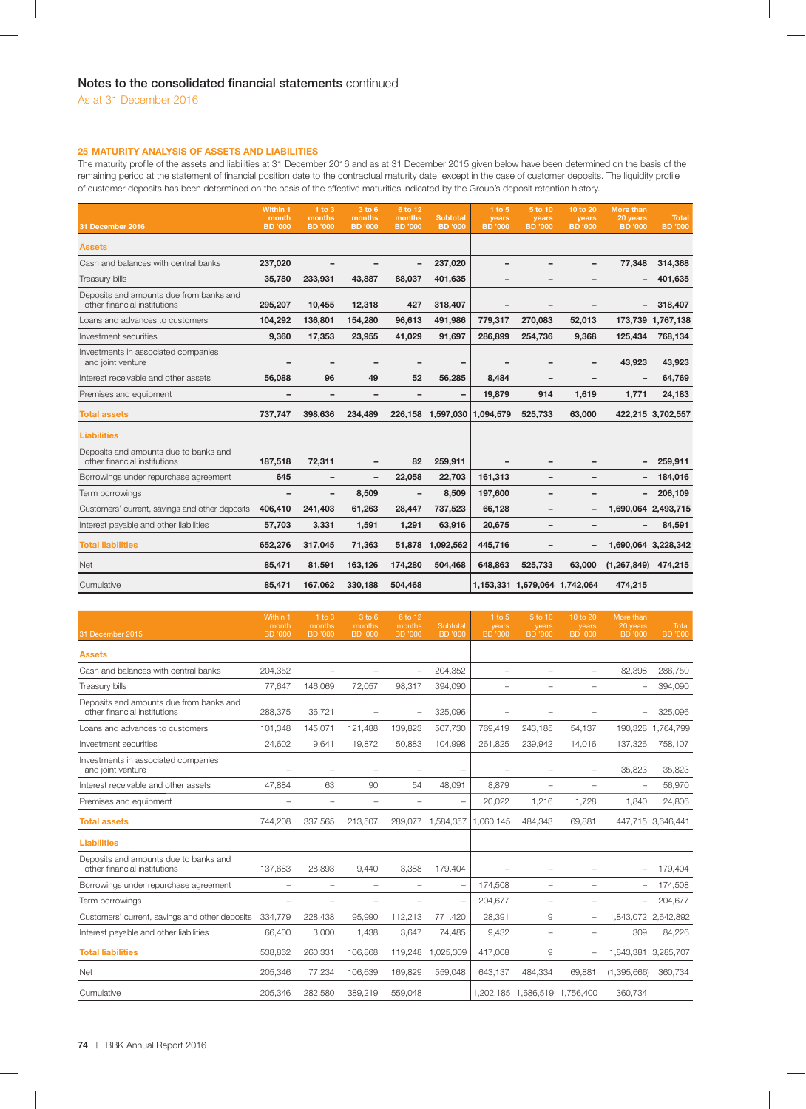## **25 MATURITY ANALYSIS OF ASSETS AND LIABILITIES**

The maturity profile of the assets and liabilities at 31 December 2016 and as at 31 December 2015 given below have been determined on the basis of the remaining period at the statement of financial position date to the contractual maturity date, except in the case of customer deposits. The liquidity profile of customer deposits has been determined on the basis of the effective maturities indicated by the Group's deposit retention history.

| 31 December 2016                                                        | Within 1<br>month<br><b>BD</b> '000 | $1$ to $3$<br>months<br><b>BD</b> '000 | 3 to 6<br>months<br><b>BD</b> '000 | 6 to 12<br>months<br><b>BD</b> '000 | <b>Subtotal</b><br><b>BD</b> '000 | $1$ to $5$<br>years<br><b>BD</b> '000 | 5 to 10<br>years<br><b>BD</b> '000 | 10 to 20<br>years<br><b>BD</b> '000 | <b>More than</b><br>20 years<br><b>BD</b> '000 | <b>Total</b><br><b>BD</b> '000 |
|-------------------------------------------------------------------------|-------------------------------------|----------------------------------------|------------------------------------|-------------------------------------|-----------------------------------|---------------------------------------|------------------------------------|-------------------------------------|------------------------------------------------|--------------------------------|
| <b>Assets</b>                                                           |                                     |                                        |                                    |                                     |                                   |                                       |                                    |                                     |                                                |                                |
| Cash and balances with central banks                                    | 237,020                             | -                                      |                                    | -                                   | 237,020                           | $\overline{\phantom{m}}$              | -                                  |                                     | 77,348                                         | 314,368                        |
| Treasury bills                                                          | 35.780                              | 233,931                                | 43,887                             | 88,037                              | 401,635                           | $\overline{\phantom{0}}$              | -                                  |                                     |                                                | 401,635                        |
| Deposits and amounts due from banks and<br>other financial institutions | 295,207                             | 10,455                                 | 12,318                             | 427                                 | 318,407                           | $\qquad \qquad$                       | $\overline{\phantom{0}}$           |                                     |                                                | 318,407                        |
| Loans and advances to customers                                         | 104.292                             | 136,801                                | 154,280                            | 96,613                              | 491,986                           | 779,317                               | 270,083                            | 52,013                              | 173,739                                        | 1,767,138                      |
| Investment securities                                                   | 9,360                               | 17,353                                 | 23,955                             | 41,029                              | 91,697                            | 286,899                               | 254,736                            | 9,368                               | 125,434                                        | 768,134                        |
| Investments in associated companies<br>and joint venture                |                                     |                                        |                                    |                                     | $\overline{\phantom{0}}$          |                                       | -                                  |                                     | 43,923                                         | 43,923                         |
| Interest receivable and other assets                                    | 56,088                              | 96                                     | 49                                 | 52                                  | 56,285                            | 8,484                                 | $\qquad \qquad -$                  |                                     |                                                | 64,769                         |
| Premises and equipment                                                  |                                     |                                        | $\overline{\phantom{0}}$           | $\qquad \qquad$                     |                                   | 19,879                                | 914                                | 1,619                               | 1,771                                          | 24,183                         |
| <b>Total assets</b>                                                     | 737,747                             | 398,636                                | 234,489                            | 226,158                             | 1,597,030                         | 1,094,579                             | 525,733                            | 63,000                              |                                                | 422,215 3,702,557              |
| <b>Liabilities</b>                                                      |                                     |                                        |                                    |                                     |                                   |                                       |                                    |                                     |                                                |                                |
| Deposits and amounts due to banks and<br>other financial institutions   | 187,518                             | 72,311                                 | $\overline{\phantom{m}}$           | 82                                  | 259,911                           |                                       | $\overline{\phantom{0}}$           |                                     |                                                | 259,911                        |
| Borrowings under repurchase agreement                                   | 645                                 |                                        | $\overline{\phantom{a}}$           | 22,058                              | 22,703                            | 161,313                               | $\overline{\phantom{0}}$           |                                     |                                                | 184,016                        |
| Term borrowings                                                         | $\overline{\phantom{m}}$            | $\overline{\phantom{a}}$               | 8,509                              | $\overline{\phantom{a}}$            | 8,509                             | 197,600                               | $\qquad \qquad -$                  |                                     | $\overline{\phantom{0}}$                       | 206,109                        |
| Customers' current, savings and other deposits                          | 406,410                             | 241,403                                | 61,263                             | 28,447                              | 737,523                           | 66,128                                | -                                  |                                     | 1,690,064 2,493,715                            |                                |
| Interest payable and other liabilities                                  | 57,703                              | 3,331                                  | 1,591                              | 1,291                               | 63,916                            | 20,675                                | $\qquad \qquad$                    |                                     |                                                | 84,591                         |
| <b>Total liabilities</b>                                                | 652,276                             | 317,045                                | 71,363                             | 51,878                              | 1,092,562                         | 445,716                               |                                    |                                     | 1,690,064 3,228,342                            |                                |
| <b>Net</b>                                                              | 85,471                              | 81,591                                 | 163,126                            | 174,280                             | 504,468                           | 648,863                               | 525,733                            | 63,000                              | (1, 267, 849)                                  | 474,215                        |
| Cumulative                                                              | 85,471                              | 167,062                                | 330,188                            | 504,468                             |                                   |                                       |                                    | 1,153,331 1,679,064 1,742,064       | 474,215                                        |                                |

| 31 December 2015                                                        | Within 1<br>month<br><b>BD</b> '000 | $1$ to $3$<br>months<br><b>BD</b> '000 | 3 to 6<br>months<br><b>BD</b> '000 | 6 to 12<br>months<br><b>BD</b> '000 | Subtotal<br><b>BD</b> '000 | 1 to $5$<br>years<br><b>BD</b> '000 | 5 to 10<br>years<br><b>BD</b> '000 | 10 to 20<br>years<br><b>BD</b> '000 | More than<br>20 years<br><b>BD</b> '000 | Total<br><b>BD</b> '000 |
|-------------------------------------------------------------------------|-------------------------------------|----------------------------------------|------------------------------------|-------------------------------------|----------------------------|-------------------------------------|------------------------------------|-------------------------------------|-----------------------------------------|-------------------------|
| <b>Assets</b>                                                           |                                     |                                        |                                    |                                     |                            |                                     |                                    |                                     |                                         |                         |
| Cash and balances with central banks                                    | 204,352                             |                                        |                                    | $\overline{\phantom{0}}$            | 204,352                    | $\overline{\phantom{0}}$            |                                    | L.                                  | 82,398                                  | 286,750                 |
| Treasury bills                                                          | 77,647                              | 146,069                                | 72,057                             | 98,317                              | 394,090                    | -                                   | $\overline{\phantom{0}}$           | L.                                  | $\overline{\phantom{m}}$                | 394,090                 |
| Deposits and amounts due from banks and<br>other financial institutions | 288,375                             | 36,721                                 | $\overline{\phantom{0}}$           | $\qquad \qquad -$                   | 325,096                    | $\overline{\phantom{0}}$            |                                    |                                     |                                         | 325,096                 |
| Loans and advances to customers                                         | 101,348                             | 145,071                                | 121,488                            | 139,823                             | 507,730                    | 769,419                             | 243,185                            | 54,137                              | 190,328                                 | 1,764,799               |
| Investment securities                                                   | 24,602                              | 9,641                                  | 19,872                             | 50,883                              | 104,998                    | 261,825                             | 239,942                            | 14,016                              | 137,326                                 | 758,107                 |
| Investments in associated companies<br>and joint venture                | $\overline{\phantom{a}}$            |                                        |                                    | $\qquad \qquad -$                   | $\overline{\phantom{0}}$   |                                     | $\overline{\phantom{0}}$           | $\overline{\phantom{0}}$            | 35,823                                  | 35,823                  |
| Interest receivable and other assets                                    | 47.884                              | 63                                     | 90                                 | 54                                  | 48,091                     | 8.879                               | -                                  | ۰                                   | $\overline{\phantom{a}}$                | 56,970                  |
| Premises and equipment                                                  | $\overline{\phantom{0}}$            | $\overline{\phantom{0}}$               | $\overline{\phantom{0}}$           | $\overline{\phantom{0}}$            | $\overline{\phantom{0}}$   | 20,022                              | 1.216                              | 1.728                               | 1.840                                   | 24,806                  |
| <b>Total assets</b>                                                     | 744,208                             | 337,565                                | 213,507                            | 289,077                             | 1,584,357                  | 1.060.145                           | 484,343                            | 69,881                              |                                         | 447,715 3,646,441       |
| <b>Liabilities</b>                                                      |                                     |                                        |                                    |                                     |                            |                                     |                                    |                                     |                                         |                         |
| Deposits and amounts due to banks and<br>other financial institutions   | 137,683                             | 28,893                                 | 9,440                              | 3,388                               | 179,404                    |                                     | $\overline{\phantom{0}}$           |                                     |                                         | 179,404                 |
| Borrowings under repurchase agreement                                   | $\overline{\phantom{0}}$            | $\qquad \qquad -$                      | $\overline{\phantom{0}}$           | $\qquad \qquad -$                   |                            | 174,508                             | $\qquad \qquad -$                  | $\overline{\phantom{0}}$            | $\overline{\phantom{m}}$                | 174,508                 |
| Term borrowings                                                         | $\qquad \qquad -$                   | $\overline{\phantom{0}}$               | $\overline{\phantom{0}}$           | -                                   |                            | 204,677                             | $\overline{\phantom{0}}$           | $\overline{\phantom{0}}$            | $\overline{\phantom{0}}$                | 204,677                 |
| Customers' current, savings and other deposits                          | 334,779                             | 228,438                                | 95,990                             | 112,213                             | 771,420                    | 28,391                              | 9                                  | L.                                  | 1,843,072 2,642,892                     |                         |
| Interest payable and other liabilities                                  | 66.400                              | 3,000                                  | 1,438                              | 3,647                               | 74,485                     | 9.432                               | $\qquad \qquad -$                  | ۰                                   | 309                                     | 84,226                  |
| <b>Total liabilities</b>                                                | 538,862                             | 260,331                                | 106,868                            | 119,248                             | 1,025,309                  | 417,008                             | 9                                  | $\overline{\phantom{0}}$            | 1,843,381 3,285,707                     |                         |
| Net                                                                     | 205,346                             | 77,234                                 | 106,639                            | 169,829                             | 559,048                    | 643,137                             | 484,334                            | 69,881                              | (1,395,666)                             | 360,734                 |
| Cumulative                                                              | 205.346                             | 282.580                                | 389.219                            | 559.048                             |                            |                                     |                                    | 1.202.185 1.686.519 1.756.400       | 360.734                                 |                         |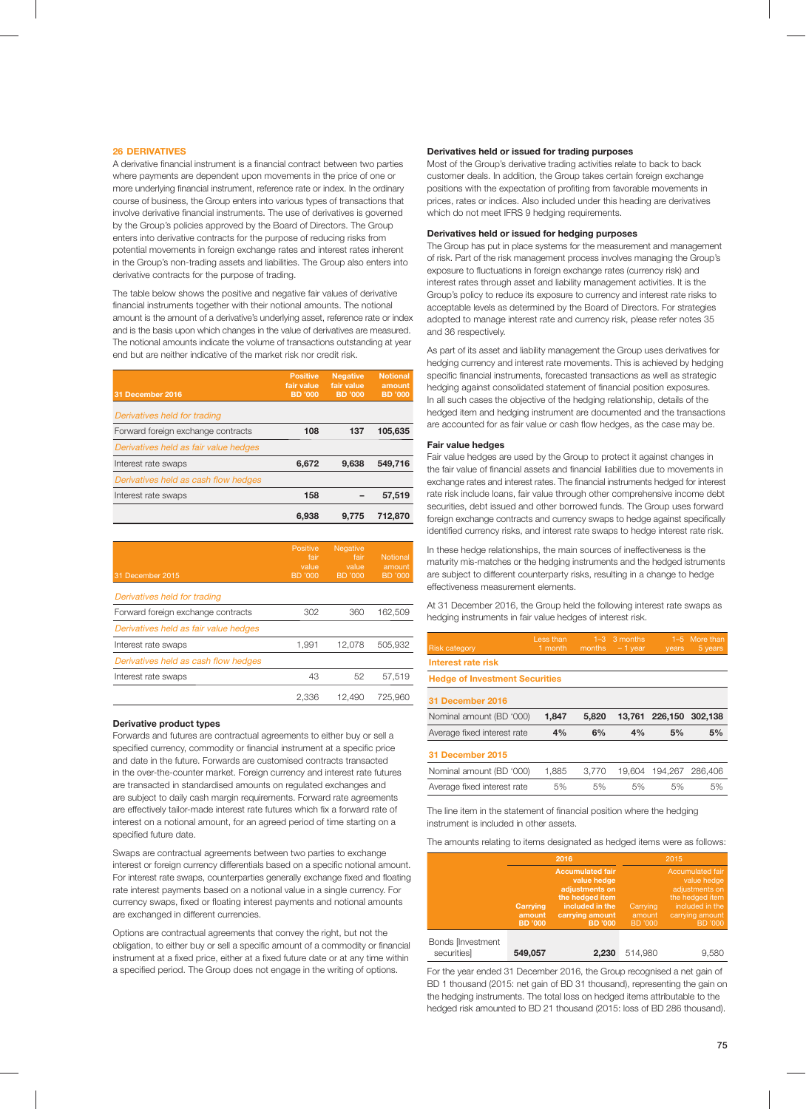## **26 DERIVATIVES**

A derivative financial instrument is a financial contract between two parties where payments are dependent upon movements in the price of one or more underlying financial instrument, reference rate or index. In the ordinary course of business, the Group enters into various types of transactions that involve derivative financial instruments. The use of derivatives is governed by the Group's policies approved by the Board of Directors. The Group enters into derivative contracts for the purpose of reducing risks from potential movements in foreign exchange rates and interest rates inherent in the Group's non-trading assets and liabilities. The Group also enters into derivative contracts for the purpose of trading.

The table below shows the positive and negative fair values of derivative financial instruments together with their notional amounts. The notional amount is the amount of a derivative's underlying asset, reference rate or index and is the basis upon which changes in the value of derivatives are measured. The notional amounts indicate the volume of transactions outstanding at year end but are neither indicative of the market risk nor credit risk.

| 31 December 2016                      | <b>Positive</b><br>fair value<br><b>BD</b> '000 | <b>Negative</b><br>fair value<br><b>BD</b> '000 | <b>Notional</b><br>amount<br><b>BD</b> '000 |
|---------------------------------------|-------------------------------------------------|-------------------------------------------------|---------------------------------------------|
| Derivatives held for trading          |                                                 |                                                 |                                             |
| Forward foreign exchange contracts    | 108                                             | 137                                             | 105.635                                     |
| Derivatives held as fair value hedges |                                                 |                                                 |                                             |
| Interest rate swaps                   | 6,672                                           | 9.638                                           | 549.716                                     |
| Derivatives held as cash flow hedges  |                                                 |                                                 |                                             |
| Interest rate swaps                   | 158                                             |                                                 | 57.519                                      |
|                                       | 6.938                                           | 9.775                                           | 712.870                                     |

| 31 December 2015                      | Positive<br>fair<br>value<br>BD '000 | <b>Negative</b><br>fair<br>value<br>BD '000 | <b>Notional</b><br>amount<br><b>BD</b> '000 |
|---------------------------------------|--------------------------------------|---------------------------------------------|---------------------------------------------|
| Derivatives held for trading          |                                      |                                             |                                             |
| Forward foreign exchange contracts    | 302                                  | 360                                         | 162,509                                     |
| Derivatives held as fair value hedges |                                      |                                             |                                             |
| Interest rate swaps                   | 1,991                                | 12.078                                      | 505.932                                     |
| Derivatives held as cash flow hedges  |                                      |                                             |                                             |
| Interest rate swaps                   | 43                                   | 52                                          | 57.519                                      |
|                                       | 2.336                                | 12.490                                      | 725.960                                     |

### **Derivative product types**

Forwards and futures are contractual agreements to either buy or sell a specified currency, commodity or financial instrument at a specific price and date in the future. Forwards are customised contracts transacted in the over-the-counter market. Foreign currency and interest rate futures are transacted in standardised amounts on regulated exchanges and are subject to daily cash margin requirements. Forward rate agreements are effectively tailor-made interest rate futures which fix a forward rate of interest on a notional amount, for an agreed period of time starting on a specified future date.

Swaps are contractual agreements between two parties to exchange interest or foreign currency differentials based on a specific notional amount. For interest rate swaps, counterparties generally exchange fixed and floating rate interest payments based on a notional value in a single currency. For currency swaps, fixed or floating interest payments and notional amounts are exchanged in different currencies.

Options are contractual agreements that convey the right, but not the obligation, to either buy or sell a specific amount of a commodity or financial instrument at a fixed price, either at a fixed future date or at any time within a specified period. The Group does not engage in the writing of options.

## **Derivatives held or issued for trading purposes**

Most of the Group's derivative trading activities relate to back to back customer deals. In addition, the Group takes certain foreign exchange positions with the expectation of profiting from favorable movements in prices, rates or indices. Also included under this heading are derivatives which do not meet IFRS 9 hedging requirements.

## **Derivatives held or issued for hedging purposes**

The Group has put in place systems for the measurement and management of risk. Part of the risk management process involves managing the Group's exposure to fluctuations in foreign exchange rates (currency risk) and interest rates through asset and liability management activities. It is the Group's policy to reduce its exposure to currency and interest rate risks to acceptable levels as determined by the Board of Directors. For strategies adopted to manage interest rate and currency risk, please refer notes 35 and 36 respectively.

As part of its asset and liability management the Group uses derivatives for hedging currency and interest rate movements. This is achieved by hedging specific financial instruments, forecasted transactions as well as strategic hedging against consolidated statement of financial position exposures. In all such cases the objective of the hedging relationship, details of the hedged item and hedging instrument are documented and the transactions are accounted for as fair value or cash flow hedges, as the case may be.

#### **Fair value hedges**

Fair value hedges are used by the Group to protect it against changes in the fair value of financial assets and financial liabilities due to movements in exchange rates and interest rates. The financial instruments hedged for interest rate risk include loans, fair value through other comprehensive income debt securities, debt issued and other borrowed funds. The Group uses forward foreign exchange contracts and currency swaps to hedge against specifically identified currency risks, and interest rate swaps to hedge interest rate risk.

In these hedge relationships, the main sources of ineffectiveness is the maturity mis-matches or the hedging instruments and the hedged istruments are subject to different counterparty risks, resulting in a change to hedge effectiveness measurement elements.

At 31 December 2016, the Group held the following interest rate swaps as hedging instruments in fair value hedges of interest risk.

| <b>Risk category</b>                  | Less than<br>1 month | months | $1-3$ 3 months<br>$-1$ vear | vears                  | 1-5 More than<br>5 years |  |  |  |  |  |
|---------------------------------------|----------------------|--------|-----------------------------|------------------------|--------------------------|--|--|--|--|--|
| Interest rate risk                    |                      |        |                             |                        |                          |  |  |  |  |  |
| <b>Hedge of Investment Securities</b> |                      |        |                             |                        |                          |  |  |  |  |  |
| 31 December 2016                      |                      |        |                             |                        |                          |  |  |  |  |  |
| Nominal amount (BD '000)              | 1,847                | 5.820  |                             | 13.761 226.150 302.138 |                          |  |  |  |  |  |
| Average fixed interest rate           | 4%                   | 6%     | 4%                          | 5%                     | 5%                       |  |  |  |  |  |
| 31 December 2015                      |                      |        |                             |                        |                          |  |  |  |  |  |

| Nominal amount (BD '000)    | 1.885 |     |     |     |    |
|-----------------------------|-------|-----|-----|-----|----|
| Average fixed interest rate | 5%    | .5% | .5% | .5% | 5% |

The line item in the statement of financial position where the hedging instrument is included in other assets.

The amounts relating to items designated as hedged items were as follows:

|                                         |                                      | 2016                                                                                                                                | 2015                                 |                                                                                                                                     |  |  |
|-----------------------------------------|--------------------------------------|-------------------------------------------------------------------------------------------------------------------------------------|--------------------------------------|-------------------------------------------------------------------------------------------------------------------------------------|--|--|
|                                         | Carrying<br>amount<br><b>BD</b> '000 | <b>Accumulated fair</b><br>value hedge<br>adjustments on<br>the hedged item<br>included in the<br>carrying amount<br><b>BD</b> '000 | Carrying<br>amount<br><b>BD</b> '000 | <b>Accumulated fair</b><br>value hedge<br>adjustments on<br>the hedged item<br>included in the<br>carrying amount<br><b>BD</b> '000 |  |  |
| <b>Bonds [Investment</b><br>securities] | 549,057                              | 2.230                                                                                                                               | 514.980                              | 9.580                                                                                                                               |  |  |

For the year ended 31 December 2016, the Group recognised a net gain of BD 1 thousand (2015: net gain of BD 31 thousand), representing the gain on the hedging instruments. The total loss on hedged items attributable to the hedged risk amounted to BD 21 thousand (2015: loss of BD 286 thousand).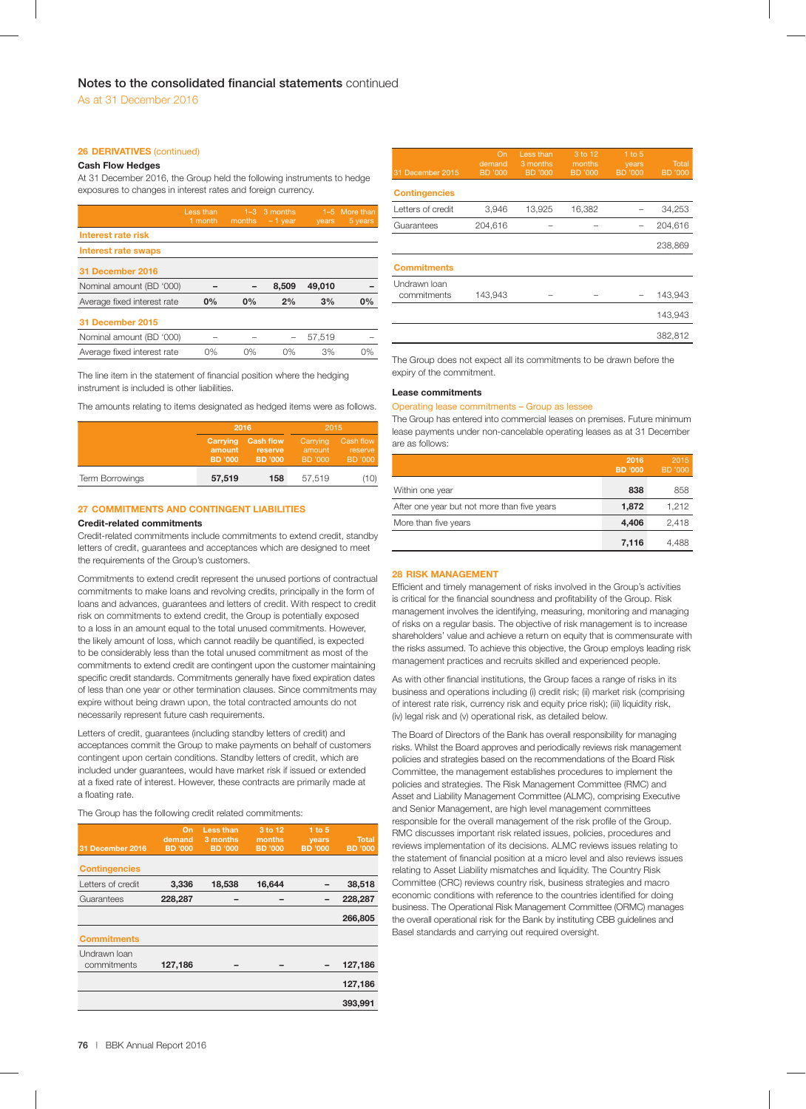## **26 DERIVATIVES** (continued)

## **Cash Flow Hedges**

At 31 December 2016, the Group held the following instruments to hedge exposures to changes in interest rates and foreign currency.

|                             | Less than<br>1 month | $1 - 3$<br>months | 3 months<br>$-1$ year | years  | 1-5 More than<br>5 years |
|-----------------------------|----------------------|-------------------|-----------------------|--------|--------------------------|
| Interest rate risk          |                      |                   |                       |        |                          |
| Interest rate swaps         |                      |                   |                       |        |                          |
| 31 December 2016            |                      |                   |                       |        |                          |
| Nominal amount (BD '000)    |                      |                   | 8.509                 | 49,010 |                          |
| Average fixed interest rate | 0%                   | 0%                | 2%                    | 3%     | 0%                       |
| 31 December 2015            |                      |                   |                       |        |                          |
| Nominal amount (BD '000)    |                      |                   |                       | 57,519 |                          |
| Average fixed interest rate | 0%                   | 0%                | 0%                    | 3%     | 0%                       |

The line item in the statement of financial position where the hedging instrument is included is other liabilities.

The amounts relating to items designated as hedged items were as follows.

|                        |                               | 2016                                   | 2015   |                                 |
|------------------------|-------------------------------|----------------------------------------|--------|---------------------------------|
|                        | Carrying<br>amount<br>BD '000 | <b>Cash flow</b><br>reserve<br>BD '000 |        | Cash flow<br>reserve<br>BD '000 |
| <b>Term Borrowings</b> | 57,519                        | 158                                    | 57,519 | (10)                            |

## **27 COMMITMENTS AND CONTINGENT LIABILITIES**

## **Credit-related commitments**

Credit-related commitments include commitments to extend credit, standby letters of credit, guarantees and acceptances which are designed to meet the requirements of the Group's customers.

Commitments to extend credit represent the unused portions of contractual commitments to make loans and revolving credits, principally in the form of loans and advances, guarantees and letters of credit. With respect to credit risk on commitments to extend credit, the Group is potentially exposed to a loss in an amount equal to the total unused commitments. However, the likely amount of loss, which cannot readily be quantified, is expected to be considerably less than the total unused commitment as most of the commitments to extend credit are contingent upon the customer maintaining specific credit standards. Commitments generally have fixed expiration dates of less than one year or other termination clauses. Since commitments may expire without being drawn upon, the total contracted amounts do not necessarily represent future cash requirements.

Letters of credit, guarantees (including standby letters of credit) and acceptances commit the Group to make payments on behalf of customers contingent upon certain conditions. Standby letters of credit, which are included under guarantees, would have market risk if issued or extended at a fixed rate of interest. However, these contracts are primarily made at a floating rate.

The Group has the following credit related commitments:

| 31 December 2016            | On<br>demand<br><b>BD</b> '000 | Less than<br>3 months<br><b>BD</b> '000 | 3 to 12<br>months<br><b>BD</b> '000 | $1$ to $5$<br>years<br><b>BD</b> '000 | <b>Total</b><br><b>BD</b> '000 |
|-----------------------------|--------------------------------|-----------------------------------------|-------------------------------------|---------------------------------------|--------------------------------|
| <b>Contingencies</b>        |                                |                                         |                                     |                                       |                                |
| Letters of credit           | 3,336                          | 18,538                                  | 16,644                              |                                       | 38,518                         |
| Guarantees                  | 228,287                        |                                         |                                     |                                       | 228,287                        |
|                             |                                |                                         |                                     |                                       | 266,805                        |
| <b>Commitments</b>          |                                |                                         |                                     |                                       |                                |
| Undrawn Ioan<br>commitments | 127,186                        |                                         |                                     |                                       | 127,186                        |
|                             |                                |                                         |                                     |                                       | 127,186                        |
|                             |                                |                                         |                                     |                                       | 393,991                        |

| 31 December 2015            | On<br>demand<br><b>BD</b> '000 | Less than<br>3 months<br><b>BD</b> '000 | 3 to 12<br>months<br><b>BD</b> '000 | $1$ to $5$<br>years<br><b>BD</b> '000 | <b>Total</b><br><b>BD</b> '000 |
|-----------------------------|--------------------------------|-----------------------------------------|-------------------------------------|---------------------------------------|--------------------------------|
| <b>Contingencies</b>        |                                |                                         |                                     |                                       |                                |
| Letters of credit           | 3,946                          | 13,925                                  | 16,382                              |                                       | 34,253                         |
| Guarantees                  | 204,616                        |                                         |                                     |                                       | 204,616                        |
|                             |                                |                                         |                                     |                                       | 238,869                        |
| <b>Commitments</b>          |                                |                                         |                                     |                                       |                                |
| Undrawn Ioan<br>commitments | 143,943                        |                                         |                                     |                                       | 143,943                        |
|                             |                                |                                         |                                     |                                       | 143,943                        |
|                             |                                |                                         |                                     |                                       | 382,812                        |

The Group does not expect all its commitments to be drawn before the expiry of the commitment.

## **Lease commitments**

## Operating lease commitments – Group as lessee

The Group has entered into commercial leases on premises. Future minimum lease payments under non-cancelable operating leases as at 31 December are as follows:

|                                             | 2016<br><b>BD</b> '000 | 2015<br><b>BD</b> '000 |
|---------------------------------------------|------------------------|------------------------|
| Within one year                             | 838                    | 858                    |
| After one year but not more than five years | 1,872                  | 1.212                  |
| More than five years                        | 4,406                  | 2,418                  |
|                                             | 7,116                  | 4.488                  |

## **28 RISK MANAGEMENT**

Efficient and timely management of risks involved in the Group's activities is critical for the financial soundness and profitability of the Group. Risk management involves the identifying, measuring, monitoring and managing of risks on a regular basis. The objective of risk management is to increase shareholders' value and achieve a return on equity that is commensurate with the risks assumed. To achieve this objective, the Group employs leading risk management practices and recruits skilled and experienced people.

As with other financial institutions, the Group faces a range of risks in its business and operations including (i) credit risk; (ii) market risk (comprising of interest rate risk, currency risk and equity price risk); (iii) liquidity risk, (iv) legal risk and (v) operational risk, as detailed below.

The Board of Directors of the Bank has overall responsibility for managing risks. Whilst the Board approves and periodically reviews risk management policies and strategies based on the recommendations of the Board Risk Committee, the management establishes procedures to implement the policies and strategies. The Risk Management Committee (RMC) and Asset and Liability Management Committee (ALMC), comprising Executive and Senior Management, are high level management committees responsible for the overall management of the risk profile of the Group. RMC discusses important risk related issues, policies, procedures and reviews implementation of its decisions. ALMC reviews issues relating to the statement of financial position at a micro level and also reviews issues relating to Asset Liability mismatches and liquidity. The Country Risk Committee (CRC) reviews country risk, business strategies and macro economic conditions with reference to the countries identified for doing business. The Operational Risk Management Committee (ORMC) manages the overall operational risk for the Bank by instituting CBB guidelines and Basel standards and carrying out required oversight.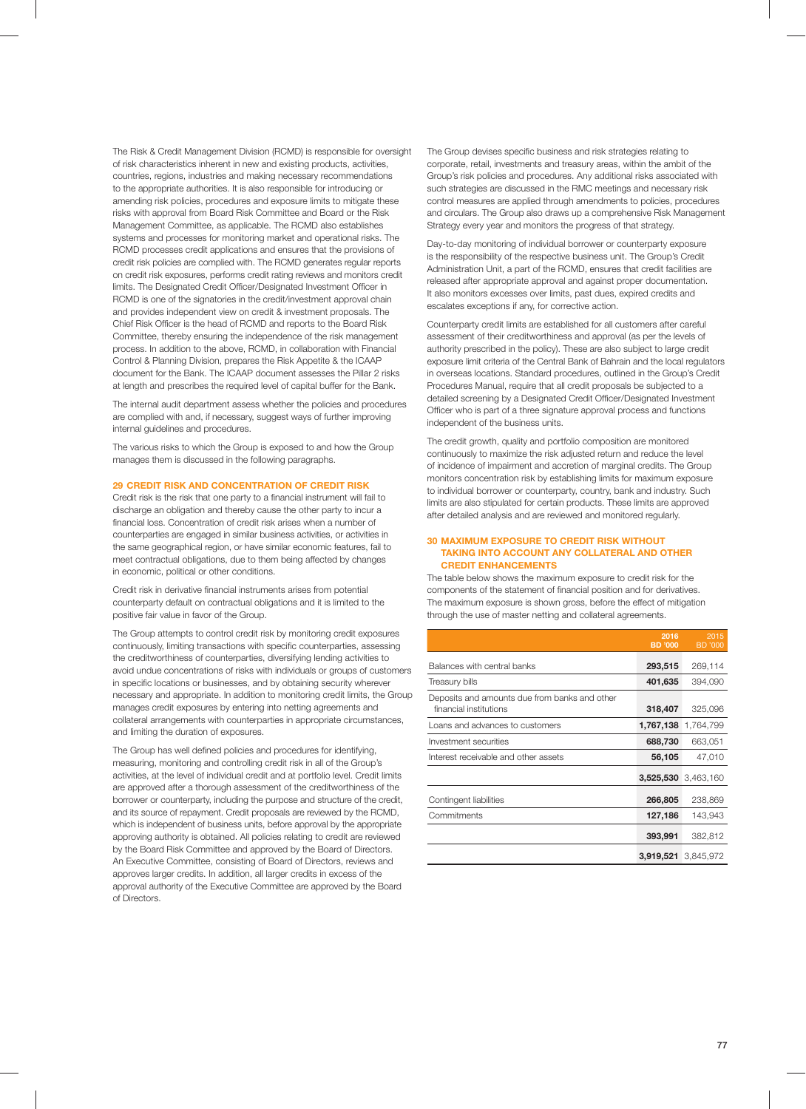The Risk & Credit Management Division (RCMD) is responsible for oversight of risk characteristics inherent in new and existing products, activities, countries, regions, industries and making necessary recommendations to the appropriate authorities. It is also responsible for introducing or amending risk policies, procedures and exposure limits to mitigate these risks with approval from Board Risk Committee and Board or the Risk Management Committee, as applicable. The RCMD also establishes systems and processes for monitoring market and operational risks. The RCMD processes credit applications and ensures that the provisions of credit risk policies are complied with. The RCMD generates regular reports on credit risk exposures, performs credit rating reviews and monitors credit limits. The Designated Credit Officer/Designated Investment Officer in RCMD is one of the signatories in the credit/investment approval chain and provides independent view on credit & investment proposals. The Chief Risk Officer is the head of RCMD and reports to the Board Risk Committee, thereby ensuring the independence of the risk management process. In addition to the above, RCMD, in collaboration with Financial Control & Planning Division, prepares the Risk Appetite & the ICAAP document for the Bank. The ICAAP document assesses the Pillar 2 risks at length and prescribes the required level of capital buffer for the Bank.

The internal audit department assess whether the policies and procedures are complied with and, if necessary, suggest ways of further improving internal guidelines and procedures.

The various risks to which the Group is exposed to and how the Group manages them is discussed in the following paragraphs.

## **29 CREDIT RISK AND CONCENTRATION OF CREDIT RISK**

Credit risk is the risk that one party to a financial instrument will fail to discharge an obligation and thereby cause the other party to incur a financial loss. Concentration of credit risk arises when a number of counterparties are engaged in similar business activities, or activities in the same geographical region, or have similar economic features, fail to meet contractual obligations, due to them being affected by changes in economic, political or other conditions.

Credit risk in derivative financial instruments arises from potential counterparty default on contractual obligations and it is limited to the positive fair value in favor of the Group.

The Group attempts to control credit risk by monitoring credit exposures continuously, limiting transactions with specific counterparties, assessing the creditworthiness of counterparties, diversifying lending activities to avoid undue concentrations of risks with individuals or groups of customers in specific locations or businesses, and by obtaining security wherever necessary and appropriate. In addition to monitoring credit limits, the Group manages credit exposures by entering into netting agreements and collateral arrangements with counterparties in appropriate circumstances, and limiting the duration of exposures.

The Group has well defined policies and procedures for identifying, measuring, monitoring and controlling credit risk in all of the Group's activities, at the level of individual credit and at portfolio level. Credit limits are approved after a thorough assessment of the creditworthiness of the borrower or counterparty, including the purpose and structure of the credit, and its source of repayment. Credit proposals are reviewed by the RCMD, which is independent of business units, before approval by the appropriate approving authority is obtained. All policies relating to credit are reviewed by the Board Risk Committee and approved by the Board of Directors. An Executive Committee, consisting of Board of Directors, reviews and approves larger credits. In addition, all larger credits in excess of the approval authority of the Executive Committee are approved by the Board of Directors.

The Group devises specific business and risk strategies relating to corporate, retail, investments and treasury areas, within the ambit of the Group's risk policies and procedures. Any additional risks associated with such strategies are discussed in the RMC meetings and necessary risk control measures are applied through amendments to policies, procedures and circulars. The Group also draws up a comprehensive Risk Management Strategy every year and monitors the progress of that strategy.

Day-to-day monitoring of individual borrower or counterparty exposure is the responsibility of the respective business unit. The Group's Credit Administration Unit, a part of the RCMD, ensures that credit facilities are released after appropriate approval and against proper documentation. It also monitors excesses over limits, past dues, expired credits and escalates exceptions if any, for corrective action.

Counterparty credit limits are established for all customers after careful assessment of their creditworthiness and approval (as per the levels of authority prescribed in the policy). These are also subject to large credit exposure limit criteria of the Central Bank of Bahrain and the local regulators in overseas locations. Standard procedures, outlined in the Group's Credit Procedures Manual, require that all credit proposals be subjected to a detailed screening by a Designated Credit Officer/Designated Investment Officer who is part of a three signature approval process and functions independent of the business units.

The credit growth, quality and portfolio composition are monitored continuously to maximize the risk adjusted return and reduce the level of incidence of impairment and accretion of marginal credits. The Group monitors concentration risk by establishing limits for maximum exposure to individual borrower or counterparty, country, bank and industry. Such limits are also stipulated for certain products. These limits are approved after detailed analysis and are reviewed and monitored regularly.

## **30 MAXIMUM EXPOSURE TO CREDIT RISK WITHOUT TAKING INTO ACCOUNT ANY COLLATERAL AND OTHER CREDIT ENHANCEMENTS**

The table below shows the maximum exposure to credit risk for the components of the statement of financial position and for derivatives. The maximum exposure is shown gross, before the effect of mitigation through the use of master netting and collateral agreements.

|                                                                         | 2016<br><b>BD</b> '000 | 2015<br><b>BD</b> '000 |
|-------------------------------------------------------------------------|------------------------|------------------------|
| Balances with central banks                                             | 293,515                | 269,114                |
| Treasury bills                                                          | 401,635                | 394,090                |
| Deposits and amounts due from banks and other<br>financial institutions | 318,407                | 325,096                |
| Loans and advances to customers                                         | 1,767,138              | 1,764,799              |
| Investment securities                                                   | 688,730                | 663,051                |
| Interest receivable and other assets                                    | 56,105                 | 47,010                 |
|                                                                         |                        | 3,525,530 3,463,160    |
| Contingent liabilities                                                  | 266,805                | 238,869                |
| Commitments                                                             | 127,186                | 143,943                |
|                                                                         | 393,991                | 382,812                |
|                                                                         | 3,919,521              | 3.845.972              |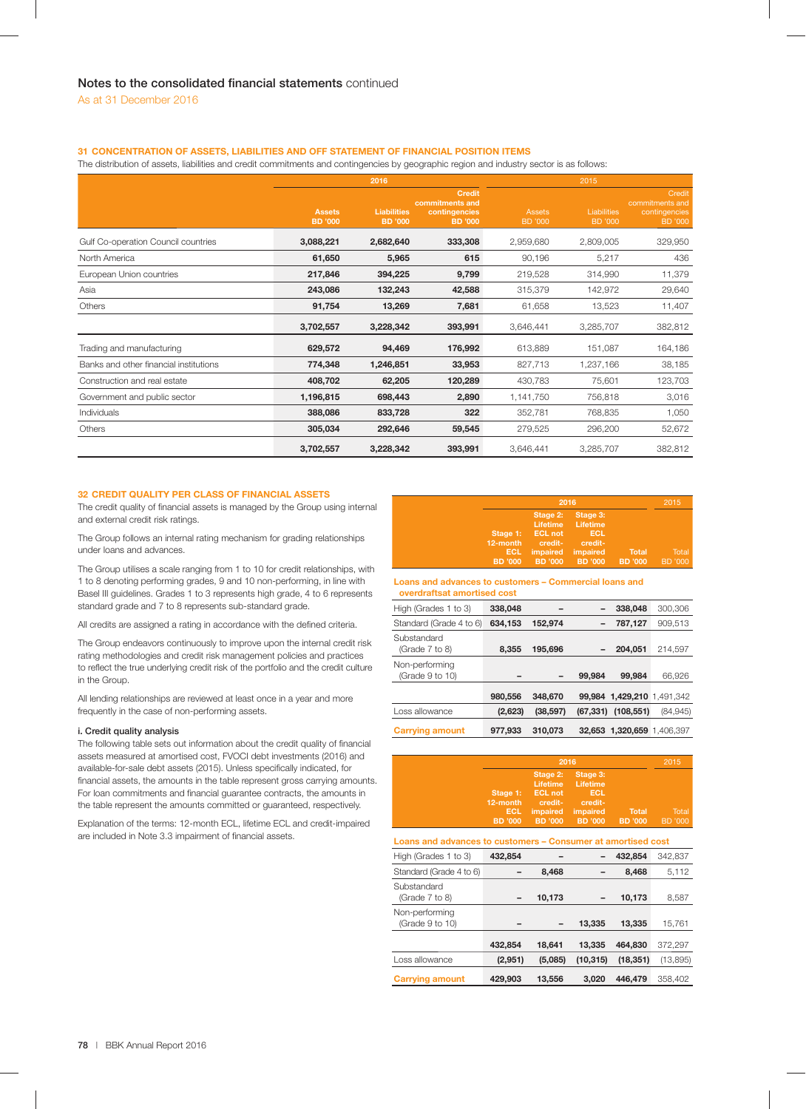## **31 CONCENTRATION OF ASSETS, LIABILITIES AND OFF STATEMENT OF FINANCIAL POSITION ITEMS**

The distribution of assets, liabilities and credit commitments and contingencies by geographic region and industry sector is as follows:

|                                        | 2016                            |                                      |                                                                     | 2015                            |                                      |                                                              |
|----------------------------------------|---------------------------------|--------------------------------------|---------------------------------------------------------------------|---------------------------------|--------------------------------------|--------------------------------------------------------------|
|                                        | <b>Assets</b><br><b>BD</b> '000 | <b>Liabilities</b><br><b>BD</b> '000 | <b>Credit</b><br>commitments and<br>contingencies<br><b>BD</b> '000 | <b>Assets</b><br><b>BD</b> '000 | <b>Liabilities</b><br><b>BD</b> '000 | Credit<br>commitments and<br>contingencies<br><b>BD</b> '000 |
| Gulf Co-operation Council countries    | 3,088,221                       | 2,682,640                            | 333,308                                                             | 2,959,680                       | 2,809,005                            | 329,950                                                      |
| North America                          | 61,650                          | 5,965                                | 615                                                                 | 90,196                          | 5,217                                | 436                                                          |
| European Union countries               | 217,846                         | 394,225                              | 9,799                                                               | 219,528                         | 314,990                              | 11,379                                                       |
| Asia                                   | 243,086                         | 132,243                              | 42,588                                                              | 315,379                         | 142,972                              | 29,640                                                       |
| Others                                 | 91,754                          | 13,269                               | 7,681                                                               | 61,658                          | 13,523                               | 11,407                                                       |
|                                        | 3,702,557                       | 3,228,342                            | 393,991                                                             | 3,646,441                       | 3,285,707                            | 382,812                                                      |
| Trading and manufacturing              | 629,572                         | 94,469                               | 176,992                                                             | 613,889                         | 151,087                              | 164,186                                                      |
| Banks and other financial institutions | 774,348                         | 1,246,851                            | 33,953                                                              | 827,713                         | 1,237,166                            | 38,185                                                       |
| Construction and real estate           | 408,702                         | 62,205                               | 120,289                                                             | 430,783                         | 75,601                               | 123,703                                                      |
| Government and public sector           | 1,196,815                       | 698,443                              | 2,890                                                               | 1,141,750                       | 756,818                              | 3,016                                                        |
| <b>Individuals</b>                     | 388,086                         | 833,728                              | 322                                                                 | 352,781                         | 768,835                              | 1,050                                                        |
| Others                                 | 305,034                         | 292,646                              | 59,545                                                              | 279,525                         | 296,200                              | 52,672                                                       |
|                                        | 3,702,557                       | 3,228,342                            | 393,991                                                             | 3,646,441                       | 3,285,707                            | 382,812                                                      |

## **32 CREDIT QUALITY PER CLASS OF FINANCIAL ASSETS**

The credit quality of financial assets is managed by the Group using internal and external credit risk ratings.

The Group follows an internal rating mechanism for grading relationships under loans and advances.

The Group utilises a scale ranging from 1 to 10 for credit relationships, with 1 to 8 denoting performing grades, 9 and 10 non-performing, in line with Basel III guidelines. Grades 1 to 3 represents high grade, 4 to 6 represents standard grade and 7 to 8 represents sub-standard grade.

All credits are assigned a rating in accordance with the defined criteria.

The Group endeavors continuously to improve upon the internal credit risk rating methodologies and credit risk management policies and practices to reflect the true underlying credit risk of the portfolio and the credit culture in the Group.

All lending relationships are reviewed at least once in a year and more frequently in the case of non-performing assets.

## **i. Credit quality analysis**

The following table sets out information about the credit quality of financial assets measured at amortised cost, FVOCI debt investments (2016) and available-for-sale debt assets (2015). Unless specifically indicated, for financial assets, the amounts in the table represent gross carrying amounts. For loan commitments and financial guarantee contracts, the amounts in the table represent the amounts committed or guaranteed, respectively.

Explanation of the terms: 12-month ECL, lifetime ECL and credit-impaired are included in Note 3.3 impairment of financial assets.

|                        | 2015                        |                             |                |         |
|------------------------|-----------------------------|-----------------------------|----------------|---------|
|                        | Stage 2:<br><b>Lifetime</b> | Stage 3:<br><b>Lifetime</b> |                |         |
|                        | Stage 1: ECL not            | ECL                         |                |         |
| 12-month<br><b>ECL</b> | credit-<br>impaired         | credit-<br>impaired         | <b>Total</b>   | Total   |
| <b>BD</b> '000         | <b>BD</b> '000              | <b>BD</b> '000              | <b>BD</b> '000 | BD '000 |

### **Loans and advances to customers – Commercial loans and overdraftsat amortised cost**

| <u>overuransal ambi useu Gost</u> |         |           |           |                            |          |
|-----------------------------------|---------|-----------|-----------|----------------------------|----------|
| High (Grades 1 to 3)              | 338,048 |           |           | 338,048                    | 300.306  |
| Standard (Grade 4 to 6)           | 634,153 | 152,974   |           | 787,127                    | 909,513  |
| Substandard<br>(Grade 7 to 8)     | 8.355   | 195,696   |           | 204,051                    | 214.597  |
| Non-performing<br>(Grade 9 to 10) |         |           | 99,984    | 99,984                     | 66,926   |
|                                   | 980,556 | 348,670   |           | 99,984 1,429,210 1,491,342 |          |
| Loss allowance                    | (2,623) | (38, 597) | (67, 331) | (108, 551)                 | (84,945) |
| <b>Carrying amount</b>            | 977,933 | 310,073   |           | 32,653 1,320,659 1,406,397 |          |

| 2016                                     |                                                                 |                                                    |                                         | 2015             |
|------------------------------------------|-----------------------------------------------------------------|----------------------------------------------------|-----------------------------------------|------------------|
| 12-month<br><b>ECL</b><br><b>BD</b> '000 | Stage 2:<br>Lifetime<br>Stage 1: ECL not<br>credit-<br>impaired | Stage 3:<br>Lifetime<br>ECL<br>credit-<br>impaired | <b>Total</b><br>BD '000 BD '000 BD '000 | Total<br>BD '000 |

## **Loans and advances to customers – Consumer at amortised cost**

| High (Grades 1 to 3)              | 432,854 |         |           | 432,854   | 342,837   |
|-----------------------------------|---------|---------|-----------|-----------|-----------|
| Standard (Grade 4 to 6)           |         | 8,468   |           | 8,468     | 5,112     |
| Substandard<br>(Grade 7 to 8)     |         | 10,173  |           | 10,173    | 8,587     |
| Non-performing<br>(Grade 9 to 10) |         |         | 13,335    | 13,335    | 15,761    |
|                                   | 432,854 | 18,641  | 13.335    | 464,830   | 372,297   |
| Loss allowance                    | (2,951) | (5,085) | (10, 315) | (18, 351) | (13, 895) |
| <b>Carrying amount</b>            | 429,903 | 13,556  | 3.020     | 446.479   | 358,402   |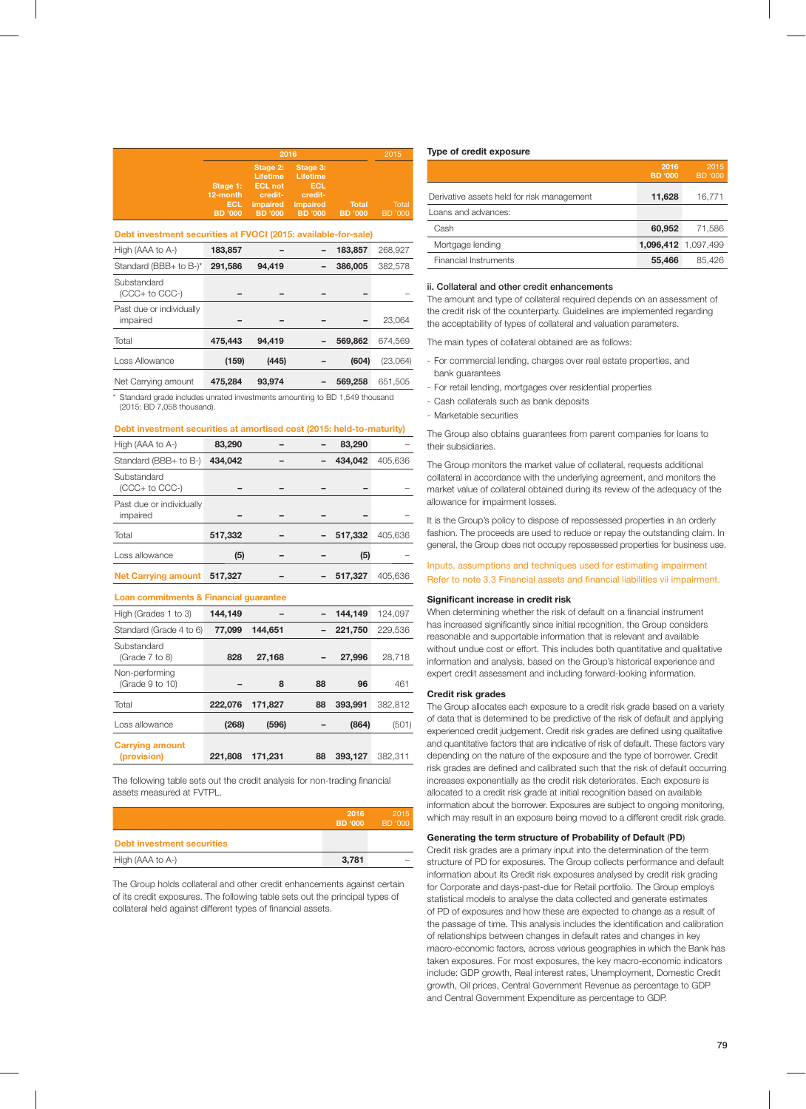|                             | 2016                        |                                                                                                                 |              |                  |
|-----------------------------|-----------------------------|-----------------------------------------------------------------------------------------------------------------|--------------|------------------|
| 12-month<br>ECL.<br>BD '000 | Stage 1: ECL not<br>credit- | Stage 2: Stage 3:<br>Lifetime Lifetime<br><b>ECL</b><br>credit-<br>impaired impaired<br>BD '000 BD '000 BD '000 | <b>Total</b> | Total<br>BD '000 |

## **Debt investment securities at FVOCI (2015: available-for-sale)**

| High (AAA to A-)                     | 183,857 |        | 183,857 | 268,927  |
|--------------------------------------|---------|--------|---------|----------|
| Standard (BBB+ to B-)*               | 291,586 | 94,419 | 386,005 | 382,578  |
| Substandard<br>$(CCC + to CC-)$      |         |        |         |          |
| Past due or individually<br>impaired |         |        |         | 23,064   |
| Total                                | 475.443 | 94,419 | 569,862 | 674.569  |
| Loss Allowance                       | (159)   | (445)  | (604)   | (23,064) |
| Net Carrying amount                  | 475.284 | 93,974 | 569,258 | 651.505  |

Standard grade includes unrated investments amounting to BD 1,549 thousand (2015: BD 7,058 thousand).

## **Debt investment securities at amortised cost (2015: held-to-maturity)**

| High (AAA to A-)                       | 83.290  |  |  | 83.290  |         |
|----------------------------------------|---------|--|--|---------|---------|
| Standard (BBB+ to B-)                  | 434.042 |  |  | 434,042 | 405,636 |
| Substandard<br>(CCC+ to CCC-)          |         |  |  |         |         |
| Past due or individually<br>impaired   |         |  |  |         |         |
| Total                                  | 517,332 |  |  | 517.332 | 405.636 |
| Loss allowance                         | (5)     |  |  | (5)     |         |
| <b>Net Carrying amount</b>             | 517.327 |  |  | 517,327 | 405.636 |
| Loan commitments & Financial guarantee |         |  |  |         |         |

| High (Grades 1 to 3)              | 144.149 |         |    | 144.149 | 124.097 |
|-----------------------------------|---------|---------|----|---------|---------|
| Standard (Grade 4 to 6)           | 77.099  | 144.651 |    | 221,750 | 229.536 |
| Substandard<br>(Grade 7 to 8)     | 828     | 27.168  |    | 27,996  | 28,718  |
| Non-performing<br>(Grade 9 to 10) |         | 8       | 88 | 96      | 461     |
| Total                             | 222.076 | 171.827 | 88 | 393.991 | 382.812 |
| Loss allowance                    | (268)   | (596)   |    | (864)   | (501)   |
| <b>Carrying amount</b>            |         |         |    |         |         |
| (provision)                       | 221.808 | 171.231 | 88 | 393.127 | 382.311 |

The following table sets out the credit analysis for non-trading financial assets measured at FVTPL.

|                                   | 2016<br>BD '000 | 2015<br>BD '000 |
|-----------------------------------|-----------------|-----------------|
| <b>Debt investment securities</b> |                 |                 |
| High (AAA to A-)                  | 3,781           |                 |

The Group holds collateral and other credit enhancements against certain of its credit exposures. The following table sets out the principal types of collateral held against different types of financial assets.

## **Type of credit exposure**

|                                            | 2016<br><b>BD '000</b> | 2015<br>BD '000 |
|--------------------------------------------|------------------------|-----------------|
| Derivative assets held for risk management | 11,628                 | 16.771          |
| Loans and advances:                        |                        |                 |
| Cash                                       | 60.952                 | 71.586          |
| Mortgage lending                           | 1,096,412 1,097,499    |                 |
| Financial Instruments                      | 55,466                 | 85.426          |

## **ii. Collateral and other credit enhancements**

The amount and type of collateral required depends on an assessment of the credit risk of the counterparty. Guidelines are implemented regarding the acceptability of types of collateral and valuation parameters.

The main types of collateral obtained are as follows:

- For commercial lending, charges over real estate properties, and bank guarantees
- For retail lending, mortgages over residential properties
- Cash collaterals such as bank deposits
- Marketable securities

The Group also obtains guarantees from parent companies for loans to their subsidiaries.

The Group monitors the market value of collateral, requests additional collateral in accordance with the underlying agreement, and monitors the market value of collateral obtained during its review of the adequacy of the allowance for impairment losses.

It is the Group's policy to dispose of repossessed properties in an orderly fashion. The proceeds are used to reduce or repay the outstanding claim. In general, the Group does not occupy repossessed properties for business use.

Inputs, assumptions and techniques used for estimating impairment Refer to note 3.3 Financial assets and financial liabilities vii impairment.

## **Significant increase in credit risk**

When determining whether the risk of default on a financial instrument has increased significantly since initial recognition, the Group considers reasonable and supportable information that is relevant and available without undue cost or effort. This includes both quantitative and qualitative information and analysis, based on the Group's historical experience and expert credit assessment and including forward-looking information.

#### **Credit risk grades**

The Group allocates each exposure to a credit risk grade based on a variety of data that is determined to be predictive of the risk of default and applying experienced credit judgement. Credit risk grades are defined using qualitative and quantitative factors that are indicative of risk of default. These factors vary depending on the nature of the exposure and the type of borrower. Credit risk grades are defined and calibrated such that the risk of default occurring increases exponentially as the credit risk deteriorates. Each exposure is allocated to a credit risk grade at initial recognition based on available information about the borrower. Exposures are subject to ongoing monitoring, which may result in an exposure being moved to a different credit risk grade.

#### **Generating the term structure of Probability of Default** (**PD**)

Credit risk grades are a primary input into the determination of the term structure of PD for exposures. The Group collects performance and default information about its Credit risk exposures analysed by credit risk grading for Corporate and days-past-due for Retail portfolio. The Group employs statistical models to analyse the data collected and generate estimates of PD of exposures and how these are expected to change as a result of the passage of time. This analysis includes the identification and calibration of relationships between changes in default rates and changes in key macro-economic factors, across various geographies in which the Bank has taken exposures. For most exposures, the key macro-economic indicators include: GDP growth, Real interest rates, Unemployment, Domestic Credit growth, Oil prices, Central Government Revenue as percentage to GDP and Central Government Expenditure as percentage to GDP.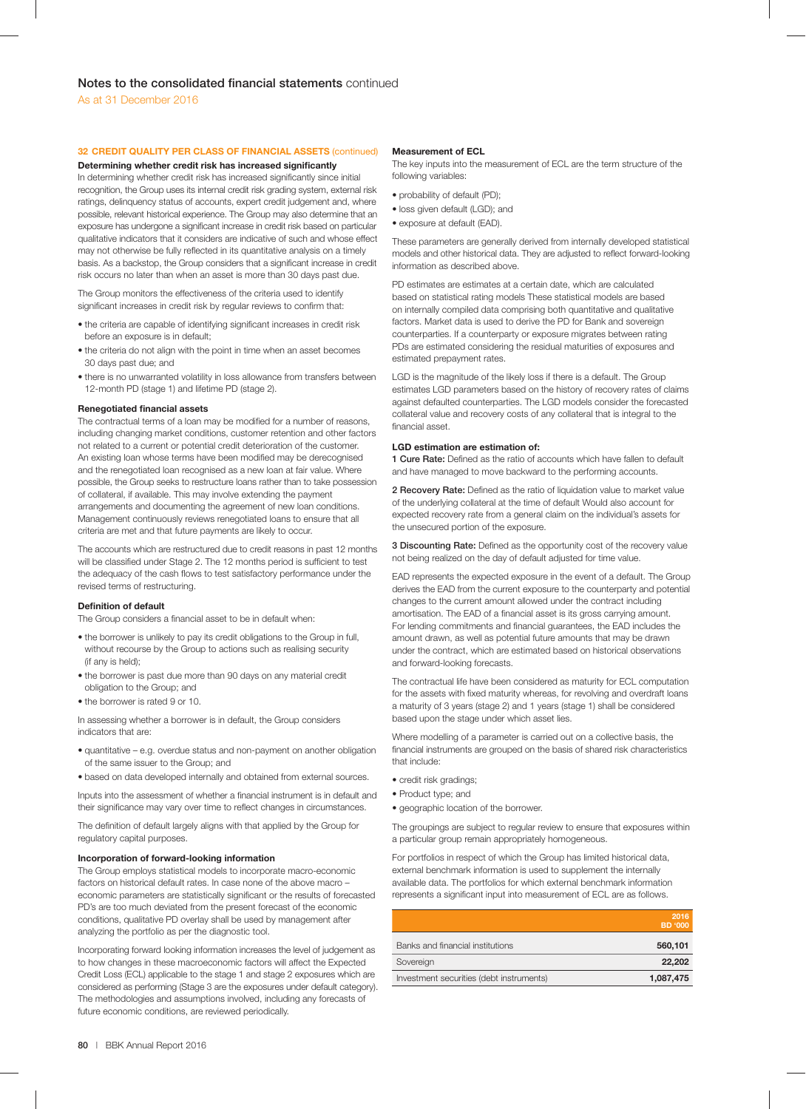# **32 CREDIT QUALITY PER CLASS OF FINANCIAL ASSETS** (continued)

**Determining whether credit risk has increased significantly** In determining whether credit risk has increased significantly since initial

recognition, the Group uses its internal credit risk grading system, external risk ratings, delinquency status of accounts, expert credit judgement and, where possible, relevant historical experience. The Group may also determine that an exposure has undergone a significant increase in credit risk based on particular qualitative indicators that it considers are indicative of such and whose effect may not otherwise be fully reflected in its quantitative analysis on a timely basis. As a backstop, the Group considers that a significant increase in credit risk occurs no later than when an asset is more than 30 days past due.

The Group monitors the effectiveness of the criteria used to identify significant increases in credit risk by regular reviews to confirm that:

- the criteria are capable of identifying significant increases in credit risk before an exposure is in default;
- the criteria do not align with the point in time when an asset becomes 30 days past due; and
- there is no unwarranted volatility in loss allowance from transfers between 12-month PD (stage 1) and lifetime PD (stage 2).

## **Renegotiated financial assets**

The contractual terms of a loan may be modified for a number of reasons, including changing market conditions, customer retention and other factors not related to a current or potential credit deterioration of the customer. An existing loan whose terms have been modified may be derecognised and the renegotiated loan recognised as a new loan at fair value. Where possible, the Group seeks to restructure loans rather than to take possession of collateral, if available. This may involve extending the payment arrangements and documenting the agreement of new loan conditions. Management continuously reviews renegotiated loans to ensure that all criteria are met and that future payments are likely to occur.

The accounts which are restructured due to credit reasons in past 12 months will be classified under Stage 2. The 12 months period is sufficient to test the adequacy of the cash flows to test satisfactory performance under the revised terms of restructuring.

## **Definition of default**

The Group considers a financial asset to be in default when:

- the borrower is unlikely to pay its credit obligations to the Group in full, without recourse by the Group to actions such as realising security (if any is held);
- the borrower is past due more than 90 days on any material credit obligation to the Group; and
- the borrower is rated 9 or 10.

In assessing whether a borrower is in default, the Group considers indicators that are:

- quantitative e.g. overdue status and non-payment on another obligation of the same issuer to the Group; and
- based on data developed internally and obtained from external sources.

Inputs into the assessment of whether a financial instrument is in default and their significance may vary over time to reflect changes in circumstances.

The definition of default largely aligns with that applied by the Group for regulatory capital purposes.

## **Incorporation of forward-looking information**

The Group employs statistical models to incorporate macro-economic factors on historical default rates. In case none of the above macro – economic parameters are statistically significant or the results of forecasted PD's are too much deviated from the present forecast of the economic conditions, qualitative PD overlay shall be used by management after analyzing the portfolio as per the diagnostic tool.

Incorporating forward looking information increases the level of judgement as to how changes in these macroeconomic factors will affect the Expected Credit Loss (ECL) applicable to the stage 1 and stage 2 exposures which are considered as performing (Stage 3 are the exposures under default category). The methodologies and assumptions involved, including any forecasts of future economic conditions, are reviewed periodically.

### **Measurement of ECL**

The key inputs into the measurement of ECL are the term structure of the following variables:

- probability of default (PD);
- loss given default (LGD); and
- exposure at default (EAD).

These parameters are generally derived from internally developed statistical models and other historical data. They are adjusted to reflect forward-looking information as described above.

PD estimates are estimates at a certain date, which are calculated based on statistical rating models These statistical models are based on internally compiled data comprising both quantitative and qualitative factors. Market data is used to derive the PD for Bank and sovereign counterparties. If a counterparty or exposure migrates between rating PDs are estimated considering the residual maturities of exposures and estimated prepayment rates.

LGD is the magnitude of the likely loss if there is a default. The Group estimates LGD parameters based on the history of recovery rates of claims against defaulted counterparties. The LGD models consider the forecasted collateral value and recovery costs of any collateral that is integral to the financial asset.

## **LGD estimation are estimation of:**

**1 Cure Rate:** Defined as the ratio of accounts which have fallen to default and have managed to move backward to the performing accounts.

**2 Recovery Rate:** Defined as the ratio of liquidation value to market value of the underlying collateral at the time of default Would also account for expected recovery rate from a general claim on the individual's assets for the unsecured portion of the exposure.

**3 Discounting Rate:** Defined as the opportunity cost of the recovery value not being realized on the day of default adjusted for time value.

EAD represents the expected exposure in the event of a default. The Group derives the EAD from the current exposure to the counterparty and potential changes to the current amount allowed under the contract including amortisation. The EAD of a financial asset is its gross carrying amount. For lending commitments and financial guarantees, the EAD includes the amount drawn, as well as potential future amounts that may be drawn under the contract, which are estimated based on historical observations and forward-looking forecasts.

The contractual life have been considered as maturity for ECL computation for the assets with fixed maturity whereas, for revolving and overdraft loans a maturity of 3 years (stage 2) and 1 years (stage 1) shall be considered based upon the stage under which asset lies.

Where modelling of a parameter is carried out on a collective basis, the financial instruments are grouped on the basis of shared risk characteristics that include:

- credit risk gradings;
- Product type; and
- geographic location of the borrower.

The groupings are subject to regular review to ensure that exposures within a particular group remain appropriately homogeneous.

For portfolios in respect of which the Group has limited historical data, external benchmark information is used to supplement the internally available data. The portfolios for which external benchmark information represents a significant input into measurement of ECL are as follows.

|                                          | 2016<br><b>BD</b> '000 |
|------------------------------------------|------------------------|
| Banks and financial institutions         | 560,101                |
| Sovereign                                | 22,202                 |
| Investment securities (debt instruments) | 1,087,475              |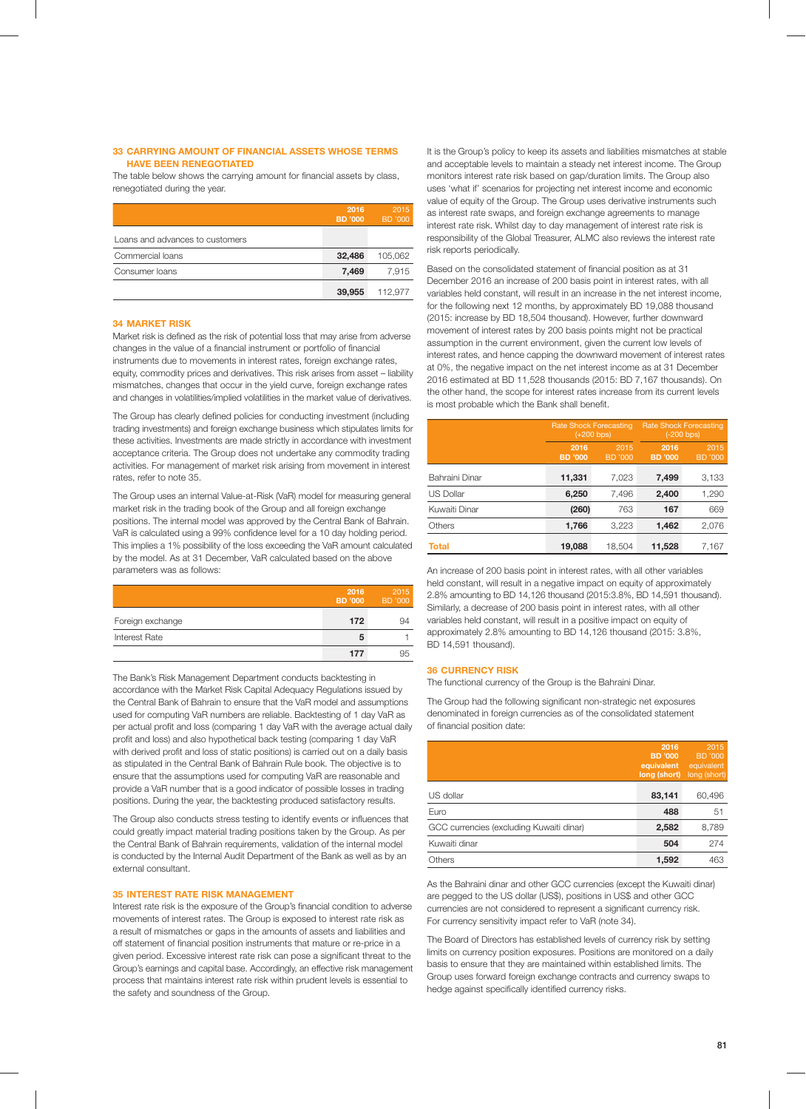## **33 CARRYING AMOUNT OF FINANCIAL ASSETS WHOSE TERMS HAVE BEEN RENEGOTIATED**

The table below shows the carrying amount for financial assets by class, renegotiated during the year.

|                                 | 2016<br>BD '000 | 2015<br><b>BD</b> '000 |
|---------------------------------|-----------------|------------------------|
| Loans and advances to customers |                 |                        |
| Commercial loans                | 32,486          | 105.062                |
| Consumer loans                  | 7,469           | 7,915                  |
|                                 | 39,955          | 112.977                |

### **34 MARKET RISK**

Market risk is defined as the risk of potential loss that may arise from adverse changes in the value of a financial instrument or portfolio of financial instruments due to movements in interest rates, foreign exchange rates, equity, commodity prices and derivatives. This risk arises from asset – liability mismatches, changes that occur in the yield curve, foreign exchange rates and changes in volatilities/implied volatilities in the market value of derivatives.

The Group has clearly defined policies for conducting investment (including trading investments) and foreign exchange business which stipulates limits for these activities. Investments are made strictly in accordance with investment acceptance criteria. The Group does not undertake any commodity trading activities. For management of market risk arising from movement in interest rates, refer to note 35.

The Group uses an internal Value-at-Risk (VaR) model for measuring general market risk in the trading book of the Group and all foreign exchange positions. The internal model was approved by the Central Bank of Bahrain. VaR is calculated using a 99% confidence level for a 10 day holding period. This implies a 1% possibility of the loss exceeding the VaR amount calculated by the model. As at 31 December, VaR calculated based on the above parameters was as follows:

|                  | 2016<br><b>BD</b> '000 | 2015<br>BD '000 |
|------------------|------------------------|-----------------|
| Foreign exchange | 172                    | 94              |
| Interest Rate    | 5                      |                 |
|                  | 177                    | 95              |

The Bank's Risk Management Department conducts backtesting in accordance with the Market Risk Capital Adequacy Regulations issued by the Central Bank of Bahrain to ensure that the VaR model and assumptions used for computing VaR numbers are reliable. Backtesting of 1 day VaR as per actual profit and loss (comparing 1 day VaR with the average actual daily profit and loss) and also hypothetical back testing (comparing 1 day VaR with derived profit and loss of static positions) is carried out on a daily basis as stipulated in the Central Bank of Bahrain Rule book. The objective is to ensure that the assumptions used for computing VaR are reasonable and provide a VaR number that is a good indicator of possible losses in trading positions. During the year, the backtesting produced satisfactory results.

The Group also conducts stress testing to identify events or influences that could greatly impact material trading positions taken by the Group. As per the Central Bank of Bahrain requirements, validation of the internal model is conducted by the Internal Audit Department of the Bank as well as by an external consultant.

## **35 INTEREST RATE RISK MANAGEMENT**

Interest rate risk is the exposure of the Group's financial condition to adverse movements of interest rates. The Group is exposed to interest rate risk as a result of mismatches or gaps in the amounts of assets and liabilities and off statement of financial position instruments that mature or re-price in a given period. Excessive interest rate risk can pose a significant threat to the Group's earnings and capital base. Accordingly, an effective risk management process that maintains interest rate risk within prudent levels is essential to the safety and soundness of the Group.

It is the Group's policy to keep its assets and liabilities mismatches at stable and acceptable levels to maintain a steady net interest income. The Group monitors interest rate risk based on gap/duration limits. The Group also uses 'what if' scenarios for projecting net interest income and economic value of equity of the Group. The Group uses derivative instruments such as interest rate swaps, and foreign exchange agreements to manage interest rate risk. Whilst day to day management of interest rate risk is responsibility of the Global Treasurer, ALMC also reviews the interest rate risk reports periodically.

Based on the consolidated statement of financial position as at 31 December 2016 an increase of 200 basis point in interest rates, with all variables held constant, will result in an increase in the net interest income, for the following next 12 months, by approximately BD 19,088 thousand (2015: increase by BD 18,504 thousand). However, further downward movement of interest rates by 200 basis points might not be practical assumption in the current environment, given the current low levels of interest rates, and hence capping the downward movement of interest rates at 0%, the negative impact on the net interest income as at 31 December 2016 estimated at BD 11,528 thousands (2015: BD 7,167 thousands). On the other hand, the scope for interest rates increase from its current levels is most probable which the Bank shall benefit.

|                  | <b>Rate Shock Forecasting</b> | $(+200 bps)$    | <b>Rate Shock Forecasting</b><br>$(-200 bps)$ |                 |  |  |
|------------------|-------------------------------|-----------------|-----------------------------------------------|-----------------|--|--|
|                  | 2016<br><b>BD</b> '000        | 2015<br>BD '000 | 2016<br><b>BD</b> '000                        | 2015<br>BD '000 |  |  |
| Bahraini Dinar   | 11,331                        | 7,023           | 7,499                                         | 3,133           |  |  |
| <b>US Dollar</b> | 6,250                         | 7,496           | 2,400                                         | 1,290           |  |  |
| Kuwaiti Dinar    | (260)                         | 763             | 167                                           | 669             |  |  |
| Others           | 1,766                         | 3,223           | 1,462                                         | 2,076           |  |  |
| <b>Total</b>     | 19,088                        | 18.504          | 11,528                                        | 7,167           |  |  |

An increase of 200 basis point in interest rates, with all other variables held constant, will result in a negative impact on equity of approximately 2.8% amounting to BD 14,126 thousand (2015:3.8%, BD 14,591 thousand). Similarly, a decrease of 200 basis point in interest rates, with all other variables held constant, will result in a positive impact on equity of approximately 2.8% amounting to BD 14,126 thousand (2015: 3.8%, BD 14,591 thousand).

#### **36 CURRENCY RISK**

The functional currency of the Group is the Bahraini Dinar.

The Group had the following significant non-strategic net exposures denominated in foreign currencies as of the consolidated statement of financial position date:

|                                          | 2016<br>BD '000<br>equivalent<br>long (short) | 2015<br><b>BD</b> '000<br>equivalent<br>long (short) |
|------------------------------------------|-----------------------------------------------|------------------------------------------------------|
| US dollar                                | 83,141                                        | 60,496                                               |
| Euro                                     | 488                                           | 51                                                   |
| GCC currencies (excluding Kuwaiti dinar) | 2,582                                         | 8,789                                                |
| Kuwaiti dinar                            | 504                                           | 274                                                  |
| Others                                   | 1,592                                         | 463                                                  |

As the Bahraini dinar and other GCC currencies (except the Kuwaiti dinar) are pegged to the US dollar (US\$), positions in US\$ and other GCC currencies are not considered to represent a significant currency risk. For currency sensitivity impact refer to VaR (note 34).

The Board of Directors has established levels of currency risk by setting limits on currency position exposures. Positions are monitored on a daily basis to ensure that they are maintained within established limits. The Group uses forward foreign exchange contracts and currency swaps to hedge against specifically identified currency risks.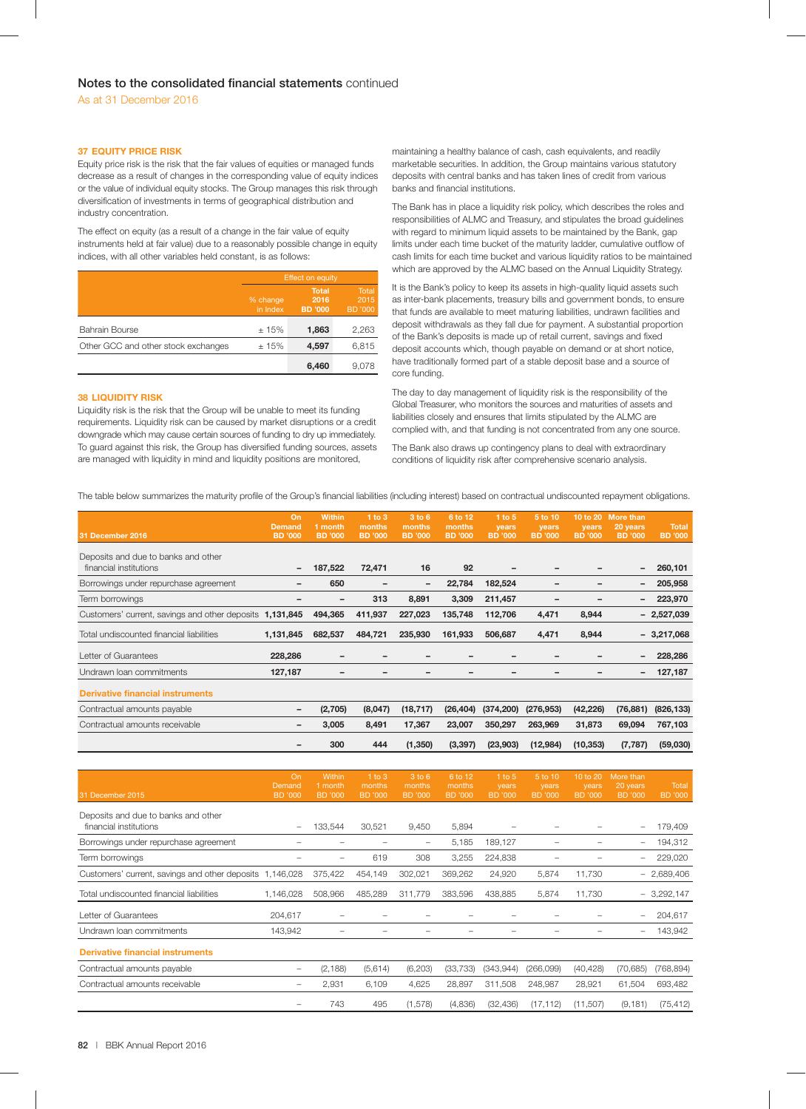## **37 EQUITY PRICE RISK**

Equity price risk is the risk that the fair values of equities or managed funds decrease as a result of changes in the corresponding value of equity indices or the value of individual equity stocks. The Group manages this risk through diversification of investments in terms of geographical distribution and industry concentration.

The effect on equity (as a result of a change in the fair value of equity instruments held at fair value) due to a reasonably possible change in equity indices, with all other variables held constant, is as follows:

|                                     | <b>Effect on equity</b> |                                        |                                        |  |  |
|-------------------------------------|-------------------------|----------------------------------------|----------------------------------------|--|--|
|                                     | % change<br>in Index    | <b>Total</b><br>2016<br><b>BD</b> '000 | <b>Total</b><br>2015<br><b>BD</b> '000 |  |  |
| <b>Bahrain Bourse</b>               | ±15%                    | 1,863                                  | 2,263                                  |  |  |
| Other GCC and other stock exchanges | ±15%                    | 4,597                                  | 6,815                                  |  |  |
|                                     |                         | 6,460                                  | 9.078                                  |  |  |

## **38 LIQUIDITY RISK**

Liquidity risk is the risk that the Group will be unable to meet its funding requirements. Liquidity risk can be caused by market disruptions or a credit downgrade which may cause certain sources of funding to dry up immediately. To guard against this risk, the Group has diversified funding sources, assets are managed with liquidity in mind and liquidity positions are monitored,

maintaining a healthy balance of cash, cash equivalents, and readily marketable securities. In addition, the Group maintains various statutory deposits with central banks and has taken lines of credit from various banks and financial institutions.

The Bank has in place a liquidity risk policy, which describes the roles and responsibilities of ALMC and Treasury, and stipulates the broad guidelines with regard to minimum liquid assets to be maintained by the Bank, gap limits under each time bucket of the maturity ladder, cumulative outflow of cash limits for each time bucket and various liquidity ratios to be maintained which are approved by the ALMC based on the Annual Liquidity Strategy.

It is the Bank's policy to keep its assets in high-quality liquid assets such as inter-bank placements, treasury bills and government bonds, to ensure that funds are available to meet maturing liabilities, undrawn facilities and deposit withdrawals as they fall due for payment. A substantial proportion of the Bank's deposits is made up of retail current, savings and fixed deposit accounts which, though payable on demand or at short notice, have traditionally formed part of a stable deposit base and a source of core funding.

The day to day management of liquidity risk is the responsibility of the Global Treasurer, who monitors the sources and maturities of assets and liabilities closely and ensures that limits stipulated by the ALMC are complied with, and that funding is not concentrated from any one source.

The Bank also draws up contingency plans to deal with extraordinary conditions of liquidity risk after comprehensive scenario analysis.

The table below summarizes the maturity profile of the Group's financial liabilities (including interest) based on contractual undiscounted repayment obligations.

| 31 December 2016                                              | On<br><b>Demand</b><br><b>BD</b> '000 | <b>Within</b><br>1 month<br><b>BD</b> '000 | 1 to 3<br>months<br><b>BD</b> '000 | 3 to 6<br>months<br><b>BD</b> '000 | 6 to 12<br>months<br><b>BD</b> '000 | $1$ to $5$<br>years<br><b>BD</b> '000 | 5 to 10<br>years<br><b>BD</b> '000 | 10 to 20<br>vears<br><b>BD</b> '000 | <b>More than</b><br>20 years<br><b>BD</b> '000 | <b>Total</b><br><b>BD</b> '000 |
|---------------------------------------------------------------|---------------------------------------|--------------------------------------------|------------------------------------|------------------------------------|-------------------------------------|---------------------------------------|------------------------------------|-------------------------------------|------------------------------------------------|--------------------------------|
| Deposits and due to banks and other<br>financial institutions |                                       | 187,522                                    | 72,471                             | 16                                 | 92                                  |                                       |                                    |                                     | $\overline{\phantom{a}}$                       | 260,101                        |
| Borrowings under repurchase agreement                         |                                       | 650                                        |                                    | $\qquad \qquad$                    | 22,784                              | 182,524                               |                                    |                                     | $\overline{\phantom{a}}$                       | 205,958                        |
| Term borrowings                                               |                                       |                                            | 313                                | 8,891                              | 3,309                               | 211,457                               |                                    |                                     | $\overline{\phantom{a}}$                       | 223,970                        |
| Customers' current, savings and other deposits 1,131,845      |                                       | 494,365                                    | 411,937                            | 227,023                            | 135,748                             | 112,706                               | 4,471                              | 8,944                               |                                                | $-2,527,039$                   |
| Total undiscounted financial liabilities                      | 1,131,845                             | 682,537                                    | 484,721                            | 235,930                            | 161,933                             | 506,687                               | 4,471                              | 8,944                               |                                                | $-3,217,068$                   |
| Letter of Guarantees                                          | 228,286                               |                                            |                                    |                                    |                                     |                                       |                                    |                                     | $\overline{\phantom{a}}$                       | 228,286                        |
| Undrawn Ioan commitments                                      | 127,187                               |                                            |                                    |                                    |                                     |                                       |                                    |                                     | $\overline{\phantom{m}}$                       | 127,187                        |
| <b>Derivative financial instruments</b>                       |                                       |                                            |                                    |                                    |                                     |                                       |                                    |                                     |                                                |                                |
| Contractual amounts payable                                   |                                       | (2,705)                                    | (8,047)                            | (18, 717)                          | (26, 404)                           | (374, 200)                            | (276, 953)                         | (42, 226)                           | (76, 881)                                      | (826, 133)                     |
| Contractual amounts receivable                                |                                       | 3,005                                      | 8,491                              | 17,367                             | 23,007                              | 350,297                               | 263,969                            | 31,873                              | 69,094                                         | 767,103                        |
|                                                               |                                       | 300                                        | 444                                | (1,350)                            | (3, 397)                            | (23,903)                              | (12,984)                           | (10, 353)                           | (7, 787)                                       | (59,030)                       |

| 31 December 2015                                              | On<br><b>Demand</b><br><b>BD</b> '000 | <b>Within</b><br>1 month<br><b>BD</b> '000 | $1$ to $3$<br>months<br>BD '000 | 3 to 6<br>months<br>BD '000 | 6 to 12<br>months<br><b>BD</b> '000 | $1$ to 5<br>years<br><b>BD</b> '000 | 5 to 10<br>years<br><b>BD</b> '000 | 10 to 20<br>years<br><b>BD</b> '000 | More than<br>20 years<br><b>BD</b> '000 | Total<br><b>BD</b> '000 |
|---------------------------------------------------------------|---------------------------------------|--------------------------------------------|---------------------------------|-----------------------------|-------------------------------------|-------------------------------------|------------------------------------|-------------------------------------|-----------------------------------------|-------------------------|
| Deposits and due to banks and other<br>financial institutions | -                                     | 133,544                                    | 30,521                          | 9,450                       | 5,894                               |                                     |                                    |                                     | $\overline{\phantom{m}}$                | 179,409                 |
| Borrowings under repurchase agreement                         |                                       |                                            |                                 | $\qquad \qquad -$           | 5,185                               | 189,127                             | ۰                                  |                                     | $\overline{\phantom{0}}$                | 194,312                 |
| Term borrowings                                               |                                       |                                            | 619                             | 308                         | 3,255                               | 224,838                             |                                    |                                     | $\overline{\phantom{0}}$                | 229,020                 |
| Customers' current, savings and other deposits                | 1,146,028                             | 375,422                                    | 454,149                         | 302,021                     | 369,262                             | 24,920                              | 5,874                              | 11,730                              |                                         | $-2,689,406$            |
| Total undiscounted financial liabilities                      | 1,146,028                             | 508,966                                    | 485,289                         | 311,779                     | 383,596                             | 438,885                             | 5,874                              | 11,730                              |                                         | $-3,292,147$            |
| Letter of Guarantees                                          | 204,617                               | -                                          |                                 |                             |                                     |                                     |                                    |                                     | $\overline{\phantom{0}}$                | 204,617                 |
| Undrawn Ioan commitments                                      | 143,942                               |                                            |                                 |                             |                                     |                                     |                                    |                                     | -                                       | 143,942                 |
| <b>Derivative financial instruments</b>                       |                                       |                                            |                                 |                             |                                     |                                     |                                    |                                     |                                         |                         |
| Contractual amounts payable                                   | -                                     | (2, 188)                                   | (5,614)                         | (6, 203)                    | (33, 733)                           | (343, 944)                          | (266,099)                          | (40, 428)                           | (70, 685)                               | (768,894)               |
| Contractual amounts receivable                                | -                                     | 2,931                                      | 6,109                           | 4,625                       | 28,897                              | 311,508                             | 248,987                            | 28,921                              | 61,504                                  | 693,482                 |
|                                                               |                                       | 743                                        | 495                             | (1,578)                     | (4,836)                             | (32, 436)                           | (17, 112)                          | (11,507)                            | (9, 181)                                | (75, 412)               |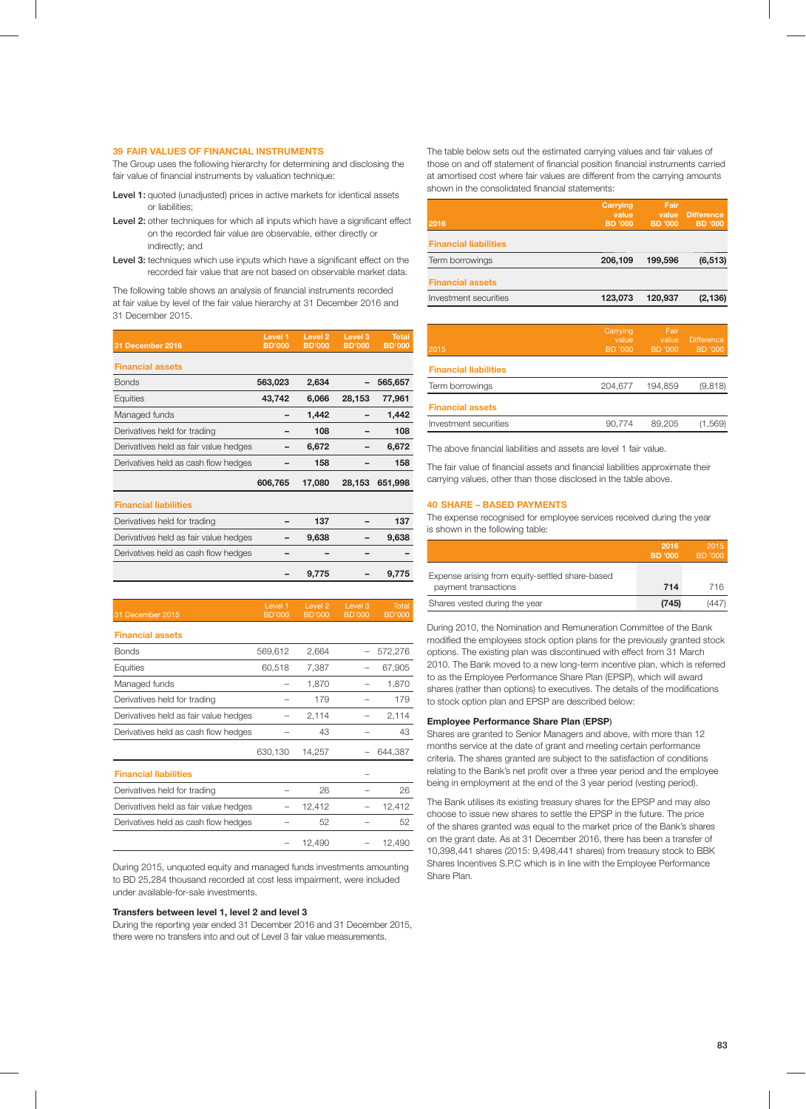## **39 FAIR VALUES OF FINANCIAL INSTRUMENTS**

The Group uses the following hierarchy for determining and disclosing the fair value of financial instruments by valuation technique:

- Level 1: quoted (unadjusted) prices in active markets for identical assets or liabilities;
- Level 2: other techniques for which all inputs which have a significant effect on the recorded fair value are observable, either directly or indirectly; and
- Level 3: techniques which use inputs which have a significant effect on the recorded fair value that are not based on observable market data.

The following table shows an analysis of financial instruments recorded at fair value by level of the fair value hierarchy at 31 December 2016 and 31 December 2015.

|                                       | Level 1       | Level <sub>2</sub> | Level <sub>3</sub> | Total         |
|---------------------------------------|---------------|--------------------|--------------------|---------------|
| 31 December 2016                      | <b>BD'000</b> | <b>BD'000</b>      | <b>BD'000</b>      | <b>BD'000</b> |
| <b>Financial assets</b>               |               |                    |                    |               |
| <b>Bonds</b>                          | 563,023       | 2,634              |                    | 565,657       |
| Equities                              | 43,742        | 6,066              | 28,153             | 77,961        |
| Managed funds                         |               | 1,442              |                    | 1,442         |
| Derivatives held for trading          |               | 108                |                    | 108           |
| Derivatives held as fair value hedges |               | 6,672              |                    | 6,672         |
| Derivatives held as cash flow hedges  |               | 158                |                    | 158           |
|                                       | 606,765       | 17,080             | 28,153             | 651,998       |
| <b>Financial liabilities</b>          |               |                    |                    |               |
| Derivatives held for trading          |               | 137                |                    | 137           |
| Derivatives held as fair value hedges |               | 9,638              |                    | 9,638         |
| Derivatives held as cash flow hedges  |               |                    |                    |               |
|                                       |               | 9,775              |                    | 9,775         |

| 31 December 2015                      | Level 1<br><b>BD'000</b> | Level 2<br><b>BD'000</b> | Level 3<br>BD'000 | Total<br><b>BD'000</b> |
|---------------------------------------|--------------------------|--------------------------|-------------------|------------------------|
| <b>Financial assets</b>               |                          |                          |                   |                        |
| <b>Bonds</b>                          | 569,612                  | 2,664                    |                   | 572,276                |
| Equities                              | 60,518                   | 7,387                    |                   | 67,905                 |
| Managed funds                         |                          | 1,870                    |                   | 1,870                  |
| Derivatives held for trading          |                          | 179                      |                   | 179                    |
| Derivatives held as fair value hedges |                          | 2,114                    |                   | 2,114                  |
| Derivatives held as cash flow hedges  |                          | 43                       |                   | 43                     |
|                                       | 630,130                  | 14,257                   |                   | 644,387                |
| <b>Financial liabilities</b>          |                          |                          |                   |                        |
| Derivatives held for trading          |                          | 26                       |                   | 26                     |
| Derivatives held as fair value hedges |                          | 12,412                   |                   | 12,412                 |
| Derivatives held as cash flow hedges  |                          | 52                       |                   | 52                     |
|                                       |                          | 12,490                   |                   | 12,490                 |

During 2015, unquoted equity and managed funds investments amounting to BD 25,284 thousand recorded at cost less impairment, were included under available-for-sale investments.

## **Transfers between level 1, level 2 and level 3**

During the reporting year ended 31 December 2016 and 31 December 2015, there were no transfers into and out of Level 3 fair value measurements.

The table below sets out the estimated carrying values and fair values of those on and off statement of financial position financial instruments carried at amortised cost where fair values are different from the carrying amounts shown in the consolidated financial statements:

| 2016                         | Carrying<br>value<br>BD '000 | Fair<br>value<br>BD '000 | <b>Difference</b><br><b>BD</b> '000 |
|------------------------------|------------------------------|--------------------------|-------------------------------------|
| <b>Financial liabilities</b> |                              |                          |                                     |
| Term borrowings              | 206,109                      | 199.596                  | (6, 513)                            |
| <b>Financial assets</b>      |                              |                          |                                     |
| Investment securities        | 123,073                      | 120.937                  | (2, 136)                            |
|                              |                              |                          |                                     |

| 2015                         | Carrying,<br>value<br>BD '000 | Fair<br>value<br>BD '000 | <b>Difference</b><br><b>BD</b> '000 |
|------------------------------|-------------------------------|--------------------------|-------------------------------------|
| <b>Financial liabilities</b> |                               |                          |                                     |
| Term borrowings              | 204.677                       | 194.859                  | (9, 818)                            |
| <b>Financial assets</b>      |                               |                          |                                     |
| Investment securities        | 90.774                        | 89.205                   | (1.569)                             |

The above financial liabilities and assets are level 1 fair value.

The fair value of financial assets and financial liabilities approximate their carrying values, other than those disclosed in the table above.

## **40 SHARE – BASED PAYMENTS**

The expense recognised for employee services received during the year is shown in the following table:

|                                                                         | 2016<br>BD '000 | 2015<br>BD '000 |
|-------------------------------------------------------------------------|-----------------|-----------------|
| Expense arising from equity-settled share-based<br>payment transactions | 714             | 716             |
| Shares vested during the year                                           | (745)           | (447)           |

During 2010, the Nomination and Remuneration Committee of the Bank modified the employees stock option plans for the previously granted stock options. The existing plan was discontinued with effect from 31 March 2010. The Bank moved to a new long-term incentive plan, which is referred to as the Employee Performance Share Plan (EPSP), which will award shares (rather than options) to executives. The details of the modifications to stock option plan and EPSP are described below:

## **Employee Performance Share Plan** (**EPSP**)

Shares are granted to Senior Managers and above, with more than 12 months service at the date of grant and meeting certain performance criteria. The shares granted are subject to the satisfaction of conditions relating to the Bank's net profit over a three year period and the employee being in employment at the end of the 3 year period (vesting period).

The Bank utilises its existing treasury shares for the EPSP and may also choose to issue new shares to settle the EPSP in the future. The price of the shares granted was equal to the market price of the Bank's shares on the grant date. As at 31 December 2016, there has been a transfer of 10,398,441 shares (2015: 9,498,441 shares) from treasury stock to BBK Shares Incentives S.P.C which is in line with the Employee Performance Share Plan.